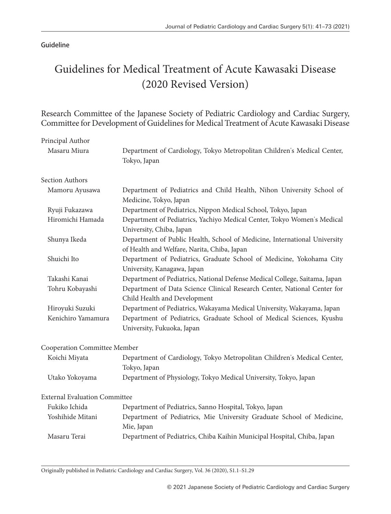## Guideline

# Guidelines for Medical Treatment of Acute Kawasaki Disease (2020 Revised Version)

Research Committee of the Japanese Society of Pediatric Cardiology and Cardiac Surgery, Committee for Development of Guidelines for Medical Treatment of Acute Kawasaki Disease

| Principal Author                     |                                                                                                                          |
|--------------------------------------|--------------------------------------------------------------------------------------------------------------------------|
| Masaru Miura                         | Department of Cardiology, Tokyo Metropolitan Children's Medical Center,<br>Tokyo, Japan                                  |
| <b>Section Authors</b>               |                                                                                                                          |
| Mamoru Ayusawa                       | Department of Pediatrics and Child Health, Nihon University School of<br>Medicine, Tokyo, Japan                          |
| Ryuji Fukazawa                       | Department of Pediatrics, Nippon Medical School, Tokyo, Japan                                                            |
| Hiromichi Hamada                     | Department of Pediatrics, Yachiyo Medical Center, Tokyo Women's Medical<br>University, Chiba, Japan                      |
| Shunya Ikeda                         | Department of Public Health, School of Medicine, International University<br>of Health and Welfare, Narita, Chiba, Japan |
| Shuichi Ito                          | Department of Pediatrics, Graduate School of Medicine, Yokohama City<br>University, Kanagawa, Japan                      |
| Takashi Kanai                        | Department of Pediatrics, National Defense Medical College, Saitama, Japan                                               |
| Tohru Kobayashi                      | Department of Data Science Clinical Research Center, National Center for<br>Child Health and Development                 |
| Hiroyuki Suzuki                      | Department of Pediatrics, Wakayama Medical University, Wakayama, Japan                                                   |
| Kenichiro Yamamura                   | Department of Pediatrics, Graduate School of Medical Sciences, Kyushu<br>University, Fukuoka, Japan                      |
| Cooperation Committee Member         |                                                                                                                          |
| Koichi Miyata                        | Department of Cardiology, Tokyo Metropolitan Children's Medical Center,<br>Tokyo, Japan                                  |
| Utako Yokoyama                       | Department of Physiology, Tokyo Medical University, Tokyo, Japan                                                         |
| <b>External Evaluation Committee</b> |                                                                                                                          |
| Fukiko Ichida                        | Department of Pediatrics, Sanno Hospital, Tokyo, Japan                                                                   |
| Yoshihide Mitani                     | Department of Pediatrics, Mie University Graduate School of Medicine,<br>Mie, Japan                                      |
| Masaru Terai                         | Department of Pediatrics, Chiba Kaihin Municipal Hospital, Chiba, Japan                                                  |

Originally published in Pediatric Cardiology and Cardiac Surgery, Vol. 36 (2020), S1.1‒S1.29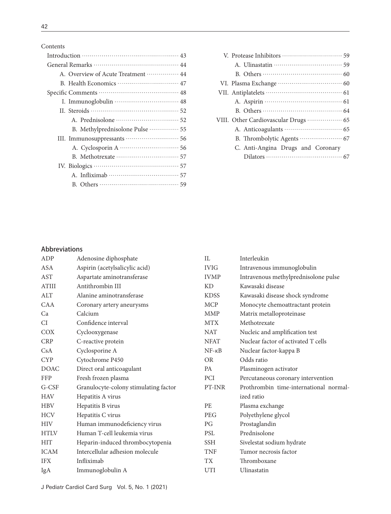Contents

| A. Overview of Acute Treatment …………… 44       |
|-----------------------------------------------|
|                                               |
|                                               |
|                                               |
|                                               |
|                                               |
| B. Methylprednisolone Pulse ·············· 55 |
|                                               |
|                                               |
|                                               |
|                                               |
|                                               |
|                                               |
|                                               |

<u> 1980 - Johann Barbara, martxa alemaniar arg</u>

| VIII. Other Cardiovascular Drugs  65            |
|-------------------------------------------------|
|                                                 |
| B. Thrombolytic Agents ····················· 67 |
| C. Anti-Angina Drugs and Coronary               |
|                                                 |

## Abbreviations

| ADP          | Adenosine diphosphate                 | IL              | Interleukin                            |
|--------------|---------------------------------------|-----------------|----------------------------------------|
| <b>ASA</b>   | Aspirin (acetylsalicylic acid)        | <b>IVIG</b>     | Intravenous immunoglobulin             |
| <b>AST</b>   | Aspartate aminotransferase            | <b>IVMP</b>     | Intravenous methylprednisolone pulse   |
| <b>ATIII</b> | Antithrombin III                      | <b>KD</b>       | Kawasaki disease                       |
| <b>ALT</b>   | Alanine aminotransferase              | <b>KDSS</b>     | Kawasaki disease shock syndrome        |
| <b>CAA</b>   | Coronary artery aneurysms             | <b>MCP</b>      | Monocyte chemoattractant protein       |
| Ca           | Calcium                               | <b>MMP</b>      | Matrix metalloproteinase               |
| CI           | Confidence interval                   | <b>MTX</b>      | Methotrexate                           |
| <b>COX</b>   | Cyclooxygenase                        | <b>NAT</b>      | Nucleic and amplification test         |
| <b>CRP</b>   | C-reactive protein                    | <b>NFAT</b>     | Nuclear factor of activated T cells    |
| CsA          | Cyclosporine A                        | $NF - \kappa B$ | Nuclear factor-kappa B                 |
| <b>CYP</b>   | Cytochrome P450                       | <b>OR</b>       | Odds ratio                             |
| <b>DOAC</b>  | Direct oral anticoagulant             | <b>PA</b>       | Plasminogen activator                  |
| <b>FFP</b>   | Fresh frozen plasma                   | <b>PCI</b>      | Percutaneous coronary intervention     |
| G-CSF        | Granulocyte-colony stimulating factor | PT-INR          | Prothrombin time-international normal- |
| <b>HAV</b>   | Hepatitis A virus                     |                 | ized ratio                             |
| <b>HBV</b>   | Hepatitis B virus                     | PE              | Plasma exchange                        |
| <b>HCV</b>   | Hepatitis C virus                     | <b>PEG</b>      | Polyethylene glycol                    |
| <b>HIV</b>   | Human immunodeficiency virus          | PG              | Prostaglandin                          |
| <b>HTLV</b>  | Human T-cell leukemia virus           | <b>PSL</b>      | Prednisolone                           |
| <b>HIT</b>   | Heparin-induced thrombocytopenia      | <b>SSH</b>      | Sivelestat sodium hydrate              |
| <b>ICAM</b>  | Intercellular adhesion molecule       | <b>TNF</b>      | Tumor necrosis factor                  |
| <b>IFX</b>   | Infliximab                            | <b>TX</b>       | Thromboxane                            |
| IgA          | Immunoglobulin A                      | <b>UTI</b>      | Ulinastatin                            |
|              |                                       |                 |                                        |

J Pediatr Cardiol Card Surg Vol. 5, No. 1 (2021)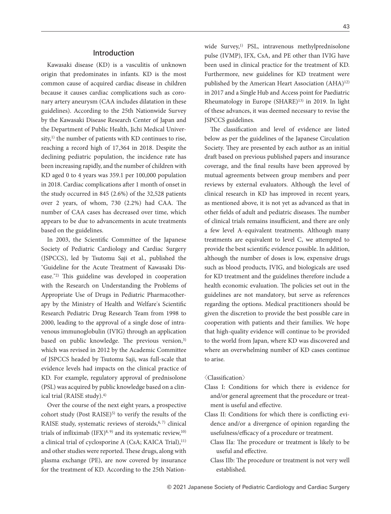## Introduction

Kawasaki disease (KD) is a vasculitis of unknown origin that predominates in infants. KD is the most common cause of acquired cardiac disease in children because it causes cardiac complications such as coronary artery aneurysm (CAA includes dilatation in these guidelines). According to the 25th Nationwide Survey by the Kawasaki Disease Research Center of Japan and the Department of Public Health, Jichi Medical University, $^{1)}$  the number of patients with KD continues to rise, reaching a record high of 17,364 in 2018. Despite the declining pediatric population, the incidence rate has been increasing rapidly, and the number of children with KD aged 0 to 4 years was 359.1 per 100,000 population in 2018. Cardiac complications after 1 month of onset in the study occurred in 845 (2.6%) of the 32,528 patients over 2 years, of whom,  $730$   $(2.2%)$  had CAA. The number of CAA cases has decreased over time, which appears to be due to advancements in acute treatments based on the guidelines.

In 2003, the Scientific Committee of the Japanese Society of Pediatric Cardiology and Cardiac Surgery (JSPCCS), led by Tsutomu Saji et al., published the "Guideline for the Acute Treatment of Kawasaki Disease."<sup>2)</sup> This guideline was developed in cooperation with the Research on Understanding the Problems of Appropriate Use of Drugs in Pediatric Pharmacotherapy by the Ministry of Health and Welfare's Scientific Research Pediatric Drug Research Team from 1998 to 2000, leading to the approval of a single dose of intravenous immunoglobulin (IVIG) through an application based on public knowledge. The previous version,<sup>3)</sup> which was revised in 2012 by the Academic Committee of JSPCCS headed by Tsutomu Saji, was full-scale that evidence levels had impacts on the clinical practice of KD. For example, regulatory approval of prednisolone (PSL) was acquired by public knowledge based on a clinical trial (RAISE study).4)

Over the course of the next eight years, a prospective cohort study (Post RAISE) $5$ ) to verify the results of the RAISE study, systematic reviews of steroids, $6, 7$ ) clinical trials of infliximab  $(IFX)^{8, 9}$  and its systematic review,<sup>10)</sup> a clinical trial of cyclosporine A (CsA; KAICA Trial),<sup>11)</sup> and other studies were reported. These drugs, along with plasma exchange (PE), are now covered by insurance for the treatment of KD. According to the 25th Nationwide Survey,<sup>1)</sup> PSL, intravenous methylprednisolone pulse (IVMP), IFX, CsA, and PE other than IVIG have been used in clinical practice for the treatment of KD. Furthermore, new guidelines for KD treatment were published by the American Heart Association (AHA)<sup>12)</sup> in 2017 and a Single Hub and Access point for Paediatric Rheumatology in Europe (SHARE)<sup>13)</sup> in 2019. In light of these advances, it was deemed necessary to revise the JSPCCS guidelines.

The classification and level of evidence are listed below as per the guidelines of the Japanese Circulation Society. They are presented by each author as an initial draft based on previous published papers and insurance coverage, and the final results have been approved by mutual agreements between group members and peer reviews by external evaluators. Although the level of clinical research in KD has improved in recent years, as mentioned above, it is not yet as advanced as that in other fields of adult and pediatric diseases. The number of clinical trials remains insufficient, and there are only a few level A-equivalent treatments. Although many treatments are equivalent to level C, we attempted to provide the best scientific evidence possible. In addition, although the number of doses is low, expensive drugs such as blood products, IVIG, and biologicals are used for KD treatment and the guidelines therefore include a health economic evaluation. The policies set out in the guidelines are not mandatory, but serve as references regarding the options. Medical practitioners should be given the discretion to provide the best possible care in cooperation with patients and their families. We hope that high-quality evidence will continue to be provided to the world from Japan, where KD was discovered and where an overwhelming number of KD cases continue to arise.

 $\langle$ Classification $\rangle$ 

- Class I: Conditions for which there is evidence for and/or general agreement that the procedure or treatment is useful and effective.
- Class II: Conditions for which there is conflicting evidence and/or a divergence of opinion regarding the usefulness/efficacy of a procedure or treatment.
	- Class IIa: The procedure or treatment is likely to be useful and effective.
	- Class IIb: The procedure or treatment is not very well established.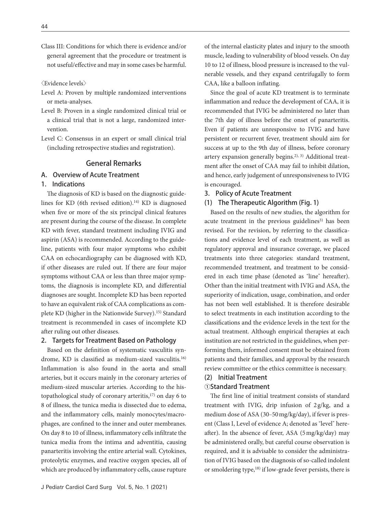Class III: Conditions for which there is evidence and/or general agreement that the procedure or treatment is not useful/effective and may in some cases be harmful.

〈Evidence levels〉

- Level A: Proven by multiple randomized interventions or meta-analyses.
- Level B: Proven in a single randomized clinical trial or a clinical trial that is not a large, randomized intervention.
- Level C: Consensus in an expert or small clinical trial (including retrospective studies and registration).

## General Remarks

## A. Overview of Acute Treatment

## 1. Indications

The diagnosis of KD is based on the diagnostic guidelines for KD (6th revised edition).<sup>14)</sup> KD is diagnosed when five or more of the six principal clinical features are present during the course of the disease. In complete KD with fever, standard treatment including IVIG and aspirin (ASA) is recommended. According to the guideline, patients with four major symptoms who exhibit CAA on echocardiography can be diagnosed with KD, if other diseases are ruled out. If there are four major symptoms without CAA or less than three major symptoms, the diagnosis is incomplete KD, and differential diagnoses are sought. Incomplete KD has been reported to have an equivalent risk of CAA complications as complete KD (higher in the Nationwide Survey).<sup>15)</sup> Standard treatment is recommended in cases of incomplete KD after ruling out other diseases.

#### 2. Targets for Treatment Based on Pathology

Based on the definition of systematic vasculitis syndrome, KD is classified as medium-sized vasculitis.<sup>16)</sup> Inflammation is also found in the aorta and small arteries, but it occurs mainly in the coronary arteries of medium-sized muscular arteries. According to the histopathological study of coronary arteritis,17) on day 6 to 8 of illness, the tunica media is dissected due to edema, and the inflammatory cells, mainly monocytes/macrophages, are confined to the inner and outer membranes. On day 8 to 10 of illness, inflammatory cells infiltrate the tunica media from the intima and adventitia, causing panarteritis involving the entire arterial wall. Cytokines, proteolytic enzymes, and reactive oxygen species, all of which are produced by inflammatory cells, cause rupture

of the internal elasticity plates and injury to the smooth muscle, leading to vulnerability of blood vessels. On day 10 to 12 of illness, blood pressure is increased to the vulnerable vessels, and they expand centrifugally to form CAA, like a balloon inflating.

Since the goal of acute KD treatment is to terminate inflammation and reduce the development of CAA, it is recommended that IVIG be administered no later than the 7th day of illness before the onset of panarteritis. Even if patients are unresponsive to IVIG and have persistent or recurrent fever, treatment should aim for success at up to the 9th day of illness, before coronary artery expansion generally begins.2), 3) Additional treatment after the onset of CAA may fail to inhibit dilation, and hence, early judgement of unresponsiveness to IVIG is encouraged.

#### 3. Policy of Acute Treatment

#### (1) The Therapeutic Algorithm (Fig. 1)

Based on the results of new studies, the algorithm for acute treatment in the previous guidelines<sup>3)</sup> has been revised. For the revision, by referring to the classifications and evidence level of each treatment, as well as regulatory approval and insurance coverage, we placed treatments into three categories: standard treatment, recommended treatment, and treatment to be considered in each time phase (denoted as "line" hereafter). Other than the initial treatment with IVIG and ASA, the superiority of indication, usage, combination, and order has not been well established. It is therefore desirable to select treatments in each institution according to the classifications and the evidence levels in the text for the actual treatment. Although empirical therapies at each institution are not restricted in the guidelines, when performing them, informed consent must be obtained from patients and their families, and approval by the research review committee or the ethics committee is necessary.

## (2) Initial Treatment

## ①Standard Treatment

The first line of initial treatment consists of standard treatment with IVIG, drip infusion of 2 g/kg, and a medium dose of ASA (30-50 mg/kg/day), if fever is present (Class I, Level of evidence A; denoted as "level" hereafter). In the absence of fever, ASA ( $5 \frac{\text{mg}}{\text{kg}}$ day) may be administered orally, but careful course observation is required, and it is advisable to consider the administration of IVIG based on the diagnosis of so-called indolent or smoldering type,<sup>18)</sup> if low-grade fever persists, there is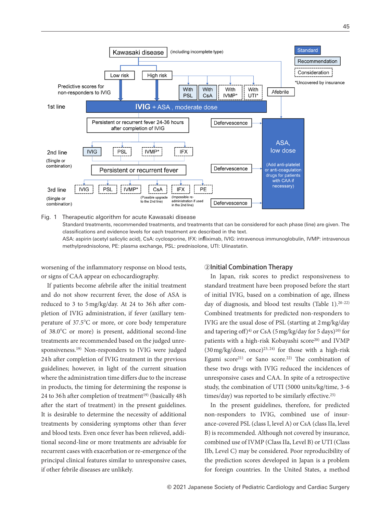

Fig. 1 Therapeutic algorithm for acute Kawasaki disease Standard treatments, recommended treatments, and treatments that can be considered for each phase (line) are given. The classifications and evidence levels for each treatment are described in the text. ASA: aspirin (acetyl salicylic acid), CsA: cyclosporine, IFX: infliximab, IVIG: intravenous immunoglobulin, IVMP: intravenous methylprednisolone, PE: plasma exchange, PSL: prednisolone, UTI: Ulinastatin.

worsening of the inflammatory response on blood tests, or signs of CAA appear on echocardiography.

If patients become afebrile after the initial treatment and do not show recurrent fever, the dose of ASA is reduced to 3 to  $5 \text{ mg/kg/day}$ . At 24 to 36h after completion of IVIG administration, if fever (axillary temperature of 37.5°C or more, or core body temperature of 38.0°C or more) is present, additional second-line treatments are recommended based on the judged unresponsiveness.19) Non-responders to IVIG were judged 24h after completion of IVIG treatment in the previous guidelines; however, in light of the current situation where the administration time differs due to the increase in products, the timing for determining the response is 24 to 36 h after completion of treatment<sup>19)</sup> (basically  $48$  h after the start of treatment) in the present guidelines. It is desirable to determine the necessity of additional treatments by considering symptoms other than fever and blood tests. Even once fever has been relieved, additional second-line or more treatments are advisable for recurrent cases with exacerbation or re-emergence of the principal clinical features similar to unresponsive cases, if other febrile diseases are unlikely.

#### ②Initial Combination Therapy

In Japan, risk scores to predict responsiveness to standard treatment have been proposed before the start of initial IVIG, based on a combination of age, illness day of diagnosis, and blood test results (Table 1).<sup>20-22)</sup> Combined treatments for predicted non-responders to IVIG are the usual dose of PSL (starting at 2 mg/kg/day and tapering off)<sup>4)</sup> or CsA (5 mg/kg/day for 5 days)<sup>10)</sup> for patients with a high-risk Kobayashi score<sup>20)</sup> and IVMP  $(30 \text{ mg/kg/dose}, \text{ once})^{23, 24}$  for those with a high-risk Egami score<sup>21)</sup> or Sano score.<sup>22)</sup> The combination of these two drugs with IVIG reduced the incidences of unresponsive cases and CAA. In spite of a retrospective study, the combination of UTI (5000 units/kg/time, 3–6 times/day) was reported to be similarly effective.<sup>25)</sup>

In the present guidelines, therefore, for predicted non-responders to IVIG, combined use of insurance-covered PSL (class I, level A) or CsA (class IIa, level B) is recommended. Although not covered by insurance, combined use of IVMP (Class IIa, Level B) or UTI (Class IIb, Level C) may be considered. Poor reproducibility of the prediction scores developed in Japan is a problem for foreign countries. In the United States, a method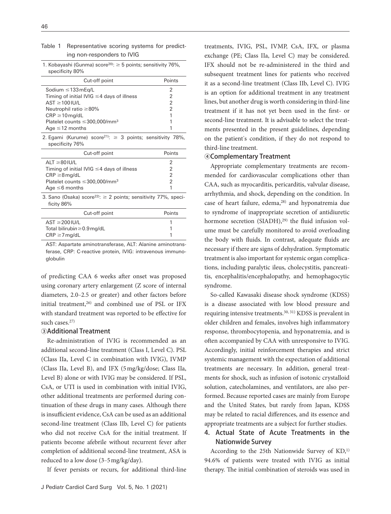| Table 1 Representative scoring systems for predict- |
|-----------------------------------------------------|
| ing non-responders to IVIG                          |

| 1. Kobayashi (Gunma) score <sup>20)</sup> : $\geq$ 5 points; sensitivity 76%, |  |
|-------------------------------------------------------------------------------|--|
| specificity 80%                                                               |  |

| Cut-off point                                   | Points |
|-------------------------------------------------|--------|
| Sodium $\leq$ 133 mEg/L                         | 2      |
| Timing of initial IVIG $\leq$ 4 days of illness | 2      |
| $AST \geq 100$ IU/L                             | 2      |
| Neutrophil ratio $\geq 80\%$                    | 2      |
| $CRP \ge 10$ mg/dL                              | 1      |
| Platelet counts $\leq$ 300,000/mm <sup>3</sup>  |        |
| Age $\leq$ 12 months                            |        |

2. Egami (Kurume) score<sup>21)</sup>:  $\geq$  3 points; sensitivity 78%, specificity 76%

| Cut-off point                                   | Points |
|-------------------------------------------------|--------|
| $AI T \geq 80$ $II J/I$                         | 2      |
| Timing of initial IVIG $\leq$ 4 days of illness | 2      |
| $CRP \geq 8$ mg/dL                              | 2      |
| Platelet counts $\leq$ 300,000/mm <sup>3</sup>  | 2      |
| Age $\leq 6$ months                             |        |
|                                                 |        |

3. Sano (Osaka) score<sup>22)</sup>:  $\geq$  2 points; sensitivity 77%, specificity 86%

| Cut-off point                    | Points |
|----------------------------------|--------|
| $AST \geq 200$ IU/L              |        |
| Total bilirubin $\geq$ 0.9 mg/dL |        |
| $CRP \geq 7$ mg/dL               |        |

AST: Aspartate aminotransferase, ALT: Alanine aminotransferase, CRP: C-reactive protein, IVIG: intravenous immunoglobulin

of predicting CAA 6 weeks after onset was proposed using coronary artery enlargement (Z score of internal diameters, 2.0–2.5 or greater) and other factors before initial treatment,<sup>26)</sup> and combined use of PSL or IFX with standard treatment was reported to be effective for such cases.<sup>27)</sup>

## ③Additional Treatment

Re-administration of IVIG is recommended as an additional second-line treatment (Class I, Level C). PSL (Class IIa, Level C in combination with IVIG), IVMP (Class IIa, Level B), and IFX (5 mg/kg/dose; Class IIa, Level B) alone or with IVIG may be considered. If PSL, CsA, or UTI is used in combination with initial IVIG, other additional treatments are performed during continuation of these drugs in many cases. Although there is insufficient evidence, CsA can be used as an additional second-line treatment (Class IIb, Level C) for patients who did not receive CsA for the initial treatment. If patients become afebrile without recurrent fever after completion of additional second-line treatment, ASA is reduced to a low dose (3‒5 mg/kg/day).

If fever persists or recurs, for additional third-line

treatments, IVIG, PSL, IVMP, CsA, IFX, or plasma exchange (PE; Class IIa, Level C) may be considered. IFX should not be re-administered in the third and subsequent treatment lines for patients who received it as a second-line treatment (Class IIb, Level C). IVIG is an option for additional treatment in any treatment lines, but another drug is worth considering in third-line treatment if it has not yet been used in the first- or second-line treatment. It is advisable to select the treatments presented in the present guidelines, depending on the patient's condition, if they do not respond to third-line treatment.

## ④Complementary Treatment

Appropriate complementary treatments are recommended for cardiovascular complications other than CAA, such as myocarditis, pericarditis, valvular disease, arrhythmia, and shock, depending on the condition. In case of heart failure, edema,<sup>28)</sup> and hyponatremia due to syndrome of inappropriate secretion of antidiuretic hormone secretion (SIADH), $^{29)}$  the fluid infusion volume must be carefully monitored to avoid overloading the body with fluids. In contrast, adequate fluids are necessary if there are signs of dehydration. Symptomatic treatment is also important for systemic organ complications, including paralytic ileus, cholecystitis, pancreatitis, encephalitis/encephalopathy, and hemophagocytic syndrome.

So-called Kawasaki disease shock syndrome (KDSS) is a disease associated with low blood pressure and requiring intensive treatments.30, 31) KDSS is prevalent in older children and females, involves high inflammatory response, thrombocytopenia, and hyponatremia, and is often accompanied by CAA with unresponsive to IVIG. Accordingly, initial reinforcement therapies and strict systemic management with the expectation of additional treatments are necessary. In addition, general treatments for shock, such as infusion of isotonic crystalloid solution, catecholamines, and ventilators, are also performed. Because reported cases are mainly from Europe and the United States, but rarely from Japan, KDSS may be related to racial differences, and its essence and appropriate treatments are a subject for further studies.

## 4. Actual State of Acute Treatments in the Nationwide Survey

According to the 25th Nationwide Survey of KD,<sup>1)</sup> 94.6% of patients were treated with IVIG as initial therapy. The initial combination of steroids was used in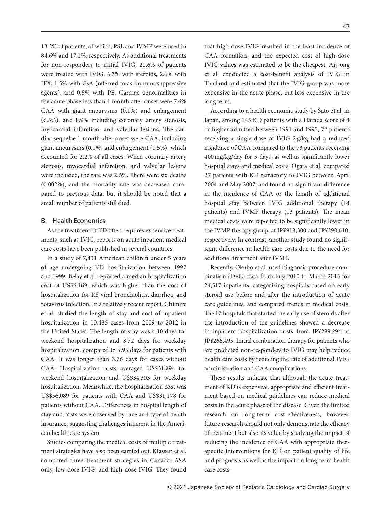13.2% of patients, of which, PSL and IVMP were used in 84.6% and 17.1%, respectively. As additional treatments for non-responders to initial IVIG, 21.6% of patients were treated with IVIG, 6.3% with steroids, 2.6% with IFX, 1.5% with CsA (referred to as immunosuppressive agents), and 0.5% with PE. Cardiac abnormalities in the acute phase less than 1 month after onset were 7.6% CAA with giant aneurysms (0.1%) and enlargement (6.5%), and 8.9% including coronary artery stenosis, myocardial infarction, and valvular lesions. The cardiac sequelae 1 month after onset were CAA, including giant aneurysms (0.1%) and enlargement (1.5%), which accounted for 2.2% of all cases. When coronary artery stenosis, myocardial infarction, and valvular lesions were included, the rate was 2.6%. There were six deaths (0.002%), and the mortality rate was decreased compared to previous data, but it should be noted that a small number of patients still died.

## B. Health Economics

As the treatment of KD often requires expensive treatments, such as IVIG, reports on acute inpatient medical care costs have been published in several countries.

In a study of 7,431 American children under 5 years of age undergoing KD hospitalization between 1997 and 1999, Belay et al. reported a median hospitalization cost of US\$6,169, which was higher than the cost of hospitalization for RS viral bronchiolitis, diarrhea, and rotavirus infection. In a relatively recent report, Ghimire et al. studied the length of stay and cost of inpatient hospitalization in 10,486 cases from 2009 to 2012 in the United States. The length of stay was 4.10 days for weekend hospitalization and 3.72 days for weekday hospitalization, compared to 5.95 days for patients with CAA. It was longer than 3.76 days for cases without CAA. Hospitalization costs averaged US\$31,294 for weekend hospitalization and US\$34,303 for weekday hospitalization. Meanwhile, the hospitalization cost was US\$56,089 for patients with CAA and US\$31,178 for patients without CAA. Differences in hospital length of stay and costs were observed by race and type of health insurance, suggesting challenges inherent in the American health care system.

Studies comparing the medical costs of multiple treatment strategies have also been carried out. Klassen et al. compared three treatment strategies in Canada: ASA only, low-dose IVIG, and high-dose IVIG. They found that high-dose IVIG resulted in the least incidence of CAA formation, and the expected cost of high-dose IVIG values was estimated to be the cheapest. Arj-ong et al. conducted a cost-benefit analysis of IVIG in Thailand and estimated that the IVIG group was more expensive in the acute phase, but less expensive in the long term.

According to a health economic study by Sato et al. in Japan, among 145 KD patients with a Harada score of 4 or higher admitted between 1991 and 1995, 72 patients receiving a single dose of IVIG 2 g/kg had a reduced incidence of CAA compared to the 73 patients receiving 400 mg/kg/day for 5 days, as well as signicantly lower hospital stays and medical costs. Ogata et al. compared 27 patients with KD refractory to IVIG between April 2004 and May 2007, and found no significant difference in the incidence of CAA or the length of additional hospital stay between IVIG additional therapy (14 patients) and IVMP therapy (13 patients). The mean medical costs were reported to be significantly lower in the IVMP therapy group, at JP¥918,300 and JP¥290,610, respectively. In contrast, another study found no significant difference in health care costs due to the need for additional treatment after IVMP.

Recently, Okubo et al. used diagnosis procedure combination (DPC) data from July 2010 to March 2015 for 24,517 inpatients, categorizing hospitals based on early steroid use before and after the introduction of acute care guidelines, and compared trends in medical costs. The 17 hospitals that started the early use of steroids after the introduction of the guidelines showed a decrease in inpatient hospitalization costs from JP¥289,294 to JP¥266,495. Initial combination therapy for patients who are predicted non-responders to IVIG may help reduce health care costs by reducing the rate of additional IVIG administration and CAA complications.

These results indicate that although the acute treatment of KD is expensive, appropriate and efficient treatment based on medical guidelines can reduce medical costs in the acute phase of the disease. Given the limited research on long-term cost-effectiveness, however, future research should not only demonstrate the efficacy of treatment but also its value by studying the impact of reducing the incidence of CAA with appropriate therapeutic interventions for KD on patient quality of life and prognosis as well as the impact on long-term health care costs.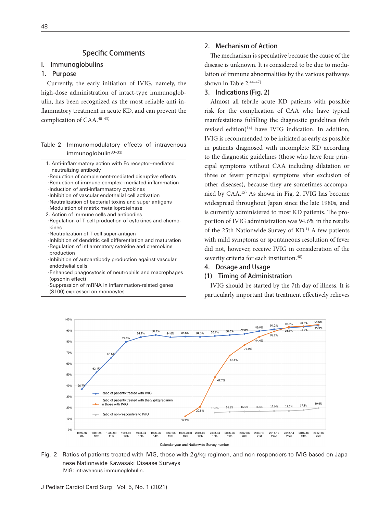## Specific Comments

#### I. Immunoglobulins

## 1. Purpose

Currently, the early initiation of IVIG, namely, the high-dose administration of intact-type immunoglobulin, has been recognized as the most reliable anti-in flammatory treatment in acute KD, and can prevent the complication of CAA.<sup>40-43)</sup>

## Table 2 Immunomodulatory effects of intravenous immunoglobulin<sup>30-33)</sup>

- 1. Anti-inflammatory action with Fc receptor-mediated neutralizing antibody
- ·Reduction of complement-mediated disruptive effects ·Reduction of immune complex‒mediated inflammation
- ·Induction of anti-inflammatory cytokines
- ·Inhibition of vascular endothelial cell activation
- ·Neutralization of bacterial toxins and super antigens
- ·Modulation of matrix metalloproteinase
- 2. Action of immune cells and antibodies
- · Regulation of T cell production of cytokines and chemokines
- ·Neutralization of T cell super-antigen
- ·Inhibition of dendritic cell differentiation and maturation · Regulation of inflammatory cytokine and chemokine production
- · Inhibition of autoantibody production against vascular endothelial cells
- · Enhanced phagocytosis of neutrophils and macrophages (opsonin effect)
- · Suppression of mRNA in inflammation-related genes (S100) expressed on monocytes

## 2. Mechanism of Action

The mechanism is speculative because the cause of the disease is unknown. It is considered to be due to modulation of immune abnormalities by the various pathways shown in Table  $2.44-47$ 

## 3. Indications (Fig. 2)

Almost all febrile acute KD patients with possible risk for the complication of CAA who have typical manifestations fullling the diagnostic guidelines (6th revised edition)14) have IVIG indication. In addition, IVIG is recommended to be initiated as early as possible in patients diagnosed with incomplete KD according to the diagnostic guidelines (those who have four principal symptoms without CAA including dilatation or three or fewer principal symptoms after exclusion of other diseases), because they are sometimes accompanied by CAA.15) As shown in Fig. 2, IVIG has become widespread throughout Japan since the late 1980s, and is currently administered to most KD patients. The proportion of IVIG administration was 94.6% in the results of the 25th Nationwide Survey of KD.1) A few patients with mild symptoms or spontaneous resolution of fever did not, however, receive IVIG in consideration of the severity criteria for each institution.<sup>48)</sup>

## 4. Dosage and Usage

## (1) Timing of Administration

IVIG should be started by the 7th day of illness. It is particularly important that treatment effectively relieves



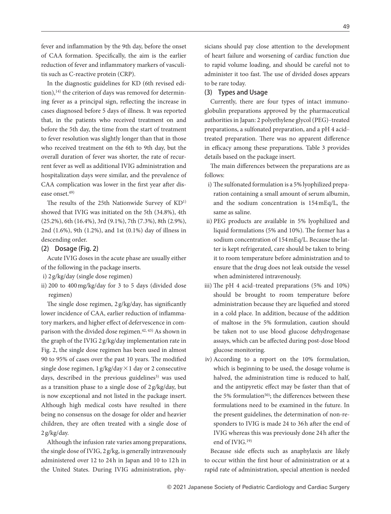fever and inflammation by the 9th day, before the onset of CAA formation. Specifically, the aim is the earlier reduction of fever and inflammatory markers of vasculitis such as C-reactive protein (CRP).

In the diagnostic guidelines for KD (6th revised edition), $14$ ) the criterion of days was removed for determining fever as a principal sign, reflecting the increase in cases diagnosed before 5 days of illness. It was reported that, in the patients who received treatment on and before the 5th day, the time from the start of treatment to fever resolution was slightly longer than that in those who received treatment on the 6th to 9th day, but the overall duration of fever was shorter, the rate of recurrent fever as well as additional IVIG administration and hospitalization days were similar, and the prevalence of CAA complication was lower in the first year after disease onset.49)

The results of the 25th Nationwide Survey of KD<sup>1)</sup> showed that IVIG was initiated on the 5th (34.8%), 4th (25.2%), 6th (16.4%), 3rd (9.1%), 7th (7.3%), 8th (2.9%), 2nd (1.6%), 9th (1.2%), and 1st (0.1%) day of illness in descending order.

## (2) Dosage (Fig. 2)

Acute IVIG doses in the acute phase are usually either of the following in the package inserts.

- i) 2 g/kg/day (single dose regimen)
- ii) 200 to 400 mg/kg/day for 3 to 5 days (divided dose regimen)

The single dose regimen,  $2 g/kg/day$ , has significantly lower incidence of CAA, earlier reduction of inflammatory markers, and higher effect of defervescence in comparison with the divided dose regimen.<sup>42, 43)</sup> As shown in the graph of the IVIG 2 g/kg/day implementation rate in Fig. 2, the single dose regimen has been used in almost 90 to 95% of cases over the past 10 years. The modified single dose regimen,  $1 g/kg/day \times 1 day$  or 2 consecutive days, described in the previous guidelines<sup>3)</sup> was used as a transition phase to a single dose of 2 g/kg/day, but is now exceptional and not listed in the package insert. Although high medical costs have resulted in there being no consensus on the dosage for older and heavier children, they are often treated with a single dose of 2 g/kg/day.

Although the infusion rate varies among preparations, the single dose of IVIG, 2 g/kg, is generally intravenously administered over 12 to 24h in Japan and 10 to 12h in the United States. During IVIG administration, physicians should pay close attention to the development of heart failure and worsening of cardiac function due to rapid volume loading, and should be careful not to administer it too fast. The use of divided doses appears to be rare today.

#### (3) Types and Usage

Currently, there are four types of intact immunoglobulin preparations approved by the pharmaceutical authorities in Japan: 2 polyethylene glycol (PEG)-treated preparations, a sulfonated preparation, and a pH 4 acidtreated preparation. There was no apparent difference in efficacy among these preparations. Table 3 provides details based on the package insert.

The main differences between the preparations are as follows:

- i) The sulfonated formulation is a 5% lyophilized preparation containing a small amount of serum albumin, and the sodium concentration is 154 mEq/L, the same as saline.
- ii) PEG products are available in 5% lyophilized and liquid formulations (5% and 10%). The former has a sodium concentration of 154 mEq/L. Because the latter is kept refrigerated, care should be taken to bring it to room temperature before administration and to ensure that the drug does not leak outside the vessel when administered intravenously.
- iii) The pH 4 acid–treated preparations  $(5\%$  and  $10\%)$ should be brought to room temperature before administration because they are liquefied and stored in a cold place. In addition, because of the addition of maltose in the 5% formulation, caution should be taken not to use blood glucose dehydrogenase assays, which can be affected during post-dose blood glucose monitoring.
- iv) According to a report on the 10% formulation, which is beginning to be used, the dosage volume is halved, the administration time is reduced to half, and the antipyretic effect may be faster than that of the 5% formulation<sup>50)</sup>; the differences between these formulations need to be examined in the future. In the present guidelines, the determination of non-responders to IVIG is made 24 to 36h after the end of IVIG whereas this was previously done 24h after the end of IVIG.19)

Because side effects such as anaphylaxis are likely to occur within the first hour of administration or at a rapid rate of administration, special attention is needed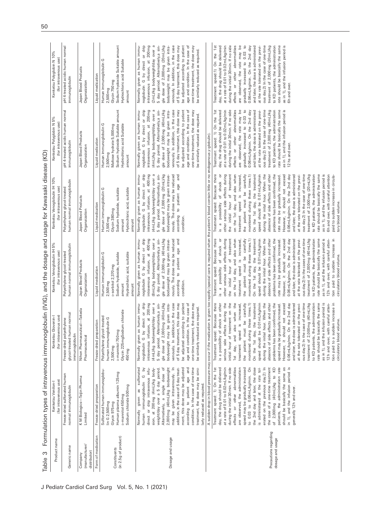| Generic name<br>Company                   | (for intravenous use)                                                                                                                                                                                                                                                                                                                                                                                                                                                                                                                                                                                                 | (for intravenous use)<br>Kenketsu Glovenin-                                                                                                                                                                                                                                                                                                                                                                                                                                                                                                                                                                                                                                                                                                                                                                                                                                                                                                                                      | Kenketsu Venoglobulin IH 5%<br>for intravenous use)                                                                                                                                                                                                                                                                                                                                                                                                                                                                                                                                                                                                                                                                                                                                                                                                                                                                                                                                           | for intravenous use                                                                                                                                                                                                                                                                                                                                                                                                                                                                                                                                                                                                                                                                                                                                                                                                                                                                                                                                                                          | (for intravenous use)                                                                                                                                                                                                                                                                                                                                                                                                                                                                                                                                                                   | Kenketsu Polyglobin N 10%<br>(for intravenous use)                                                                                                                                                                                                                                                                                                                                                                                                                                                                                                                                  |
|-------------------------------------------|-----------------------------------------------------------------------------------------------------------------------------------------------------------------------------------------------------------------------------------------------------------------------------------------------------------------------------------------------------------------------------------------------------------------------------------------------------------------------------------------------------------------------------------------------------------------------------------------------------------------------|----------------------------------------------------------------------------------------------------------------------------------------------------------------------------------------------------------------------------------------------------------------------------------------------------------------------------------------------------------------------------------------------------------------------------------------------------------------------------------------------------------------------------------------------------------------------------------------------------------------------------------------------------------------------------------------------------------------------------------------------------------------------------------------------------------------------------------------------------------------------------------------------------------------------------------------------------------------------------------|-----------------------------------------------------------------------------------------------------------------------------------------------------------------------------------------------------------------------------------------------------------------------------------------------------------------------------------------------------------------------------------------------------------------------------------------------------------------------------------------------------------------------------------------------------------------------------------------------------------------------------------------------------------------------------------------------------------------------------------------------------------------------------------------------------------------------------------------------------------------------------------------------------------------------------------------------------------------------------------------------|----------------------------------------------------------------------------------------------------------------------------------------------------------------------------------------------------------------------------------------------------------------------------------------------------------------------------------------------------------------------------------------------------------------------------------------------------------------------------------------------------------------------------------------------------------------------------------------------------------------------------------------------------------------------------------------------------------------------------------------------------------------------------------------------------------------------------------------------------------------------------------------------------------------------------------------------------------------------------------------------|-----------------------------------------------------------------------------------------------------------------------------------------------------------------------------------------------------------------------------------------------------------------------------------------------------------------------------------------------------------------------------------------------------------------------------------------------------------------------------------------------------------------------------------------------------------------------------------------|-------------------------------------------------------------------------------------------------------------------------------------------------------------------------------------------------------------------------------------------------------------------------------------------------------------------------------------------------------------------------------------------------------------------------------------------------------------------------------------------------------------------------------------------------------------------------------------|
|                                           | Freeze-dried sulfonated human<br>normal immunoglobulin                                                                                                                                                                                                                                                                                                                                                                                                                                                                                                                                                                | glycol-treated human normal<br>Freeze-dried polyethylene<br>immunoglobulin                                                                                                                                                                                                                                                                                                                                                                                                                                                                                                                                                                                                                                                                                                                                                                                                                                                                                                       | human normal immunoglobulin<br>Polyethylene glycol-treated                                                                                                                                                                                                                                                                                                                                                                                                                                                                                                                                                                                                                                                                                                                                                                                                                                                                                                                                    | human normal immunoglobulin<br>Polyethylene glycol-treated                                                                                                                                                                                                                                                                                                                                                                                                                                                                                                                                                                                                                                                                                                                                                                                                                                                                                                                                   | pH 4-treated acidic human normal<br>immunoglobulin                                                                                                                                                                                                                                                                                                                                                                                                                                                                                                                                      | pH 4-treated acidic human normal<br>immunoglobulin                                                                                                                                                                                                                                                                                                                                                                                                                                                                                                                                  |
| (manufacturer/<br>distributor             | K M Biologics—Teijin Pharma<br>Limited                                                                                                                                                                                                                                                                                                                                                                                                                                                                                                                                                                                | Nihon Pharmaceutical-Takeda<br>Pharmaceutical                                                                                                                                                                                                                                                                                                                                                                                                                                                                                                                                                                                                                                                                                                                                                                                                                                                                                                                                    | Japan Blood Products<br>Organaization                                                                                                                                                                                                                                                                                                                                                                                                                                                                                                                                                                                                                                                                                                                                                                                                                                                                                                                                                         | Japan Blood Products<br>Organaization                                                                                                                                                                                                                                                                                                                                                                                                                                                                                                                                                                                                                                                                                                                                                                                                                                                                                                                                                        | Japan Blood Products<br>Organaization                                                                                                                                                                                                                                                                                                                                                                                                                                                                                                                                                   | Japan Blood Products<br>Organaization                                                                                                                                                                                                                                                                                                                                                                                                                                                                                                                                               |
| Form of medication                        | Freeze-dried preparation                                                                                                                                                                                                                                                                                                                                                                                                                                                                                                                                                                                              | Freeze-dried preparation                                                                                                                                                                                                                                                                                                                                                                                                                                                                                                                                                                                                                                                                                                                                                                                                                                                                                                                                                         | Liquid medication                                                                                                                                                                                                                                                                                                                                                                                                                                                                                                                                                                                                                                                                                                                                                                                                                                                                                                                                                                             | Liquid medication                                                                                                                                                                                                                                                                                                                                                                                                                                                                                                                                                                                                                                                                                                                                                                                                                                                                                                                                                                            | Liquid medication                                                                                                                                                                                                                                                                                                                                                                                                                                                                                                                                                                       | Liquid medication                                                                                                                                                                                                                                                                                                                                                                                                                                                                                                                                                                   |
| (in 2.5g of product)<br>Constituents      | Sulfonated human immunoglobu-<br>Human plasma albumin 125mg<br>Sodium chloride 500 mg<br>p-mannitol 450 mg<br>lin G 2,500 mg<br>Glycin 975mg                                                                                                                                                                                                                                                                                                                                                                                                                                                                          | Glycin 225 mgSodium chloride<br>ycol-treated<br>human immunoglobulin G<br>p-mannitol 750mg<br>Polyethylene gl<br>2,500 mg<br>450 mg                                                                                                                                                                                                                                                                                                                                                                                                                                                                                                                                                                                                                                                                                                                                                                                                                                              | Human immunoglobulin G<br>Sodium hydoxide, suitable<br>Hydrochloric acid, suitable<br>D-sorbitol 2,370 mg<br>2,500 mg<br>amount<br>amount                                                                                                                                                                                                                                                                                                                                                                                                                                                                                                                                                                                                                                                                                                                                                                                                                                                     | Hydrochloric acid, suitable<br>Human immunoglobulin G<br>Sodium hydoxide, suitable<br>Glycin 380mg<br>2,500 mg<br>amount<br>amount                                                                                                                                                                                                                                                                                                                                                                                                                                                                                                                                                                                                                                                                                                                                                                                                                                                           | Sodium hydoxide Suitable amount<br>O<br>Hydrochloric acid Suitable<br>Maltose hydrate 5,000 mg<br>Human immunoglobulin<br>2,500 mg<br>amount                                                                                                                                                                                                                                                                                                                                                                                                                                            | Sodium hydoxide Suitable amount<br>Human immunoglobulin G<br>Hydrochloric acid Suitable<br>Glycin 750mg<br>2,500 mg<br>amount                                                                                                                                                                                                                                                                                                                                                                                                                                                       |
| Dosage and usage                          | condition. In the case of one-time<br>direct or drip intravenous infu-<br>2,000 mg (40 mL)/kg bodyweight<br>treatment, the dose may be simi-<br>sulfonated<br>Alternatively, a single dose of<br>$\equiv$<br>ment, this dose may be adjusted<br>to patient age and<br>δ<br>sion, at 200 mg (4 mL)/kg body-<br>addition, in the case of 5 day treat-<br>weight/day over a 5 day period.<br>may be given intravenously.<br>$\circ$<br>human immunoglobulin<br>larly reduced as required.<br>Normally given as<br>according                                                                                              | intravenous infusion, at 200 mg<br>(4 mL)/kg bodyweight/day over a<br>gle dose of 2,000 mg (40 mL)/kg<br>bodyweight may be given intra-<br>venously. In addition,in the case<br>be adjusted according to patient<br>as human immu-<br>by direct or drip<br>Alternatively,a sin-<br>of 5 day treatment, this dose may<br>age and condition. In the case of<br>one-time treatment, the dose may<br>be similarly reduced as required.<br>Normally giver<br>5 day period.<br>noglobulin G                                                                                                                                                                                                                                                                                                                                                                                                                                                                                            | intravenous infusion, at 400 mg<br>gle dose of 2,000mg (40mL)/kg<br>Normally given as human immu-<br>noglobulin G by direct or drip<br>(8mL)/kg bodyweight/day over a<br>5 day period. Alternatively, a sin-<br>nously. The dose may be reduced<br>to patient age and<br>bodyweight may be given intrave-<br>according<br>condition.                                                                                                                                                                                                                                                                                                                                                                                                                                                                                                                                                                                                                                                          | 5 day period. Alternatively, a sin-<br>nously. The dose may be reduced<br>Normally given as human immu-<br>noglobulin G by direct or drip<br>intravenous infusion, at 400 mg<br>(4 mL)/kg bodyweight/day over a<br>gle dose of 2,000 mg (20 mL)/kg<br>bodyweight may be given intrave-<br>to patient age and<br>according<br>condition.                                                                                                                                                                                                                                                                                                                                                                                                                                                                                                                                                                                                                                                      | noglobulin G by direct or drip<br>Normally given as human immu-<br>200 mg<br>(4 mL)/kg bodyweight/day over a<br>gle dose of 2,000 mg (40 mL)/kg<br>venously. In addition, in the case<br>of 5 day treatment, this dose may<br>be adjusted according to patient<br>one-time treatment, the dose may<br>age and condition. In the case of<br>5 day period. Alternatively, a sin-<br>bodyweight may be given intra-<br>be similarly reduced as required.<br>intravenous infusion, at                                                                                                       | venously. In addition, in the case<br>or drip<br>200mg<br>(2 mL)/kg bodyweight/day over a<br>gle dose of 2,000 mg (20 mL)/kg<br>be adjusted according to patient<br>Normally given as human immu-<br>bodyweight may be given intra-<br>of 5 day treatment, this dose may<br>age and condition. In the case of<br>one-time treatment, the dose may<br>5 day period. Alternatively, a sin-<br>be similarly reduced as required.<br>noglobulin G by direct<br>intravenous infusion, at                                                                                                 |
|                                           |                                                                                                                                                                                                                                                                                                                                                                                                                                                                                                                                                                                                                       | A sudden drop in blood pressure may occur if the medication is given too                                                                                                                                                                                                                                                                                                                                                                                                                                                                                                                                                                                                                                                                                                                                                                                                                                                                                                         | rapidly (special care is required when the patient's blood contain little or no endogenous y-globulin).                                                                                                                                                                                                                                                                                                                                                                                                                                                                                                                                                                                                                                                                                                                                                                                                                                                                                       |                                                                                                                                                                                                                                                                                                                                                                                                                                                                                                                                                                                                                                                                                                                                                                                                                                                                                                                                                                                              |                                                                                                                                                                                                                                                                                                                                                                                                                                                                                                                                                                                         |                                                                                                                                                                                                                                                                                                                                                                                                                                                                                                                                                                                     |
| Precautions regarding<br>dosage and usage | Treatment speed: 1) On the 1st<br>at a rate of 0.01 to 0.02 mL/kg/min<br>during the initial 30 min. If no side<br>speed may be gradually increased<br>the 2nd day and later, the dose<br>erated on the previous day.2) In<br>the case of a one-time treatment<br>of 2,000mg (40mL)/kg to KD<br>patients, the administration rate<br>day, the drug should be delivered<br>effects or other abnormalities<br>are observed, the administration<br>to 0.03 to 0.06mL/kg/min. On<br>rate tol-<br>should be basically the same as<br>in 1), and the infusion period is<br>is administered at the<br>generally 12h and over. | Treatment speed: Because there<br>serious side effects during the<br>treatment on the<br>as in 1), and the infusion period is<br>also when the<br>during the initial hour. When the<br>ous day.2) In the case of one-time<br>treatment of 2,000 mg (40 mL)/kg<br>of shock or other<br>be 0.01 mL/kg/min<br>problems has been confirmed, the<br>the administration<br>basically the same<br>sudden increase in<br>the patient must be carefully<br>monitored during these times.1)<br>On the 1st day, the treatment<br>absence of side effects and other<br>However, it should not exceed<br>0.06 mL/kg/min. On the 2nd day<br>treatment speed is increased,<br>speed may be gradually increased<br>and later, the dose is administered<br>at the rate tolerated on the previ-<br>with careful atten-<br>circulatory blood volume.<br>is a possibility<br>initial hour of<br>1st day, and<br>to KD patients,<br>rate should be<br>speed should<br>tion paid to a<br>12h and over, | Treatment speed: Because there<br>other serious side effects during<br>treatment of 2,000 mg (40 mL)/kg<br>to KD patients, the administration<br>on the 1st day, and also when<br>the patient must be carefully<br>speed should be 0.01 mL/kg/min<br>during the initial hour. When the<br>However, it should not exceed<br>0.06 mL/kg/min. On the 2nd day<br>ous day.2) In the cases of one-time<br>rate should be basically the same<br>as in 1), and the infusion period is<br>tion paid to sudden increase in<br>of shock or<br>treatment<br>problems has been confirmed, the<br>and later, the dose is administered<br>is increased,<br>monitored during these times.1)<br>On the 1st day, the treatment<br>absence of side effects and other<br>at the rate tolerated on the previ-<br>rate may be gradually increased<br>12h and over, with careful atten-<br>circulatory blood volume.<br>$\overline{\sigma}$<br>treatment speed<br>initial hour<br>a possibility<br>the<br><u>ی</u> . | Treatment speed: Because there<br>ous day.2) In the case of one-time<br>as in 1), and the infusion period is<br>other serious side effects during<br>treatment<br>on the 1st day, and also when<br>during the inital hour. When the<br>treatment of 2,000 mg (20 mL)/kg<br>rate should be basically the same<br>of shock or<br>On the 1st day, the treatment<br>speed should be 0.01 mL/kg/min<br>absence of side effects and other<br>problems has been confirmed, the<br>However, it should not exceed<br>0.06 mL/kg/min. On the 2nd day<br>to KD patients, the administration<br>6h and over, with careful attention<br>the patient must be carefully<br>monitored during these times.1)<br>and later, the dose is administered<br>at the rate tolerated on the previ-<br>paid to sudden increase in circula-<br>increased<br>rate may be gradually increased.<br>$\sigma$<br>treatment speed is<br>initial hour<br>a possibility<br>tory blood volume.<br>the<br>$\overline{\mathbf{S}}$ | at a rate of 0.01 to 0.02 mL/kg/min<br>ous day.2) In the case of one-time<br>as in 1), and the infusion period is<br>12 hs and over.<br>Treatment speed: 1) On the 1st<br>day, the drug should be delivered<br>during the initial 30 min. If no side<br>effects or other abnormalities<br>gradually increased to 0.03 to<br>0.06mL/kg/min. On the 2nd day<br>and later, the dose is administered<br>at the rate tolerated on the previ-<br>treatment of 2,000 mg (40 mL)/kg<br>to KD patients, the administration<br>rate should be basically the same<br>are observed, the rate may be | ous day.2) In the case of one-time<br>at a rate of 0.01 to 0.02 mL/kg/min<br>during the initial 30min. If no side<br>are observed, the rate may be<br>gradually increased to 0.03 to<br>and later, the dose is administered<br>at the rate tolerated on the previ-<br>treatment of 2,000 mg (20 mL)/kg<br>to KD patients, the administration<br>rate should be basically the same<br>day, the drug should be delivered<br>effects or other abnormalities<br>0.06 mL/kg/min. On the 2nd day<br>as in 1), and the infusion period is<br>Treatment speed:1) On the 1st<br>6h and over. |

| l                                               |  |
|-------------------------------------------------|--|
|                                                 |  |
|                                                 |  |
|                                                 |  |
|                                                 |  |
| ֖֖֖֖֖֧ׅ֪ׅ֖֧֖֚֚֚֚֚֚֚֚֚֚֚֚֚֚֚֚֚֚֚֚֚֚֚֚֚֚֚֡֝֝֓֝֓֞֬ |  |
|                                                 |  |
| <u>:</u>                                        |  |
| j                                               |  |
|                                                 |  |
|                                                 |  |
|                                                 |  |
| ֚֚֚֬                                            |  |
|                                                 |  |
|                                                 |  |
|                                                 |  |
|                                                 |  |
|                                                 |  |
| l                                               |  |
|                                                 |  |
|                                                 |  |
|                                                 |  |
|                                                 |  |
| j                                               |  |
| $\vdots$                                        |  |
|                                                 |  |
| ī                                               |  |
| $\vdots$                                        |  |
|                                                 |  |
|                                                 |  |
|                                                 |  |
|                                                 |  |
|                                                 |  |
|                                                 |  |
|                                                 |  |
|                                                 |  |
|                                                 |  |
|                                                 |  |
|                                                 |  |
| $\frac{1}{2}$                                   |  |
| .<br>.<br>.<br>.                                |  |
|                                                 |  |
|                                                 |  |
|                                                 |  |
|                                                 |  |
|                                                 |  |
|                                                 |  |
|                                                 |  |
|                                                 |  |
|                                                 |  |
| ı                                               |  |
|                                                 |  |
|                                                 |  |
|                                                 |  |
|                                                 |  |
| $\frac{1}{2}$                                   |  |
|                                                 |  |
|                                                 |  |
| E<br>Ó                                          |  |
| ı                                               |  |
|                                                 |  |
| C<br>Ó<br>֠                                     |  |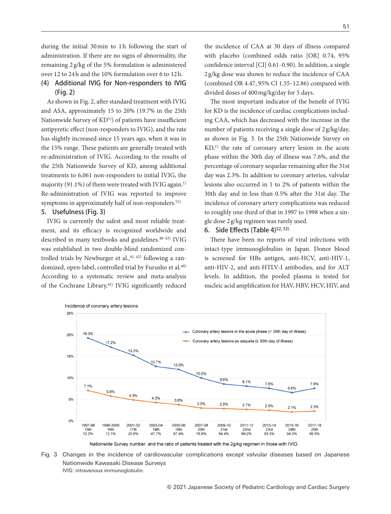during the initial 30 min to 1h following the start of administration. If there are no signs of abnormality, the remaining 2 g/kg of the 5% formulation is administered over 12 to 24 h and the 10% formulation over 6 to 12 h.

## (4) Additional IVIG for Non-responders to IVIG (Fig. 2)

As shown in Fig. 2, after standard treatment with IVIG and ASA, approximately 15 to 20% (19.7% in the 25th Nationwide Survey of KD<sup>1)</sup>) of patients have insufficient antipyretic effect (non-responders to IVIG), and the rate has slightly increased since 15 years ago, when it was in the 15% range. These patients are generally treated with re-administration of IVIG. According to the results of the 25th Nationwide Survey of KD, among additional treatments to 6,061 non-responders to initial IVIG, the majority (91.1%) of them were treated with IVIG again.<sup>1)</sup> Re-administration of IVIG was reported to improve symptoms in approximately half of non-responders.<sup>51)</sup>

## 5. Usefulness (Fig. 3)

IVIG is currently the safest and most reliable treatment, and its efficacy is recognized worldwide and described in many textbooks and guidelines.<sup>40-43)</sup> IVIG was established in two double-blind randomized controlled trials by Newburger et al., $41, 42$ ) following a randomized, open-label, controlled trial by Furusho et al.<sup>40)</sup> According to a systematic review and meta-analysis of the Cochrane Library,<sup>43)</sup> IVIG significantly reduced

the incidence of CAA at 30 days of illness compared with placebo (combined odds ratio [OR] 0.74, 95% confidence interval  $[CI]$  0.61–0.90). In addition, a single 2 g/kg dose was shown to reduce the incidence of CAA (combined OR 4.47, 95% CI 1.55-12.86) compared with divided doses of 400 mg/kg/day for 5 days.

The most important indicator of the benefit of IVIG for KD is the incidence of cardiac complications including CAA, which has decreased with the increase in the number of patients receiving a single dose of 2 g/kg/day, as shown in Fig. 3. In the 25th Nationwide Survey on  $KD<sub>1</sub>$ <sup>1</sup>) the rate of coronary artery lesion in the acute phase within the 30th day of illness was 7.6%, and the percentage of coronary sequelae remaining after the 31st day was 2.3%. In addition to coronary arteries, valvular lesions also occurred in 1 to 2% of patients within the 30th day and in less than 0.5% after the 31st day. The incidence of coronary artery complications was reduced to roughly one-third of that in 1997 to 1998 when a single dose 2 g/kg regimen was rarely used.

## 6. Side Effects (Table 4)<sup>52, 53)</sup>

There have been no reports of viral infections with intact-type immunoglobulins in Japan. Donor blood is screened for HBs antigen, anti-HCV, anti-HIV-1, anti-HIV-2, and anti-HTLV-I antibodies, and for ALT levels. In addition, the pooled plasma is tested for nucleic acid amplication for HAV, HBV, HCV, HIV, and



Nationwide Survey number and the ratio of patients treated with the 2g/kg regimen in those with IVIG

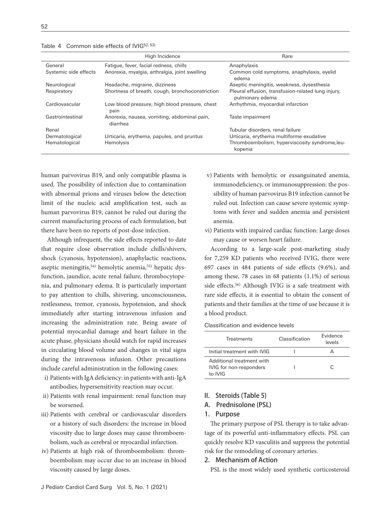| Table 4 Common side effects of IVIG52, 53) |  |
|--------------------------------------------|--|
|--------------------------------------------|--|

|                       | High Incidence                                          | Rare                                                                  |
|-----------------------|---------------------------------------------------------|-----------------------------------------------------------------------|
| General               | Fatique, fever, facial redness, chills                  | Anaphylaxis                                                           |
| Systemic side effects | Anorexia, myalgia, arthralgia, joint swelling           | Common cold symptoms, anaphylaxis, eyelid<br>edema                    |
| Neurological          | Headache, migraine, dizziness                           | Aseptic meningitis, weakness, dysesthesia                             |
| Respiratory           | Shortness of breath, cough, bronchoconstriction         | Pleural effusion, transfusion-related lung injury,<br>pulmonary edema |
| Cardiovascular        | Low blood pressure, high blood pressure, chest<br>pain  | Arrhythmia, myocardial infarction                                     |
| Gastrointestinal      | Anorexia, nausea, vomiting, abdominal pain,<br>diarrhea | Taste impairment                                                      |
| Renal                 |                                                         | Tubular disorders, renal failure                                      |
| Dermatological        | Urticaria, erythema, papules, and pruritus              | Urticaria, erythema multiforme exudative                              |
| Hematological         | Hemolysis                                               | Thromboembolism, hyperviscosity syndrome, leu-<br>kopenia             |

human parvovirus B19, and only compatible plasma is used. The possibility of infection due to contamination with abnormal prions and viruses below the detection limit of the nucleic acid amplification test, such as human parvovirus B19, cannot be ruled out during the current manufacturing process of each formulation, but there have been no reports of post-dose infection.

Although infrequent, the side effects reported to date that require close observation include chills/shivers, shock (cyanosis, hypotension), anaphylactic reactions, aseptic meningitis,<sup>54)</sup> hemolytic anemia,<sup>55)</sup> hepatic dysfunction, jaundice, acute renal failure, thrombocytopenia, and pulmonary edema. It is particularly important to pay attention to chills, shivering, unconsciousness, restlessness, tremor, cyanosis, hypotension, and shock immediately after starting intravenous infusion and increasing the administration rate. Being aware of potential myocardial damage and heart failure in the acute phase, physicians should watch for rapid increases in circulating blood volume and changes in vital signs during the intravenous infusion. Other precautions include careful administration in the following cases:

- i) Patients with IgA deficiency: in patients with anti-IgA antibodies, hypersensitivity reaction may occur.
- ii) Patients with renal impairment: renal function may be worsened.
- iii) Patients with cerebral or cardiovascular disorders or a history of such disorders: the increase in blood viscosity due to large doses may cause thromboembolism, such as cerebral or myocardial infarction.
- iv) Patients at high risk of thromboembolism: thromboembolism may occur due to an increase in blood viscosity caused by large doses.
- v) Patients with hemolytic or exsanguinated anemia, immunodeficiency, or immunosuppression: the possibility of human parvovirus B19 infection cannot be ruled out. Infection can cause severe systemic symptoms with fever and sudden anemia and persistent anemia.
- vi) Patients with impaired cardiac function: Large doses may cause or worsen heart failure.

According to a large-scale post-marketing study for 7,259 KD patients who received IVIG, there were 697 cases in 484 patients of side effects  $(9.6\%)$ , and among these, 78 cases in 68 patients (1.1%) of serious side effects.<sup>56)</sup> Although IVIG is a safe treatment with rare side effects, it is essential to obtain the consent of patients and their families at the time of use because it is a blood product.

Classification and evidence levels

| <b>Treatments</b>                                               | Classification | <b>Fvidence</b><br>levels |
|-----------------------------------------------------------------|----------------|---------------------------|
| Initial treatment with IVIG                                     |                |                           |
| Additional treatment with<br>IVIG for non-responders<br>to IVIG |                | ◠                         |

#### II. Steroids (Table 5)

#### A. Prednisolone (PSL)

#### 1. Purpose

The primary purpose of PSL therapy is to take advantage of its powerful anti-inflammatory effects. PSL can quickly resolve KD vasculitis and suppress the potential risk for the remodeling of coronary arteries.

## 2. Mechanism of Action

PSL is the most widely used synthetic corticosteroid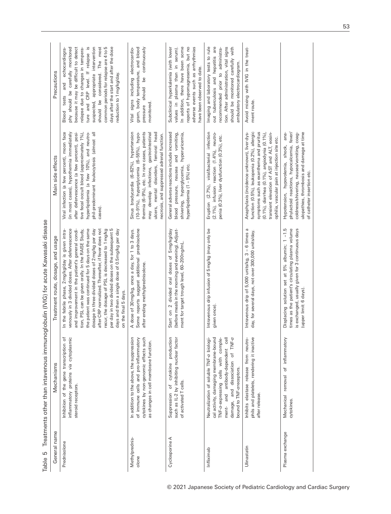|                         |                                                                                                                                                                                                                                                                 | Department of the state of the state of the state of the state of the state of the state of the state of the state of the state of the state of the state of the state of the state of the state of the state of the state of                                                                                                                                                                                                                                                                                                                                     |                                                                                                                                                                                                                                                                                       |                                                                                                                                                                                                                                                                                                                                                                                                  |
|-------------------------|-----------------------------------------------------------------------------------------------------------------------------------------------------------------------------------------------------------------------------------------------------------------|-------------------------------------------------------------------------------------------------------------------------------------------------------------------------------------------------------------------------------------------------------------------------------------------------------------------------------------------------------------------------------------------------------------------------------------------------------------------------------------------------------------------------------------------------------------------|---------------------------------------------------------------------------------------------------------------------------------------------------------------------------------------------------------------------------------------------------------------------------------------|--------------------------------------------------------------------------------------------------------------------------------------------------------------------------------------------------------------------------------------------------------------------------------------------------------------------------------------------------------------------------------------------------|
| General name            | Mechanisms                                                                                                                                                                                                                                                      | Treatment route, dosage, and usage                                                                                                                                                                                                                                                                                                                                                                                                                                                                                                                                | Main side effects                                                                                                                                                                                                                                                                     | Precautions                                                                                                                                                                                                                                                                                                                                                                                      |
| Prednisolone            | inflammatory proteins via cytoplasmic<br>Inhibition of the gene transcription of<br>steroid receptors.                                                                                                                                                          | venously in 3 divided doses. After defervescence<br>the patient was continued for 5 days on the same<br>after CRP normalized. Thereafter, if fever does not<br>per day in two divided doses on the subsequent 5<br>and improvement in the patient's general condi-<br>dosage in three divided doses of 2 mg/kg per day<br>recur, the dosage of PSL is decreased to 1 mg/kg<br>days and then a single dose of 0.5 mg/kg per day<br>In the febrile phase, 2 mg/kg/day is given intra-<br>tion, PSL can be given orally. In the RAISE Study,<br>on the final 5 days. | Viral infection (a few percent), moon face<br>after defervescence (a few percent), posi-<br>in most cases), hypothermia immediately<br>tive fecal occult blood (approximately 1%),<br>hyperlipidemia (a few 10%), and neutro-<br>phil-predominant leukocytosis (almost all<br>cases). | ∾.<br>common periods for relapse are 4 to 5<br>days after the start and after the dose<br>phy should be carefully monitored<br>because it may be difficult to detect<br>suspected, appropriate intervention<br>The most<br>echocardiogra-<br>relapse due to changes in tempera-<br>ture and CRP level. If relapse<br>should be considered.<br>reduction to 1 mg/kg/day.<br>and<br>tests<br>Blood |
| Methylprednis-<br>olone | In addition to the above, the suppression<br>of immune cells and pro-inflammatory<br>cytokines by non-genomic effects such<br>as changes in cell membrane function.                                                                                             | Some reports suggest additional prednisolone<br>A dose of 30 mg/kg, once a day, for 1 to 3 days.<br>after ending methylprednisolone.                                                                                                                                                                                                                                                                                                                                                                                                                              | Sinus bradycardia (6-82%), hypertension<br>ulcers, mental disorders, femoral head<br>thermia (6-9%), etc. In rare cases, patients<br>(10-91%), hyperglycemia (6-55%), hypo-<br>may develop infections, gastrointestinal<br>necrosis, and suppressed adrenal function.                 | gram, body temperature, and blood<br>electrocardio-<br>should be continuously<br>Vital signs including<br>monitored.<br>pressure                                                                                                                                                                                                                                                                 |
| Cyclosporine A          | cytokine production<br>such as IL-2 by inhibiting nuclear factor<br>of activated T cells.<br>đ<br>Suppression                                                                                                                                                   | Start on 2 divided oral doses of 5 mg/kg/day<br>(before meals in the morning and evening). Adjust-<br>ment for target trough level, 60-200 ng/mL                                                                                                                                                                                                                                                                                                                                                                                                                  | General adverse reactions include increased<br>blood pressure, nausea and vomiting,<br>hyperuricemia,<br>shivering, hyperglycemia,<br>hyperlipidemia (1 - 5%) etc.                                                                                                                    | adverse events such as arrhythmias<br>In addition, there have been some<br>reports of hypomagnesemia, but no<br>Subclinical hyperkalemia (with lower<br>serum).<br>values in plasma than in<br>have been observed to date.                                                                                                                                                                       |
| Infliximab              | $\overline{c}$ ell<br>TNF- $\alpha$<br>cal activity, damaging membrane-bound<br>TNF-a-expressing cells with comple-<br>Neutralization of soluble TNF-a biologi-<br>ment- and antibody-dependent<br>†<br>and dissociation<br>bound to TNF-areceptors.<br>damage, | Intravenous drip infusion of 5 mg/kg (may only be<br>given once).                                                                                                                                                                                                                                                                                                                                                                                                                                                                                                 | Eruption (2.7%), viral/bacterial infection<br>$(2.1\%)$ , infusion reaction $(1.4\%)$ , neutro-<br>penia (0.3%), liver dysfunction (0.3%), etc.                                                                                                                                       | tion. After administration, vital signs<br>Imaging and laboratory tests to rule<br>are<br>should be monitored carefully with<br>recommended prior to administra-<br>out tuberculosis and hepatitis<br>ambulatory electrocardiogram.                                                                                                                                                              |
| Ulinastatin             | phils and platelets, rendering it inactive<br>Inhibits elastase release from neutro-<br>after release.                                                                                                                                                          | Intravenous drip of 5,000 units/kg, 3 - 6 times a<br>day, for several days, not over 300,000 units/day.                                                                                                                                                                                                                                                                                                                                                                                                                                                           | function (0.5%), leukopenia (0.2%), allergic<br>symptoms such as exanthema and pruritus<br>transient elevation of AST and ALT, eosin-<br>(0.1%), diarrhea (0.1%), angiodynia (0.1%),<br>Anaphylaxis (incidence unknown), liver dys-<br>ophilia, vascular pain at injection site etc.  | Avoid mixing with IVIG in the treat-<br>ment route                                                                                                                                                                                                                                                                                                                                               |
| Plasma exchange         | Mechanical removal of inflammatory<br>cytokines.                                                                                                                                                                                                                | Displacing solution set at 5% albumin; 1 -1.5<br>times as the patient's circulating plasma volume<br>is exchanged, usually given for 3 continuous days<br>(upper limit: 6 days)                                                                                                                                                                                                                                                                                                                                                                                   | ulopathies, thrombosis and damage at time<br>phylactoid reactions, hypocalcemia, fever/<br>coldness/shivering, nausea/vomiting, coag-<br>Hypotension, hypovolemia, shock, ana-<br>of catheter insertion etc.                                                                          |                                                                                                                                                                                                                                                                                                                                                                                                  |

Table 5 Treatments other than intavenous immunodiobulin (IVIG) for acute Kawasaki disease Table 5 Treatments other than intavenous immunoglobulin (IVIG) for acute Kawasaki disease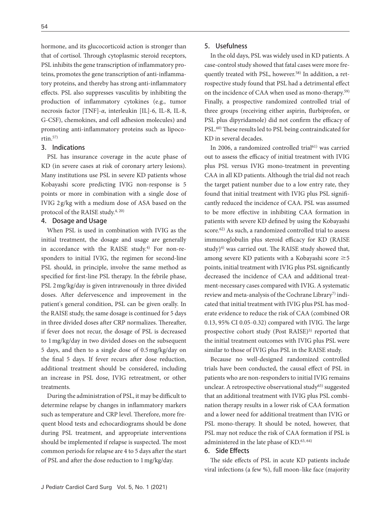hormone, and its glucocorticoid action is stronger than that of cortisol. Through cytoplasmic steroid receptors, PSL inhibits the gene transcription of inflammatory proteins, promotes the gene transcription of anti-inflammatory proteins, and thereby has strong anti-inflammatory effects. PSL also suppresses vasculitis by inhibiting the production of inflammatory cytokines (e.g., tumor necrosis factor [TNF]-*α*, interleukin [IL]-6, IL-8, IL-8, G-CSF), chemokines, and cell adhesion molecules) and promoting anti-inflammatory proteins such as lipocortin.57)

## 3. Indications

PSL has insurance coverage in the acute phase of KD (in severe cases at risk of coronary artery lesions). Many institutions use PSL in severe KD patients whose Kobayashi score predicting IVIG non-response is 5 points or more in combination with a single dose of IVIG 2 g/kg with a medium dose of ASA based on the protocol of the RAISE study.4, 20)

## 4. Dosage and Usage

When PSL is used in combination with IVIG as the initial treatment, the dosage and usage are generally in accordance with the RAISE study.<sup>4)</sup> For non-responders to initial IVIG, the regimen for second-line PSL should, in principle, involve the same method as specified for first-line PSL therapy. In the febrile phase, PSL 2 mg/kg/day is given intravenously in three divided doses. After defervescence and improvement in the patient's general condition, PSL can be given orally. In the RAISE study, the same dosage is continued for 5 days in three divided doses after CRP normalizes. Thereafter, if fever does not recur, the dosage of PSL is decreased to 1 mg/kg/day in two divided doses on the subsequent 5 days, and then to a single dose of 0.5 mg/kg/day on the final 5 days. If fever recurs after dose reduction, additional treatment should be considered, including an increase in PSL dose, IVIG retreatment, or other treatments.

During the administration of PSL, it may be difficult to determine relapse by changes in inflammatory markers such as temperature and CRP level. Therefore, more frequent blood tests and echocardiograms should be done during PSL treatment, and appropriate interventions should be implemented if relapse is suspected. The most common periods for relapse are 4 to 5 days after the start of PSL and after the dose reduction to 1 mg/kg/day.

## 5. Usefulness

In the old days, PSL was widely used in KD patients. A case-control study showed that fatal cases were more frequently treated with PSL, however.<sup>58)</sup> In addition, a retrospective study found that PSL had a detrimental effect on the incidence of CAA when used as mono-therapy.59) Finally, a prospective randomized controlled trial of three groups (receiving either aspirin, flurbiprofen, or PSL plus dipyridamole) did not confirm the efficacy of PSL.<sup>60)</sup> These results led to PSL being contraindicated for KD in several decades.

In 2006, a randomized controlled trial<sup>61)</sup> was carried out to assess the efficacy of initial treatment with IVIG plus PSL versus IVIG mono-treatment in preventing CAA in all KD patients. Although the trial did not reach the target patient number due to a low entry rate, they found that initial treatment with IVIG plus PSL significantly reduced the incidence of CAA. PSL was assumed to be more effective in inhibiting CAA formation in patients with severe KD defined by using the Kobayashi score.62) As such, a randomized controlled trial to assess immunoglobulin plus steroid efficacy for KD (RAISE study) $4$ ) was carried out. The RAISE study showed that, among severe KD patients with a Kobayashi score  $\geq 5$ points, initial treatment with IVIG plus PSL significantly decreased the incidence of CAA and additional treatment-necessary cases compared with IVIG. A systematic review and meta-analysis of the Cochrane Library7) indicated that initial treatment with IVIG plus PSL has moderate evidence to reduce the risk of CAA (combined OR 0.13, 95% CI 0.05-0.32) compared with IVIG. The large prospective cohort study (Post RAISE)<sup>5)</sup> reported that the initial treatment outcomes with IVIG plus PSL were similar to those of IVIG plus PSL in the RAISE study.

Because no well-designed randomized controlled trials have been conducted, the causal effect of PSL in patients who are non-responders to initial IVIG remains unclear. A retrospective observational study<sup>63)</sup> suggested that an additional treatment with IVIG plus PSL combination therapy results in a lower risk of CAA formation and a lower need for additional treatment than IVIG or PSL mono-therapy. It should be noted, however, that PSL may not reduce the risk of CAA formation if PSL is administered in the late phase of KD.<sup>63, 64)</sup>

## 6. Side Effects

The side effects of PSL in acute KD patients include viral infections (a few %), full moon-like face (majority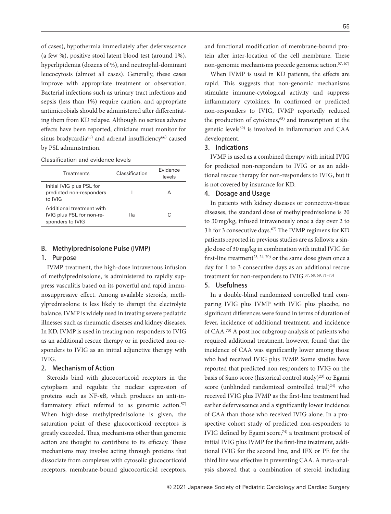of cases), hypothermia immediately after defervescence (a few %), positive stool latent blood test (around 1%), hyperlipidemia (dozens of %), and neutrophil-dominant leucocytosis (almost all cases). Generally, these cases improve with appropriate treatment or observation. Bacterial infections such as urinary tract infections and sepsis (less than 1%) require caution, and appropriate antimicrobials should be administered after differentiating them from KD relapse. Although no serious adverse effects have been reported, clinicians must monitor for sinus bradycardia<sup>65)</sup> and adrenal insufficiency<sup>66)</sup> caused by PSL administration.

Classification and evidence levels

| Treatments                                                                 | Classification | <b>Fvidence</b><br>levels |
|----------------------------------------------------------------------------|----------------|---------------------------|
| Initial IVIG plus PSL for<br>predicted non-responders<br>to IVIG           |                | д                         |
| Additional treatment with<br>IVIG plus PSL for non-re-<br>sponders to IVIG | llа            | C                         |

## B. Methylprednisolone Pulse (IVMP)

## 1. Purpose

IVMP treatment, the high-dose intravenous infusion of methylprednisolone, is administered to rapidly suppress vasculitis based on its powerful and rapid immunosuppressive effect. Among available steroids, methylprednisolone is less likely to disrupt the electrolyte balance. IVMP is widely used in treating severe pediatric illnesses such as rheumatic diseases and kidney diseases. In KD, IVMP is used in treating non-responders to IVIG as an additional rescue therapy or in predicted non-responders to IVIG as an initial adjunctive therapy with IVIG.

### 2. Mechanism of Action

Steroids bind with glucocorticoid receptors in the cytoplasm and regulate the nuclear expression of proteins such as NF-*κ*B, which produces an anti-in flammatory effect referred to as genomic action. $57$ ) When high-dose methylprednisolone is given, the saturation point of these glucocorticoid receptors is greatly exceeded. Thus, mechanisms other than genomic action are thought to contribute to its efficacy. These mechanisms may involve acting through proteins that dissociate from complexes with cytosolic glucocorticoid receptors, membrane-bound glucocorticoid receptors, and functional modification of membrane-bound protein after inter-location of the cell membrane. These non-genomic mechanisms precede genomic action.57, 67)

When IVMP is used in KD patients, the effects are rapid. This suggests that non-genomic mechanisms stimulate immune-cytological activity and suppress inflammatory cytokines. In confirmed or predicted non-responders to IVIG, IVMP reportedly reduced the production of cytokines,<sup>68)</sup> and transcription at the genetic levels<sup>69)</sup> is involved in inflammation and CAA development.

#### 3. Indications

IVMP is used as a combined therapy with initial IVIG for predicted non-responders to IVIG or as an additional rescue therapy for non-responders to IVIG, but it is not covered by insurance for KD.

#### 4. Dosage and Usage

In patients with kidney diseases or connective-tissue diseases, the standard dose of methylprednisolone is 20 to 30 mg/kg, infused intravenously once a day over 2 to 3h for 3 consecutive days.<sup>67)</sup> The IVMP regimens for KD patients reported in previous studies are as follows: a single dose of 30 mg/kg in combination with initial IVIG for first-line treatment<sup>23, 24, 70</sup> or the same dose given once a day for 1 to 3 consecutive days as an additional rescue treatment for non-responders to IVIG.<sup>37, 68, 69, 71-73)</sup>

## 5. Usefulness

In a double-blind randomized controlled trial comparing IVIG plus IVMP with IVIG plus placebo, no significant differences were found in terms of duration of fever, incidence of additional treatment, and incidence of CAA.70) A post hoc subgroup analysis of patients who required additional treatment, however, found that the incidence of CAA was significantly lower among those who had received IVIG plus IVMP. Some studies have reported that predicted non-responders to IVIG on the basis of Sano score (historical control study)<sup>23)</sup> or Egami score (unblinded randomized controlled trial)<sup>24)</sup> who received IVIG plus IVMP as the first-line treatment had earlier defervescence and a significantly lower incidence of CAA than those who received IVIG alone. In a prospective cohort study of predicted non-responders to IVIG defined by Egami score,<sup>74)</sup> a treatment protocol of initial IVIG plus IVMP for the first-line treatment, additional IVIG for the second line, and IFX or PE for the third line was effective in preventing CAA. A meta-analysis showed that a combination of steroid including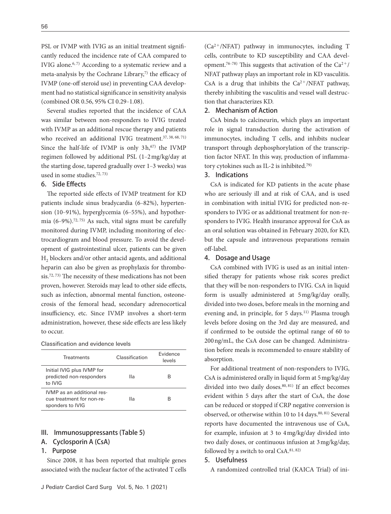PSL or IVMP with IVIG as an initial treatment significantly reduced the incidence rate of CAA compared to IVIG alone.<sup>6, 7)</sup> According to a systematic review and a meta-analysis by the Cochrane Library, $7$  the efficacy of IVMP (one-off steroid use) in preventing CAA development had no statistical significance in sensitivity analysis (combined OR 0.56, 95% CI 0.29-1.08).

Several studies reported that the incidence of CAA was similar between non-responders to IVIG treated with IVMP as an additional rescue therapy and patients who received an additional IVIG treatment.<sup>37, 38, 68, 71)</sup> Since the half-life of IVMP is only  $3h,67$  the IVMP regimen followed by additional PSL (1‒2 mg/kg/day at the starting dose, tapered gradually over 1-3 weeks) was used in some studies.72, 73)

## 6. Side Effects

The reported side effects of IVMP treatment for KD patients include sinus bradycardia (6-82%), hypertension (10–91%), hyperglycemia (6–55%), and hypothermia (6‒9%).72, 75) As such, vital signs must be carefully monitored during IVMP, including monitoring of electrocardiogram and blood pressure. To avoid the development of gastrointestinal ulcer, patients can be given H<sub>2</sub> blockers and/or other antacid agents, and additional heparin can also be given as prophylaxis for thrombosis.<sup>72, 73)</sup> The necessity of these medications has not been proven, however. Steroids may lead to other side effects, such as infection, abnormal mental function, osteonecrosis of the femoral head, secondary adrenocortical insufficiency, etc. Since IVMP involves a short-term administration, however, these side effects are less likely to occur.

| Classification and evidence levels |  |  |  |  |
|------------------------------------|--|--|--|--|
|------------------------------------|--|--|--|--|

| <b>Treatments</b>                                                           | Classification | <b>Fvidence</b><br>levels |
|-----------------------------------------------------------------------------|----------------|---------------------------|
| Initial IVIG plus IVMP for<br>predicted non-responders<br>to IVIG           | Шa             | B                         |
| IVMP as an additional res-<br>cue treatment for non-re-<br>sponders to IVIG | Шa             | R                         |

### III. Immunosuppressants (Table 5)

#### A. Cyclosporin A (CsA)

## 1. Purpose

Since 2008, it has been reported that multiple genes associated with the nuclear factor of the activated T cells

(Ca2<sup>+</sup>/NFAT) pathway in immunocytes, including T cells, contribute to KD susceptibility and CAA development.<sup>76-78)</sup> This suggests that activation of the Ca<sup>2+</sup>/ NFAT pathway plays an important role in KD vasculitis. CsA is a drug that inhibits the  $Ca^{2+}/NFAT$  pathway, thereby inhibiting the vasculitis and vessel wall destruction that characterizes KD.

#### 2. Mechanism of Action

CsA binds to calcineurin, which plays an important role in signal transduction during the activation of immunocytes, including T cells, and inhibits nuclear transport through dephosphorylation of the transcription factor NFAT. In this way, production of inflammatory cytokines such as IL-2 is inhibited.79)

## 3. Indications

CsA is indicated for KD patients in the acute phase who are seriously ill and at risk of CAA, and is used in combination with initial IVIG for predicted non-responders to IVIG or as additional treatment for non-responders to IVIG. Health insurance approval for CsA as an oral solution was obtained in February 2020, for KD, but the capsule and intravenous preparations remain off-label.

#### 4. Dosage and Usage

CsA combined with IVIG is used as an initial intensified therapy for patients whose risk scores predict that they will be non-responders to IVIG. CsA in liquid form is usually administered at 5 mg/kg/day orally, divided into two doses, before meals in the morning and evening and, in principle, for 5 days.<sup>11)</sup> Plasma trough levels before dosing on the 3rd day are measured, and if confirmed to be outside the optimal range of 60 to 200 ng/mL, the CsA dose can be changed. Administration before meals is recommended to ensure stability of absorption.

For additional treatment of non-responders to IVIG, CsA is administered orally in liquid form at 5 mg/kg/day divided into two daily doses.<sup>80, 81)</sup> If an effect becomes evident within 5 days after the start of CsA, the dose can be reduced or stopped if CRP negative conversion is observed, or otherwise within 10 to 14 days.<sup>80, 81)</sup> Several reports have documented the intravenous use of CsA, for example, infusion at 3 to 4 mg/kg/day divided into two daily doses, or continuous infusion at 3 mg/kg/day, followed by a switch to oral CsA.<sup>81, 82)</sup>

#### 5. Usefulness

A randomized controlled trial (KAICA Trial) of ini-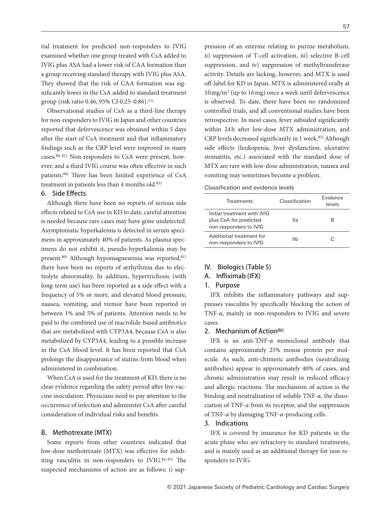tial treatment for predicted non-responders to IVIG examined whether one group treated with CsA added to IVIG plus ASA had a lower risk of CAA formation than a group receiving standard therapy with IVIG plus ASA. They showed that the risk of CAA formation was significantly lower in the CsA added to standard treatment group (risk ratio 0.46, 95% CI 0.25-0.86).<sup>11)</sup>

Observational studies of CsA as a third-line therapy for non-responders to IVIG in Japan and other countries reported that defervescence was obtained within 5 days after the start of CsA treatment and that inflammatory findings such as the CRP level were improved in many cases.80, 81) Non-responders to CsA were present, however, and a third IVIG course was often effective in such patients.<sup>80)</sup> There has been limited experience of CsA treatment in patients less than 4 months old.<sup>83)</sup>

#### 6. Side Effects

Although there have been no reports of serious side effects related to CsA use in KD to date, careful attention is needed because rare cases may have gone undetected. Asymptomatic hyperkalemia is detected in serum specimens in approximately 40% of patients. As plasma specimens do not exhibit it, pseudo-hyperkalemia may be present.<sup>80)</sup> Although hypomagnesemia was reported,<sup>81)</sup> there have been no reports of arrhythmia due to electrolyte abnormality. In addition, hypertrichosis (with long-term use) has been reported as a side effect with a frequency of 5% or more, and elevated blood pressure, nausea, vomiting, and tremor have been reported in between 1% and 5% of patients. Attention needs to be paid to the combined use of macrolide-based antibiotics that are metabolized with CYP3A4, because CsA is also metabolized by CYP3A4, leading to a possible increase in the CsA blood level. It has been reported that CsA prolongs the disappearance of statins from blood when administered in combination.

When CsA is used for the treatment of KD, there is no clear evidence regarding the safety period after live vaccine inoculation. Physicians need to pay attention to the occurrence of infection and administer CsA after careful consideration of individual risks and benefits.

#### B. Methotrexate (MTX)

Some reports from other countries indicated that low-dose methotrexate (MTX) was effective for inhibiting vasculitis in non-responders to IVIG.<sup>84, 85)</sup> The suspected mechanisms of action are as follows: i) suppression of an enzyme relating to purine metabolism, ii) suppression of T-cell activation, iii) selective B-cell suppression, and iv) suppression of methyltransferase activity. Details are lacking, however, and MTX is used off-label for KD in Japan. MTX is administered orally at 10 mg/m2 (up to 16 mg) once a week until defervescence is observed. To date, there have been no randomized controlled trials, and all conventional studies have been retrospective. In most cases, fever subsided significantly within 24h after low-dose MTX administration, and CRP levels decreased significantly in 1 week.<sup>85)</sup> Although side effects (leukopenia, liver dysfunction, ulcerative stomatitis, etc.) associated with the standard dose of MTX are rare with low-dose administration, nausea and vomiting may sometimes become a problem.

|--|

| Treatments                                                                      | Classification | <b>Fvidence</b><br>levels |
|---------------------------------------------------------------------------------|----------------|---------------------------|
| Initial treatment with IVIG<br>plus CsA for predicted<br>non-responders to IVIG | lla            | R                         |
| Additional treatment for<br>non-responders to IVIG                              | Ilb            | C                         |

#### IV. Biologics (Table 5)

#### A. Infliximab (IFX)

#### 1. Purpose

IFX inhibits the inflammatory pathways and suppresses vasculitis by specifically blocking the action of TNF-*α*, mainly in non-responders to IVIG and severe cases.

#### 2. Mechanism of Action<sup>86)</sup>

IFX is an anti-TNF-*α* monoclonal antibody that contains approximately 25% mouse protein per molecule. As such, anti-chimeric antibodies (neutralizing antibodies) appear in approximately 40% of cases, and chronic administration may result in reduced efficacy and allergic reactions. The mechanism of action is the binding and neutralization of soluble TNF-*α*, the dissociation of TNF-*α* from its receptor, and the suppression of TNF-*α* by damaging TNF-*α*-producing cells.

#### 3. Indications

IFX is covered by insurance for KD patients in the acute phase who are refractory to standard treatments, and is mainly used as an additional therapy for non-responders to IVIG.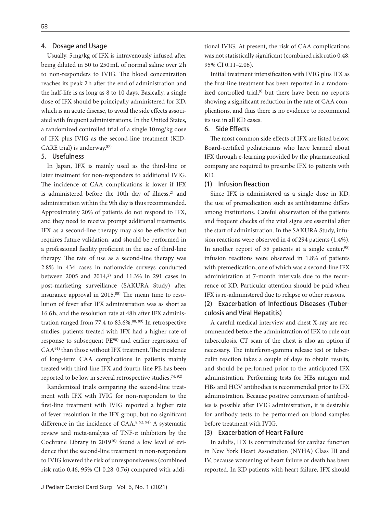## 4. Dosage and Usage

Usually, 5 mg/kg of IFX is intravenously infused after being diluted in 50 to 250 mL of normal saline over 2 h to non-responders to IVIG. The blood concentration reaches its peak 2h after the end of administration and the half-life is as long as 8 to 10 days. Basically, a single dose of IFX should be principally administered for KD, which is an acute disease, to avoid the side effects associated with frequent administrations. In the United States, a randomized controlled trial of a single 10 mg/kg dose of IFX plus IVIG as the second-line treatment (KID-CARE trial) is underway.87)

## 5. Usefulness

In Japan, IFX is mainly used as the third-line or later treatment for non-responders to additional IVIG. The incidence of CAA complications is lower if IFX is administered before the 10th day of illness,<sup>2)</sup> and administration within the 9th day is thus recommended. Approximately 20% of patients do not respond to IFX, and they need to receive prompt additional treatments. IFX as a second-line therapy may also be effective but requires future validation, and should be performed in a professional facility proficient in the use of third-line therapy. The rate of use as a second-line therapy was 2.8% in 434 cases in nationwide surveys conducted between 2005 and 2014, $2$ ) and 11.3% in 291 cases in post-marketing surveillance (SAKURA Study) after insurance approval in  $2015$ .<sup>88)</sup> The mean time to resolution of fever after IFX administration was as short as 16.6h, and the resolution rate at 48h after IFX administration ranged from 77.4 to 83.6%.88, 89) In retrospective studies, patients treated with IFX had a higher rate of response to subsequent PE90) and earlier regression of  $CAA<sup>91</sup>$  than those without IFX treatment. The incidence of long-term CAA complications in patients mainly treated with third-line IFX and fourth-line PE has been reported to be low in several retrospective studies.<sup>74, 92)</sup>

Randomized trials comparing the second-line treatment with IFX with IVIG for non-responders to the first-line treatment with IVIG reported a higher rate of fever resolution in the IFX group, but no signicant difference in the incidence of  $CAA$ .<sup>8, 93, 94)</sup> A systematic review and meta-analysis of TNF-*α* inhibitors by the Cochrane Library in 201910) found a low level of evidence that the second-line treatment in non-responders to IVIG lowered the risk of unresponsiveness (combined risk ratio 0.46, 95% CI 0.28-0.76) compared with additional IVIG. At present, the risk of CAA complications was not statistically significant (combined risk ratio 0.48, 95% CI 0.11-2.06).

Initial treatment intensification with IVIG plus IFX as the first-line treatment has been reported in a randomized controlled trial,<sup>9)</sup> but there have been no reports showing a significant reduction in the rate of CAA complications, and thus there is no evidence to recommend its use in all KD cases.

## 6. Side Effects

The most common side effects of IFX are listed below. Board-certified pediatricians who have learned about IFX through e-learning provided by the pharmaceutical company are required to prescribe IFX to patients with KD.

## (1) Infusion Reaction

Since IFX is administered as a single dose in KD, the use of premedication such as antihistamine differs among institutions. Careful observation of the patients and frequent checks of the vital signs are essential after the start of administration. In the SAKURA Study, infusion reactions were observed in 4 of 294 patients (1.4%). In another report of 55 patients at a single center,  $95$ infusion reactions were observed in 1.8% of patients with premedication, one of which was a second-line IFX administration at 7-month intervals due to the recurrence of KD. Particular attention should be paid when IFX is re-administered due to relapse or other reasons.

## (2) Exacerbation of Infectious Diseases (Tuberculosis and Viral Hepatitis)

A careful medical interview and chest X-ray are recommended before the administration of IFX to rule out tuberculosis. CT scan of the chest is also an option if necessary. The interferon-gamma release test or tuberculin reaction takes a couple of days to obtain results, and should be performed prior to the anticipated IFX administration. Performing tests for HBs antigen and HBs and HCV antibodies is recommended prior to IFX administration. Because positive conversion of antibodies is possible after IVIG administration, it is desirable for antibody tests to be performed on blood samples before treatment with IVIG.

## (3) Exacerbation of Heart Failure

In adults, IFX is contraindicated for cardiac function in New York Heart Association (NYHA) Class III and IV, because worsening of heart failure or death has been reported. In KD patients with heart failure, IFX should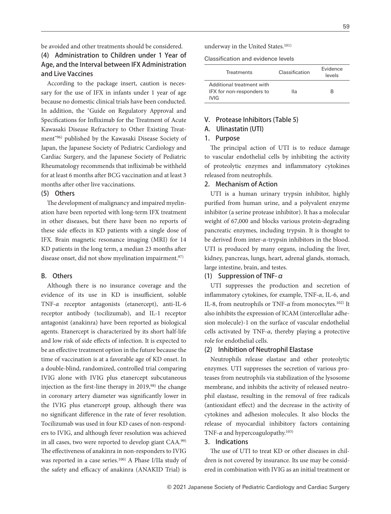be avoided and other treatments should be considered.

## (4) Administration to Children under 1 Year of Age, and the Interval between IFX Administration and Live Vaccines

According to the package insert, caution is necessary for the use of IFX in infants under 1 year of age because no domestic clinical trials have been conducted. In addition, the "Guide on Regulatory Approval and Specifications for Infliximab for the Treatment of Acute Kawasaki Disease Refractory to Other Existing Treatment"96) published by the Kawasaki Disease Society of Japan, the Japanese Society of Pediatric Cardiology and Cardiac Surgery, and the Japanese Society of Pediatric Rheumatology recommends that infliximab be withheld for at least 6 months after BCG vaccination and at least 3 months after other live vaccinations.

#### (5) Others

The development of malignancy and impaired myelination have been reported with long-term IFX treatment in other diseases, but there have been no reports of these side effects in KD patients with a single dose of IFX. Brain magnetic resonance imaging (MRI) for 14 KD patients in the long term, a median 23 months after disease onset, did not show myelination impairment.<sup>97)</sup>

## B. Others

Although there is no insurance coverage and the evidence of its use in KD is insufficient, soluble TNF-*α* receptor antagonists (etanercept), anti-IL-6 receptor antibody (tocilizumab), and IL-1 receptor antagonist (anakinra) have been reported as biological agents. Etanercept is characterized by its short half-life and low risk of side effects of infection. It is expected to be an effective treatment option in the future because the time of vaccination is at a favorable age of KD onset. In a double-blind, randomized, controlled trial comparing IVIG alone with IVIG plus etanercept subcutaneous injection as the first-line therapy in  $2019,^{98}$  the change in coronary artery diameter was significantly lower in the IVIG plus etanercept group, although there was no significant difference in the rate of fever resolution. Tocilizumab was used in four KD cases of non-responders to IVIG, and although fever resolution was achieved in all cases, two were reported to develop giant CAA.99) The effectiveness of anakinra in non-responders to IVIG was reported in a case series.100) A Phase I/IIa study of the safety and efficacy of anakinra (ANAKID Trial) is

underway in the United States.101)

Classification and evidence levels

| <b>Treatments</b>                                                     | Classification | <b>Fvidence</b><br>levels |
|-----------------------------------------------------------------------|----------------|---------------------------|
| Additional treatment with<br>IFX for non-responders to<br><b>IVIG</b> | lla            | R                         |

#### V. Protease Inhibitors (Table 5)

## A. Ulinastatin (UTI)

#### 1. Purpose

The principal action of UTI is to reduce damage to vascular endothelial cells by inhibiting the activity of proteolytic enzymes and inflammatory cytokines released from neutrophils.

## 2. Mechanism of Action

UTI is a human urinary trypsin inhibitor, highly purified from human urine, and a polyvalent enzyme inhibitor (a serine protease inhibitor). It has a molecular weight of 67,000 and blocks various protein-degrading pancreatic enzymes, including trypsin. It is thought to be derived from inter-*α*-trypsin inhibitors in the blood. UTI is produced by many organs, including the liver, kidney, pancreas, lungs, heart, adrenal glands, stomach, large intestine, brain, and testes.

## (1) Suppression of TNF- $\alpha$

UTI suppresses the production and secretion of inflammatory cytokines, for example, TNF-*α*, IL-6, and IL-8, from neutrophils or TNF-*α* from monocytes.102) It also inhibits the expression of ICAM (intercellular adhesion molecule)-1 on the surface of vascular endothelial cells activated by TNF-*α*, thereby playing a protective role for endothelial cells.

#### (2) Inhibition of Neutrophil Elastase

Neutrophils release elastase and other proteolytic enzymes. UTI suppresses the secretion of various proteases from neutrophils via stabilization of the lysosome membrane, and inhibits the activity of released neutrophil elastase, resulting in the removal of free radicals (antioxidant effect) and the decrease in the activity of cytokines and adhesion molecules. It also blocks the release of myocardial inhibitory factors containing TNF- $\alpha$  and hypercoagulopathy.<sup>103)</sup>

## 3. Indications

The use of UTI to treat KD or other diseases in children is not covered by insurance. Its use may be considered in combination with IVIG as an initial treatment or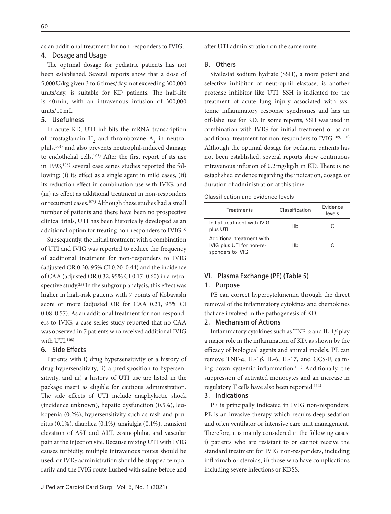as an additional treatment for non-responders to IVIG.

## 4. Dosage and Usage

The optimal dosage for pediatric patients has not been established. Several reports show that a dose of 5,000 U/kg given 3 to 6 times/day, not exceeding 300,000 units/day, is suitable for KD patients. The half-life is 40 min, with an intravenous infusion of 300,000 units/10 mL.

## 5. Usefulness

In acute KD, UTI inhibits the mRNA transcription of prostaglandin  $H_2$  and thromboxane  $A_2$  in neutrophils,104) and also prevents neutrophil-induced damage to endothelial cells.<sup>105)</sup> After the first report of its use in 1993,<sup>106)</sup> several case series studies reported the following: (i) its effect as a single agent in mild cases, (ii) its reduction effect in combination use with IVIG, and (iii) its effect as additional treatment in non-responders or recurrent cases.107) Although these studies had a small number of patients and there have been no prospective clinical trials, UTI has been historically developed as an additional option for treating non-responders to IVIG.<sup>3)</sup>

Subsequently, the initial treatment with a combination of UTI and IVIG was reported to reduce the frequency of additional treatment for non-responders to IVIG (adjusted OR  $0.30$ ,  $95\%$  CI  $0.20-0.44$ ) and the incidence of CAA (adjusted OR 0.32, 95% CI 0.17-0.60) in a retrospective study.<sup>25)</sup> In the subgroup analysis, this effect was higher in high-risk patients with 7 points of Kobayashi score or more (adjusted OR for CAA 0.21, 95% CI 0.08–0.57). As an additional treatment for non-responders to IVIG, a case series study reported that no CAA was observed in 7 patients who received additional IVIG with UTI.108)

## 6. Side Effects

Patients with i) drug hypersensitivity or a history of drug hypersensitivity, ii) a predisposition to hypersensitivity, and iii) a history of UTI use are listed in the package insert as eligible for cautious administration. The side effects of UTI include anaphylactic shock (incidence unknown), hepatic dysfunction (0.5%), leukopenia (0.2%), hypersensitivity such as rash and pruritus (0.1%), diarrhea (0.1%), angialgia (0.1%), transient elevation of AST and ALT, eosinophilia, and vascular pain at the injection site. Because mixing UTI with IVIG causes turbidity, multiple intravenous routes should be used, or IVIG administration should be stopped temporarily and the IVIG route flushed with saline before and after UTI administration on the same route.

#### B. Others

Sivelestat sodium hydrate (SSH), a more potent and selective inhibitor of neutrophil elastase, is another protease inhibitor like UTI. SSH is indicated for the treatment of acute lung injury associated with systemic inflammatory response syndromes and has an off-label use for KD. In some reports, SSH was used in combination with IVIG for initial treatment or as an additional treatment for non-responders to IVIG.109, 110) Although the optimal dosage for pediatric patients has not been established, several reports show continuous intravenous infusion of  $0.2 \frac{mg}{kg/h}$  in KD. There is no established evidence regarding the indication, dosage, or duration of administration at this time.

| <b>Treatments</b>                                                          | Classification | <b>Fvidence</b><br>levels |
|----------------------------------------------------------------------------|----------------|---------------------------|
| Initial treatment with IVIG<br>plus UTI                                    | Ilh            | C                         |
| Additional treatment with<br>IVIG plus UTI for non-re-<br>sponders to IVIG | Ilh            | C                         |

## VI. Plasma Exchange (PE) (Table 5)

#### 1. Purpose

PE can correct hypercytokinemia through the direct removal of the inflammatory cytokines and chemokines that are involved in the pathogenesis of KD.

## 2. Mechanism of Actions

Inflammatory cytokines such as TNF-*α* and IL-1*β* play a major role in the inflammation of KD, as shown by the efficacy of biological agents and animal models. PE can remove TNF-*α*, IL-1*β*, IL-6, IL-17, and GCS-F, calming down systemic inflammation.<sup>111)</sup> Additionally, the suppression of activated monocytes and an increase in regulatory T cells have also been reported.112)

## 3. Indications

PE is principally indicated in IVIG non-responders. PE is an invasive therapy which requirs deep sedation and often ventilator or intensive care unit management. Therefore, it is mainly considered in the following cases: i) patients who are resistant to or cannot receive the standard treatment for IVIG non-responders, including infliximab or steroids, ii) those who have complications including severe infections or KDSS.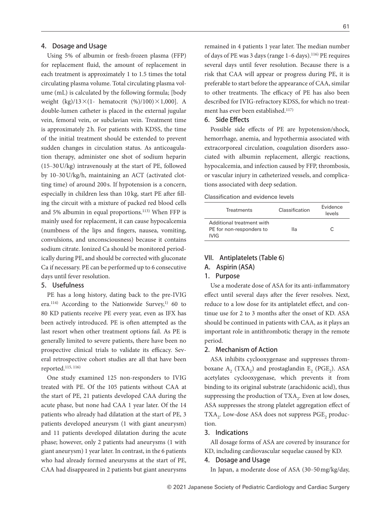## 4. Dosage and Usage

Using 5% of albumin or fresh-frozen plasma (FFP) for replacement fluid, the amount of replacement in each treatment is approximately 1 to 1.5 times the total circulating plasma volume. Total circulating plasma volume (mL) is calculated by the following formula; [body weight  $(kg)/13\times(1-$  hematocrit  $(\%)/100)\times1,000$ . A double-lumen catheter is placed in the external jugular vein, femoral vein, or subclavian vein. Treatment time is approximately 2h. For patients with KDSS, the time of the initial treatment should be extended to prevent sudden changes in circulation status. As anticoagulation therapy, administer one shot of sodium heparin (15‒30 U/kg) intravenously at the start of PE, followed by 10‒30 U/kg/h, maintaining an ACT (activated clotting time) of around 200 s. If hypotension is a concern, especially in children less than 10 kg, start PE after filling the circuit with a mixture of packed red blood cells and 5% albumin in equal proportions.113) When FFP is mainly used for replacement, it can cause hypocalcemia (numbness of the lips and fingers, nausea, vomiting, convulsions, and unconsciousness) because it contains sodium citrate. Ionized Ca should be monitored periodically during PE, and should be corrected with gluconate Ca if necessary. PE can be performed up to 6 consecutive days until fever resolution.

## 5. Usefulness

PE has a long history, dating back to the pre-IVIG era.<sup>114)</sup> According to the Nationwide Survey,<sup>1)</sup> 60 to 80 KD patients receive PE every year, even as IFX has been actively introduced. PE is often attempted as the last resort when other treatment options fail. As PE is generally limited to severe patients, there have been no prospective clinical trials to validate its efficacy. Several retrospective cohort studies are all that have been reported.115, 116)

One study examined 125 non-responders to IVIG treated with PE. Of the 105 patients without CAA at the start of PE, 21 patients developed CAA during the acute phase, but none had CAA 1 year later. Of the 14 patients who already had dilatation at the start of PE, 3 patients developed aneurysm (1 with giant aneurysm) and 11 patients developed dilatation during the acute phase; however, only 2 patients had aneurysms (1 with giant aneurysm) 1 year later. In contrast, in the 6 patients who had already formed aneurysms at the start of PE, CAA had disappeared in 2 patients but giant aneurysms remained in 4 patients 1 year later. The median number of days of PE was 3 days (range 1-6 days).<sup>116)</sup> PE requires several days until fever resolution. Because there is a risk that CAA will appear or progress during PE, it is preferable to start before the appearance of CAA, similar to other treatments. The efficacy of PE has also been described for IVIG-refractory KDSS, for which no treatment has ever been established.117)

## 6. Side Effects

Possible side effects of PE are hypotension/shock, hemorrhage, anemia, and hypothermia associated with extracorporeal circulation, coagulation disorders associated with albumin replacement, allergic reactions, hypocalcemia, and infection caused by FFP, thrombosis, or vascular injury in catheterized vessels, and complications associated with deep sedation.

#### Classification and evidence levels

| <b>Treatments</b>                                              | Classification | <b>Fvidence</b><br>levels |
|----------------------------------------------------------------|----------------|---------------------------|
| Additional treatment with<br>PE for non-responders to<br>IVIG. | lla            | C                         |

## VII. Antiplatelets (Table 6)

## A. Aspirin (ASA)

#### 1. Purpose

Use a moderate dose of ASA for its anti-inflammatory effect until several days after the fever resolves. Next, reduce to a low dose for its antiplatelet effect, and continue use for 2 to 3 months after the onset of KD. ASA should be continued in patients with CAA, as it plays an important role in antithrombotic therapy in the remote period.

## 2. Mechanism of Action

ASA inhibits cyclooxygenase and suppresses thromboxane  $A_2$  (TXA<sub>2</sub>) and prostaglandin  $E_2$  (PGE<sub>2</sub>). ASA acetylates cyclooxygenase, which prevents it from binding to its original substrate (arachidonic acid), thus suppressing the production of TXA<sub>2</sub>. Even at low doses, ASA suppresses the strong platelet aggregation effect of  $TXA<sub>2</sub>$ . Low-dose ASA does not suppress PGE<sub>2</sub> production.

## 3. Indications

All dosage forms of ASA are covered by insurance for KD, including cardiovascular sequelae caused by KD.

## 4. Dosage and Usage

In Japan, a moderate dose of ASA (30-50 mg/kg/day,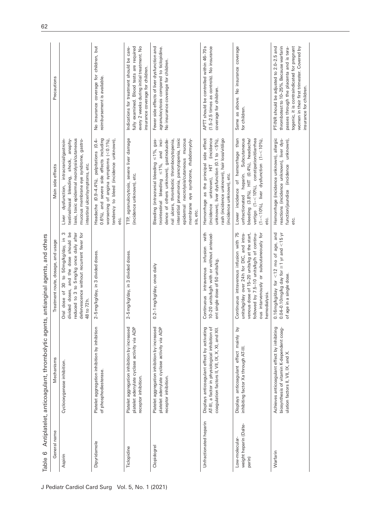| General name                                       | Mechanisms                                                                                                                                           | Treatment route, dosage, and usage                                                                                                                                                                                                           | Main side effects                                                                                                                                                                                                                                                                                                                           | Precautions                                                                                                                                                                                                                                             |
|----------------------------------------------------|------------------------------------------------------------------------------------------------------------------------------------------------------|----------------------------------------------------------------------------------------------------------------------------------------------------------------------------------------------------------------------------------------------|---------------------------------------------------------------------------------------------------------------------------------------------------------------------------------------------------------------------------------------------------------------------------------------------------------------------------------------------|---------------------------------------------------------------------------------------------------------------------------------------------------------------------------------------------------------------------------------------------------------|
| Aspirin                                            | Cyclooxygenase inhibition.                                                                                                                           | divided doses, and the dose should be<br>reduced to 3 to 5mg/kg once daily after<br>defervescence without recurrent fever for<br>S<br>30 to 50 mg/kg/day, in<br>Oral dose of<br>48 to 72 h.                                                  | anaphy-<br>laxis, toxic epidermal necrolysis/cutaneous<br>dysfunction, intracranial/gastroin-<br>mucous membrane eye syndrome, gastro-<br>shock,<br>intestinal ulcer/symptoms, etc.<br>testinal/nasal bleeding,<br>Liver                                                                                                                    |                                                                                                                                                                                                                                                         |
| Dipyridamole                                       | ion<br>Platelet aggregation inhibition by inhibiti<br>of phosphodiesterase.                                                                          | 2-5 mg/kg/day, in 3 divided doses.                                                                                                                                                                                                           | 0.6%), and severe side effects including<br>Headache (0.9-4.4%), palpitations (0.4-<br>worsening of angina symptoms $(< 0.1\%$ )<br>tendency to bleed (incidence unknown)<br>etc.                                                                                                                                                           | No insurance coverage for children, but<br>reimbursement is available.                                                                                                                                                                                  |
| Ticlopidine                                        | Platelet aggregation inhibition by increased<br>platelet adenylate cyclase activity via ADP<br>receptor inhibition                                   | 2-5 mg/kg/day, in 3 divided doses.                                                                                                                                                                                                           | TTP, agranulocytosis, severe liver damage<br>(incidence unknown), etc.                                                                                                                                                                                                                                                                      | every 2 weeks during initial treatment. No<br>fully examined. Blood tests are required<br>Indications for treatment should be care-<br>insurance coverage for children.                                                                                 |
| Clopidogrel                                        | Platelet aggregation inhibition by increased<br>platelet adenylate cyclase activity via ADP<br>receptor inhibition.                                  | 0.2-1 mg/kg/day, once daily                                                                                                                                                                                                                  | interstitial pneumonia, pancytopenia, toxic<br>trointestinal bleeding $\leq 1\%$ , and inci-<br>mucous<br>dence of others unknown), gastroduode-<br>Bleeding (intracranial bleeding $\leq$ 1%, gas-<br>nal ulcers, thrombotic thrombocytopenia,<br>eye syndrome, rhabdomyoly-<br>necrolysis/cutaneous<br>membrane<br>epidermal<br>sis, etc. | Fewer side effects of liver dysfunction and<br>agranulocytosis compared to ticlopidine.<br>No insurance coverage for children.                                                                                                                          |
| Unfractionated heparin                             | Displays anticoagulant effect by activating<br>đ<br>coagulation factors II, VII, IX, X, XI, and XII.<br>AT-III, a factor in physiological inhibition | Continuous intravenous infusion with<br>10-20 units/kg/h with or without anteced-<br>ent single dose of 50 units/kg.                                                                                                                         | (incidence unknown), HIT (incidence<br>Hemorrhage as the principal side effect<br>unknown), liver dysfunction (0.1 to $<$ 5%),<br>rash (incidence unknown), hair loss/vitiligo<br>(incidence unknown), etc.                                                                                                                                 | APTT should be controlled within 46-70s<br>(1.5-2.5 times as controls). No insurance<br>coverage for children.                                                                                                                                          |
| weight heparin (Dalte-<br>Low-molecular-<br>parin) | Σ<br>Displays anticoagulant effect mainly<br>inhibiting factor Xa through AT-III.                                                                    | Continuous intravenous infusion with 75<br>units/kg/day over 24h for DIC, and intra-<br>venous dose of 15-20 units/kg at the start,<br>followed by 7.5-10 units/kg/h of continu-<br>ous intarvenously or subcutaneously for<br>hemodialysis. | Lower incidence of hemorrhage than<br>unfractionated heparin. Subcutaneous<br>bleeding (3.8%), HIT (0.4%), headache/<br>vertigo (1-<10%), constipation/diarrhea<br>$(1 - 10\%)$ , liver dysfunction $(1 - 10\%)$<br>etc.                                                                                                                    | Same as above. No insurance coverage<br>for children.                                                                                                                                                                                                   |
| Warfarin                                           | Achieves anticoagulant effect by inhibiting<br>biosynthesis of vitamin K-dependent coag-<br>ulation factors II, VII, IX, and X.                      | $0.04 - 0.10$ mg/kg day for $\geq 1$ yr and $\lt 15$ yr<br>0.16 mg/kg/day for $<$ 12 mo of age, and<br>of age in a single dose.                                                                                                              | Hemorrhage (incidence unknown), allergic<br>reactions (incidence unknown), liver dys-<br>function/jaundice (incidence unknown),<br>etc.                                                                                                                                                                                                     | togenic, it is contraindicated for pregnant<br>thrombotest to 10-25%. Because warfarin<br>passes through the placenta and is tera-<br>women in their first trimester. Covered by<br>PT-INR should be adjusted to 2.0-2.5 and<br>insurance for children. |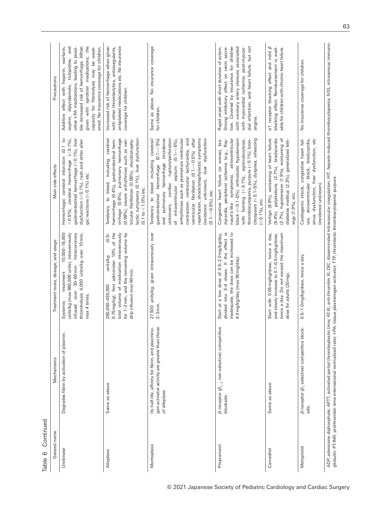| Continued<br>$\circ$<br>Table |                                                                                                                                                                                                                                                                                                                                                                      |                                                                                                                                                                                                           |                                                                                                                                                                                                                                                                                                                                                                                                                                                                              |                                                                                                                                                                                                                                                                                                              |
|-------------------------------|----------------------------------------------------------------------------------------------------------------------------------------------------------------------------------------------------------------------------------------------------------------------------------------------------------------------------------------------------------------------|-----------------------------------------------------------------------------------------------------------------------------------------------------------------------------------------------------------|------------------------------------------------------------------------------------------------------------------------------------------------------------------------------------------------------------------------------------------------------------------------------------------------------------------------------------------------------------------------------------------------------------------------------------------------------------------------------|--------------------------------------------------------------------------------------------------------------------------------------------------------------------------------------------------------------------------------------------------------------------------------------------------------------|
| General name                  | Mechanisms                                                                                                                                                                                                                                                                                                                                                           | Treatment route, dosage, and usage                                                                                                                                                                        | Main side effects                                                                                                                                                                                                                                                                                                                                                                                                                                                            | Precautions                                                                                                                                                                                                                                                                                                  |
| Urokinase                     | Degrades fibrin by activation of plasmin.                                                                                                                                                                                                                                                                                                                            | 10,000-16,000<br>units/kg (max 960,000 units), intravenously<br>30-60 min. Intracoronary<br>thrombolysis 4,000 units/kg over 10 min,<br>treatment<br>over<br>max 4 times.<br>Systemic<br>infused          | Hemorrhagic cerebral infarction (0.1 to<br>gastrointestinal hemorrhage (<0.1%), liver<br>dysfunction (<0.1%), rash and other aller-<br>$<$ 0.5%), cerebral hemorrhage $(<$ 0.1%),<br>gic reactions $(<$ 0.1%) etc.                                                                                                                                                                                                                                                           | given with aprotinin medications, the<br>ble increased risk of hemorrhage. When<br>Additive effect with heparin, warfarin,<br>dipyridamole, ticlopidine, and<br>other t-PA medications, leading to possi-<br>capacity for fibrinolysis may be weak-<br>ened. No insurance coverage for children.<br>aspirin, |
| Alteplase                     | Same as above                                                                                                                                                                                                                                                                                                                                                        | 0.75 mg/kg); first administer 10% of the<br>total volume of medication intravenously<br>for 1-2 min, and the remaining volume by<br>$(0.5 -$<br>units/kg<br>drip infusion over 60 min.<br>290,000-435,000 | hemorrhage (0.4%), gastrointestinal hem-<br>orrhage (0.6%), pulmonary hemorrhage<br>(0.08%), severe arrhythmias such as ven-<br>tricular fibrillation (0.08%), shock/anaphy-<br>lactic symptoms (0.1%), liver dysfunction<br>cerebral<br>Tendency to bleed, including<br>$(0.1 to < 1.0\% )$ etc.                                                                                                                                                                            | antiplatelet medications etc. No insurance<br>Increased risk of hemorrhage when given<br>with other thrombolytics, anticoagulants,<br>coverage for children.                                                                                                                                                 |
| Monteplase                    | gen activator activity are greater than those<br>lino-<br>Its half-life, affinity for fibrin, and plasm<br>of alteplase.                                                                                                                                                                                                                                             | 27,500 units/kg, given intravenously over<br>$2-3$ min.                                                                                                                                                   | reperfusion, shock/anaphylactic symptoms<br>arrhythmias such as premature ventricular<br>contraction, ventricular tachycardia, and<br>ventricular fibrillation (0.1-<0.5%) after<br>(incidence unknown), liver dysfunction<br>Tendency to bleed including cerebral/<br>and pulmonary hemorrhage (incidence<br>unknown), cardiac rupture/perforation<br>$(0.1 - < 5\%)$<br>of intraventricular septum $(0.1 - <5\%)$<br>gastrointestinal hemorrhage<br>$(0.1 - 0.5\%)$ , etc. | Same as above. No insurance coverage<br>for children.                                                                                                                                                                                                                                                        |
| Propranorol                   | $\beta$ -receptor $\langle \beta_{1,\; 2}$ non-selective) competitive<br>blockade                                                                                                                                                                                                                                                                                    | divided into 3-4 doses. If the effect is<br>inadequate, the dose can be increased to<br>Start at a low dose of 0.5-2.0 mg/kg/day,<br>4.0 mg/kg/day (max 90 mg/day).                                       | thrombocytopenia, purpura (< 0.1%), bron-<br>chospasm (<0.1-5%), dyspnea, wheezing<br>Congestive heart failure (or worse), bra-<br>dycardia, peripheral ischemia (e.g., Ray-<br>atrioventricular<br>block (<0.1-5%), orthostatic hypotension<br>with fainting (<0.1%), agranulocytosis,<br>naud's-like symptoms),<br>$(<$ 0.1%), etc.                                                                                                                                        | dial infarction, and heart failure, but not<br>tion. Covered by insurance for children<br>with coronary artery stenosis associated<br>with myocardial ischemia, post-myocar-<br>Rapid onset with short duration of action.<br>Strong inhibitory effect on renin secre-<br>angina.                            |
| Carvedilol                    | Same as above.                                                                                                                                                                                                                                                                                                                                                       | twice a day. Do not exceed the maximum<br>Start with 0.05mg/kg/dose, twice a day,<br>and slowly increase to 0.1-0.5 mg/kg/dose,<br>dose for adults (20 mg).                                               | diabetes mellitus (2.3%), generalized leth-<br>Vertigo (8.9%), worsening of heart failure<br>(9.4%), palpitations (2.7%), bradycardia<br>(2.7%), hypotension (1.9%), worsening of<br>argy (1.9%), etc.                                                                                                                                                                                                                                                                       | $\alpha$ 1 receptor blocking effect and mild $\beta$<br>blocking effect. Reimbursement is avail-<br>able for children with chronic heart failure.                                                                                                                                                            |
| Metoprolol                    | $\beta$ -receptor $\beta_1$ selective) competitive block-<br>ade.                                                                                                                                                                                                                                                                                                    | 0.5-1.0 mg/kg/dose, twice a day.                                                                                                                                                                          | Cardiogenic shock, congestive heart fail-<br>sinus dysfunction, liver dysfunction, etc<br>ure, atrioventricular block, bradycardia,<br>(incidence unknown).                                                                                                                                                                                                                                                                                                                  | No insurance coverage for children.                                                                                                                                                                                                                                                                          |
|                               | ADP, adenosine diphosphate; APTT, activated partial thromboplastin time; AT-III, anti-thrombin III; DIC, disseminated intravascular coagulation; HIT, heparin-induced thrombocytopenia; IVIG, intravenous immuno-<br>globulin; PT-INR, prothrombin time international normalized ratio; t-PA, tissue plasminogen activator; TTP, thrombotic thrombocytopenic purpura |                                                                                                                                                                                                           |                                                                                                                                                                                                                                                                                                                                                                                                                                                                              |                                                                                                                                                                                                                                                                                                              |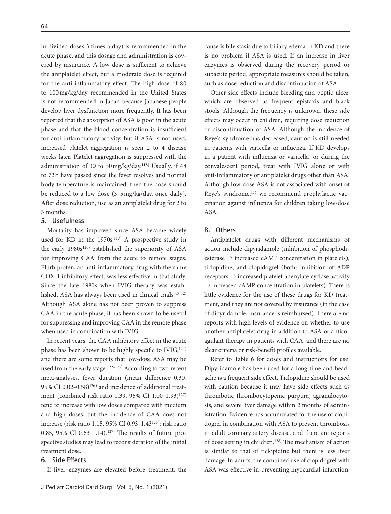in divided doses 3 times a day) is recommended in the acute phase, and this dosage and administration is covered by insurance. A low dose is sufficient to achieve the antiplatelet effect, but a moderate dose is required for the anti-inflammatory effect. The high dose of 80 to 100 mg/kg/day recommended in the United States is not recommended in Japan because Japanese people develop liver dysfunction more frequently. It has been reported that the absorption of ASA is poor in the acute phase and that the blood concentration is insufficient for anti-inflammatory activity, but if ASA is not used, increased platelet aggregation is seen 2 to 4 disease weeks later. Platelet aggregation is suppressed with the administration of 30 to 50 mg/kg/day.118) Usually, if 48 to 72 h have passed since the fever resolves and normal body temperature is maintained, then the dose should be reduced to a low dose  $(3-5 \text{ mg/kg/day})$ , once daily). After dose reduction, use as an antiplatelet drug for 2 to 3 months.

#### 5. Usefulness

Mortality has improved since ASA became widely used for KD in the 1970s.<sup>119)</sup> A prospective study in the early 1980s<sup>120)</sup> established the superiority of ASA for improving CAA from the acute to remote stages. Flurbiprofen, an anti-inflammatory drug with the same COX-1 inhibitory effect, was less effective in that study. Since the late 1980s when IVIG therapy was established, ASA has always been used in clinical trials.<sup>40-42)</sup> Although ASA alone has not been proven to suppress CAA in the acute phase, it has been shown to be useful for suppressing and improving CAA in the remote phase when used in combination with IVIG.

In recent years, the CAA inhibitory effect in the acute phase has been shown to be highly specific to  $IVIG<sub>1</sub><sup>121</sup>$ and there are some reports that low-dose ASA may be used from the early stage.<sup>122-125)</sup> According to two recent meta-analyses, fever duration (mean difference 0.30, 95% CI 0.02-0.58)<sup>126)</sup> and incidence of additional treatment (combined risk ratio 1.39, 95% CI 1.00-1.93)<sup>127)</sup> tend to increase with low doses compared with medium and high doses, but the incidence of CAA does not increase (risk ratio 1.15, 95% CI 0.93‒1.43126); risk ratio 0.85, 95% CI 0.63-1.14).<sup>127)</sup> The results of future prospective studies may lead to reconsideration of the initial treatment dose.

## 6. Side Effects

If liver enzymes are elevated before treatment, the

cause is bile stasis due to biliary edema in KD and there is no problem if ASA is used. If an increase in liver enzymes is observed during the recovery period or subacute period, appropriate measures should be taken, such as dose reduction and discontinuation of ASA.

Other side effects include bleeding and peptic ulcer, which are observed as frequent epistaxis and black stools. Although the frequency is unknown, these side effects may occur in children, requiring dose reduction or discontinuation of ASA. Although the incidence of Reye's syndrome has decreased, caution is still needed in patients with varicella or influenza. If KD develops in a patient with influenza or varicella, or during the convalescent period, treat with IVIG alone or with anti-inflammatory or antiplatelet drugs other than ASA. Although low-dose ASA is not associated with onset of Reye's syndrome,<sup>11)</sup> we recommend prophylactic vaccination against influenza for children taking low-dose ASA.

## B. Others

Antiplatelet drugs with different mechanisms of action include dipyridamole (inhibition of phosphodiesterase  $\rightarrow$  increased cAMP concentration in platelets), ticlopidine, and clopidogrel (both: inhibition of ADP receptors → increased platelet adenylate cyclase activity  $\rightarrow$  increased cAMP concentration in platelets). There is little evidence for the use of these drugs for KD treatment, and they are not covered by insurance (in the case of dipyridamole, insurance is reimbursed). There are no reports with high levels of evidence on whether to use another antiplatelet drug in addition to ASA or anticoagulant therapy in patients with CAA, and there are no clear criteria or risk-benefit profiles available.

Refer to Table 6 for doses and instructions for use. Dipyridamole has been used for a long time and headache is a frequent side effect. Ticlopidine should be used with caution because it may have side effects such as thrombotic thrombocytopenic purpura, agranulocytosis, and severe liver damage within 2 months of administration. Evidence has accumulated for the use of clopidogrel in combination with ASA to prevent thrombosis in adult coronary artery disease, and there are reports of dose setting in children.<sup>128)</sup> The mechanism of action is similar to that of ticlopidine but there is less liver damage. In adults, the combined use of clopidogrel with ASA was effective in preventing myocardial infarction,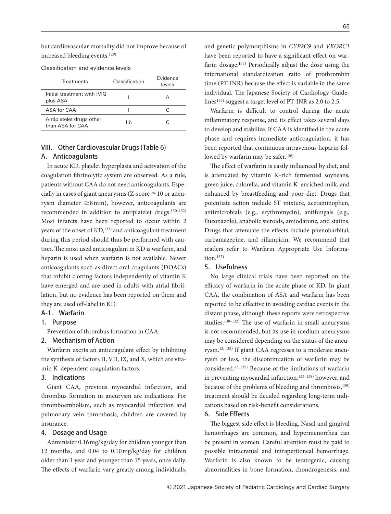but cardiovascular mortality did not improve because of increased bleeding events.129)

| Treatments                                   | Classification | <b>Fvidence</b><br>levels |
|----------------------------------------------|----------------|---------------------------|
| Initial treatment with IVIG<br>plus ASA      |                |                           |
| ASA for CAA                                  |                |                           |
| Antiplatelet drugs other<br>than ASA for CAA | llh            |                           |

## VIII. Other Cardiovascular Drugs (Table 6) A. Anticoagulants

In acute KD, platelet hyperplasia and activation of the coagulation brinolytic system are observed. As a rule, patients without CAA do not need anticoagulants. Especially in cases of giant aneurysms ( $Z$ -score  $\geq$  10 or aneurysm diameter  $\geq$ 8 mm), however, anticoagulants are recommended in addition to antiplatelet drugs.<sup>130-132)</sup> Most infarcts have been reported to occur within 2 years of the onset of KD,<sup>133)</sup> and anticoagulant treatment during this period should thus be performed with caution. The most used anticoagulant in KD is warfarin, and heparin is used when warfarin is not available. Newer anticoagulants such as direct oral coagulants (DOACs) that inhibit clotting factors independently of vitamin K have emerged and are used in adults with atrial fibrillation, but no evidence has been reported on them and they are used off-label in KD.

## A-1. Warfarin

## 1. Purpose

Prevention of thrombus formation in CAA.

#### 2. Mechanism of Action

Warfarin exerts an anticoagulant effect by inhibiting the synthesis of factors II, VII, IX, and X, which are vitamin K-dependent coagulation factors.

## 3. Indications

Giant CAA, previous myocardial infarction, and thrombus formation in aneurysm are indications. For thromboembolism, such as myocardial infarction and pulmonary vein thrombosis, children are covered by insurance.

## 4. Dosage and Usage

Administer 0.16 mg/kg/day for children younger than 12 months, and 0.04 to 0.10 mg/kg/day for children older than 1 year and younger than 15 years, once daily. The effects of warfarin vary greatly among individuals,

and genetic polymorphisms in *CYP2C9* and *VKORC1* have been reported to have a significant effect on warfarin dosage.134) Periodically adjust the dose using the international standardization ratio of prothrombin time (PT-INR) because the effect is variable in the same individual. The Japanese Society of Cardiology Guidelines<sup>135)</sup> suggest a target level of PT-INR as 2.0 to 2.5.

Warfarin is difficult to control during the acute inflammatory response, and its effect takes several days to develop and stabilize. If CAA is identified in the acute phase and requires immediate anticoagulation, it has been reported that continuous intravenous heparin followed by warfarin may be safer.<sup>136)</sup>

The effect of warfarin is easily influenced by diet, and is attenuated by vitamin K-rich fermented soybeans, green juice, chlorella, and vitamin K-enriched milk, and enhanced by breastfeeding and poor diet. Drugs that potentiate action include ST mixture, acetaminophen, antimicrobials (e.g., erythromycin), antifungals (e.g., fluconazole), anabolic steroids, amiodarone, and statins. Drugs that attenuate the effects include phenobarbital, carbamazepine, and rifampicin. We recommend that readers refer to Warfarin Appropriate Use Information. $137)$ 

## 5. Usefulness

No large clinical trials have been reported on the efficacy of warfarin in the acute phase of KD. In giant CAA, the combination of ASA and warfarin has been reported to be effective in avoiding cardiac events in the distant phase, although these reports were retrospective studies. $130-132$ ) The use of warfarin in small aneurysms is not recommended, but its use in medium aneurysms may be considered depending on the status of the aneurysm.12, 135) If giant CAA regresses to a moderate aneurysm or less, the discontinuation of warfarin may be considered.12, 135) Because of the limitations of warfarin in preventing myocardial infarction,<sup>133, 138)</sup> however, and because of the problems of bleeding and thrombosis,<sup>139)</sup> treatment should be decided regarding long-term indications based on risk-benefit considerations.

## 6. Side Effects

The biggest side effect is bleeding. Nasal and gingival hemorrhages are common, and hypermenorrhea can be present in women. Careful attention must be paid to possible intracranial and intraperitoneal hemorrhage. Warfarin is also known to be teratogenic, causing abnormalities in bone formation, chondrogenesis, and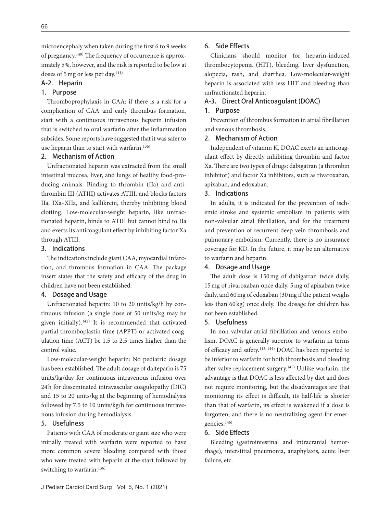microencephaly when taken during the first 6 to 9 weeks of pregnancy. $140$ ) The frequency of occurrence is approximately 5%, however, and the risk is reported to be low at doses of 5 mg or less per day.<sup>141)</sup>

## A-2. Heparin

#### 1. Purpose

Thromboprophylaxis in CAA: if there is a risk for a complication of CAA and early thrombus formation, start with a continuous intravenous heparin infusion that is switched to oral warfarin after the inflammation subsides. Some reports have suggested that it was safer to use heparin than to start with warfarin.136)

## 2. Mechanism of Action

Unfractionated heparin was extracted from the small intestinal mucosa, liver, and lungs of healthy food-producing animals. Binding to thrombin (IIa) and antithrombin III (ATIII) activates ATIII, and blocks factors IIa, IXa‒XIIa, and kallikrein, thereby inhibiting blood clotting. Low-molecular-weight heparin, like unfractionated heparin, binds to ATIII but cannot bind to IIa and exerts its anticoagulant effect by inhibiting factor Xa through ATIII.

## 3. Indications

The indications include giant CAA, myocardial infarction, and thrombus formation in CAA. The package insert states that the safety and efficacy of the drug in children have not been established.

#### 4. Dosage and Usage

Unfractionated heparin: 10 to 20 units/kg/h by continuous infusion (a single dose of 50 units/kg may be given initially).142) It is recommended that activated partial thromboplastin time (APPT) or activated coagulation time (ACT) be 1.5 to 2.5 times higher than the control value.

Low-molecular-weight heparin: No pediatric dosage has been established. The adult dosage of dalteparin is 75 units/kg/day for continuous intravenous infusion over 24 h for disseminated intravascular coagulopathy (DIC) and 15 to 20 units/kg at the beginning of hemodialysis followed by 7.5 to 10 units/kg/h for continuous intravenous infusion during hemodialysis.

## 5. Usefulness

Patients with CAA of moderate or giant size who were initially treated with warfarin were reported to have more common severe bleeding compared with those who were treated with heparin at the start followed by switching to warfarin.136)

## 6. Side Effects

Clinicians should monitor for heparin-induced thrombocytopenia (HIT), bleeding, liver dysfunction, alopecia, rash, and diarrhea. Low-molecular-weight heparin is associated with less HIT and bleeding than unfractionated heparin.

## A-3. Direct Oral Anticoagulant (DOAC)

#### 1. Purpose

Prevention of thrombus formation in atrial fibrillation and venous thrombosis.

#### 2. Mechanism of Action

Independent of vitamin K, DOAC exerts an anticoagulant effect by directly inhibiting thrombin and factor Xa. There are two types of drugs: dabigatran (a thrombin inhibitor) and factor Xa inhibitors, such as rivaroxaban, apixaban, and edoxaban.

### 3. Indications

In adults, it is indicated for the prevention of ischemic stroke and systemic embolism in patients with non-valvular atrial fibrillation, and for the treatment and prevention of recurrent deep vein thrombosis and pulmonary embolism. Currently, there is no insurance coverage for KD. In the future, it may be an alternative to warfarin and heparin.

#### 4. Dosage and Usage

The adult dose is 150 mg of dabigatran twice daily, 15 mg of rivaroxaban once daily, 5 mg of apixaban twice daily, and 60 mg of edoxaban (30 mg if the patient weighs less than 60 kg) once daily. The dosage for children has not been established.

#### 5. Usefulness

In non-valvular atrial fibrillation and venous embolism, DOAC is generally superior to warfarin in terms of efficacy and safety.<sup>143, 144)</sup> DOAC has been reported to be inferior to warfarin for both thrombosis and bleeding after valve replacement surgery.<sup>145)</sup> Unlike warfarin, the advantage is that DOAC is less affected by diet and does not require monitoring, but the disadvantages are that monitoring its effect is difficult, its half-life is shorter than that of warfarin, its effect is weakened if a dose is forgotten, and there is no neutralizing agent for emergencies.146)

### 6. Side Effects

Bleeding (gastrointestinal and intracranial hemorrhage), interstitial pneumonia, anaphylaxis, acute liver failure, etc.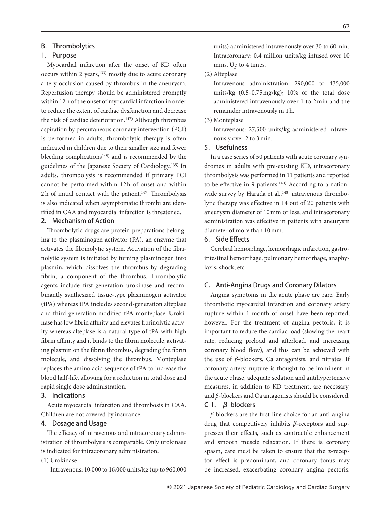## B. Thrombolytics

#### 1. Purpose

Myocardial infarction after the onset of KD often occurs within 2 years,<sup>133)</sup> mostly due to acute coronary artery occlusion caused by thrombus in the aneurysm. Reperfusion therapy should be administered promptly within 12 h of the onset of myocardial infarction in order to reduce the extent of cardiac dysfunction and decrease the risk of cardiac deterioration.<sup>147)</sup> Although thrombus aspiration by percutaneous coronary intervention (PCI) is performed in adults, thrombolytic therapy is often indicated in children due to their smaller size and fewer bleeding complications<sup>148)</sup> and is recommended by the guidelines of the Japanese Society of Cardiology.135) In adults, thrombolysis is recommended if primary PCI cannot be performed within 12h of onset and within 2h of initial contact with the patient.<sup>147)</sup> Thrombolysis is also indicated when asymptomatic thrombi are identified in CAA and myocardial infarction is threatened.

## 2. Mechanism of Action

Thrombolytic drugs are protein preparations belonging to the plasminogen activator (PA), an enzyme that activates the fibrinolytic system. Activation of the fibrinolytic system is initiated by turning plasminogen into plasmin, which dissolves the thrombus by degrading fibrin, a component of the thrombus. Thrombolytic agents include first-generation urokinase and recombinantly synthesized tissue-type plasminogen activator (tPA) whereas tPA includes second-generation alteplase and third-generation modified tPA monteplase. Urokinase has low fibrin affinity and elevates fibrinolytic activity whereas alteplase is a natural type of tPA with high fibrin affinity and it binds to the fibrin molecule, activating plasmin on the fibrin thrombus, degrading the fibrin molecule, and dissolving the thrombus. Monteplase replaces the amino acid sequence of tPA to increase the blood half-life, allowing for a reduction in total dose and rapid single dose administration.

## 3. Indications

Acute myocardial infarction and thrombosis in CAA. Children are not covered by insurance.

## 4. Dosage and Usage

The efficacy of intravenous and intracoronary administration of thrombolysis is comparable. Only urokinase is indicated for intracoronary administration.

## (1) Urokinase

Intravenous: 10,000 to 16,000 units/kg (up to 960,000

units) administered intravenously over 30 to 60 min. Intracoronary: 0.4 million units/kg infused over 10 mins. Up to 4 times.

(2) Alteplase

Intravenous administration: 290,000 to 435,000 units/kg  $(0.5-0.75 \text{ mg/kg})$ ; 10% of the total dose administered intravenously over 1 to 2 min and the remainder intravenously in 1 h.

(3) Monteplase

Intravenous: 27,500 units/kg administered intravenously over 2 to 3 min.

#### 5. Usefulness

In a case series of 50 patients with acute coronary syndromes in adults with pre-existing KD, intracoronary thrombolysis was performed in 11 patients and reported to be effective in 9 patients.<sup>149)</sup> According to a nationwide survey by Harada et al.,<sup>148)</sup> intravenous thrombolytic therapy was effective in 14 out of 20 patients with aneurysm diameter of 10 mm or less, and intracoronary administration was effective in patients with aneurysm diameter of more than 10 mm.

### 6. Side Effects

Cerebral hemorrhage, hemorrhagic infarction, gastrointestinal hemorrhage, pulmonary hemorrhage, anaphylaxis, shock, etc.

## C. Anti-Angina Drugs and Coronary Dilators

Angina symptoms in the acute phase are rare. Early thrombotic myocardial infarction and coronary artery rupture within 1 month of onset have been reported, however. For the treatment of angina pectoris, it is important to reduce the cardiac load (slowing the heart rate, reducing preload and afterload, and increasing coronary blood flow), and this can be achieved with the use of *β*-blockers, Ca antagonists, and nitrates. If coronary artery rupture is thought to be imminent in the acute phase, adequate sedation and antihypertensive measures, in addition to KD treatment, are necessary, and *β*-blockers and Ca antagonists should be considered. C-1. β-blockers

*β*-blockers are the first-line choice for an anti-angina drug that competitively inhibits *β*-receptors and suppresses their effects, such as contractile enhancement and smooth muscle relaxation. If there is coronary spasm, care must be taken to ensure that the *α*-receptor effect is predominant, and coronary tonus may be increased, exacerbating coronary angina pectoris.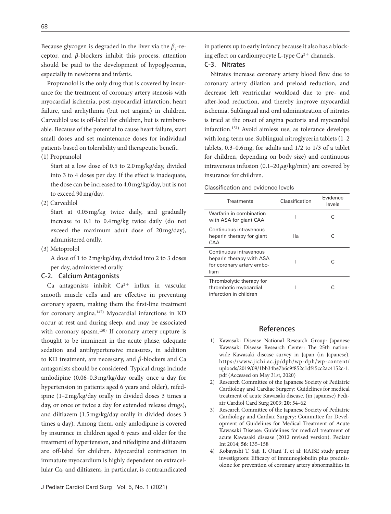Because glycogen is degraded in the liver via the  $\beta_2$ -receptor, and *β*-blockers inhibit this process, attention should be paid to the development of hypoglycemia, especially in newborns and infants.

Propranolol is the only drug that is covered by insurance for the treatment of coronary artery stenosis with myocardial ischemia, post-myocardial infarction, heart failure, and arrhythmia (but not angina) in children. Carvedilol use is off-label for children, but is reimbursable. Because of the potential to cause heart failure, start small doses and set maintenance doses for individual patients based on tolerability and therapeutic benefit.

(1) Propranolol

Start at a low dose of 0.5 to 2.0 mg/kg/day, divided into 3 to 4 doses per day. If the effect is inadequate, the dose can be increased to 4.0 mg/kg/day, but is not to exceed 90 mg/day.

(2) Carvedilol

Start at 0.05 mg/kg twice daily, and gradually increase to 0.1 to 0.4 mg/kg twice daily (do not exceed the maximum adult dose of 20 mg/day), administered orally.

(3) Metoprolol

A dose of 1 to 2 mg/kg/day, divided into 2 to 3 doses per day, administered orally.

#### C-2. Calcium Antagonists

Ca antagonists inhibit  $Ca^{2+}$  influx in vascular smooth muscle cells and are effective in preventing coronary spasm, making them the first-line treatment for coronary angina.147) Myocardial infarctions in KD occur at rest and during sleep, and may be associated with coronary spasm.<sup>150)</sup> If coronary artery rupture is thought to be imminent in the acute phase, adequate sedation and antihypertensive measures, in addition to KD treatment, are necessary, and *β*-blockers and Ca antagonists should be considered. Typical drugs include amlodipine (0.06‒0.3 mg/kg/day orally once a day for hypertension in patients aged 6 years and older), nifedipine (1‒2 mg/kg/day orally in divided doses 3 times a day, or once or twice a day for extended release drugs), and diltiazem (1.5 mg/kg/day orally in divided doses 3 times a day). Among them, only amlodipine is covered by insurance in children aged 6 years and older for the treatment of hypertension, and nifedipine and diltiazem are off-label for children. Myocardial contraction in immature myocardium is highly dependent on extracellular Ca, and diltiazem, in particular, is contraindicated in patients up to early infancy because it also has a blocking effect on cardiomyocyte L-type  $Ca^{2+}$  channels.

#### C-3. Nitrates

Nitrates increase coronary artery blood flow due to coronary artery dilation and preload reduction, and decrease left ventricular workload due to pre- and after-load reduction, and thereby improve myocardial ischemia. Sublingual and oral administration of nitrates is tried at the onset of angina pectoris and myocardial infarction.151) Avoid aimless use, as tolerance develops with long-term use. Sublingual nitroglycerin tablets (1–2 tablets,  $0.3-0.6$  mg, for adults and  $1/2$  to  $1/3$  of a tablet for children, depending on body size) and continuous intravenous infusion (0.1‒20 *µ*g/kg/min) are covered by insurance for children.

Classification and evidence levels

| <b>Treatments</b>                                                                       | Classification | Fvidence<br>levels |
|-----------------------------------------------------------------------------------------|----------------|--------------------|
| Warfarin in combination<br>with ASA for giant CAA                                       |                | C                  |
| Continuous intravenous<br>heparin therapy for giant<br>CAA                              | llа            | C                  |
| Continuous intravenous<br>heparin therapy with ASA<br>for coronary artery embo-<br>lism |                | C                  |
| Thrombolytic therapy for<br>thrombotic myocardial<br>infarction in children             |                |                    |

### References

- 1) Kawasaki Disease National Research Group: Japanese Kawasaki Disease Research Center: The 25th nationwide Kawasaki disease survey in Japan (in Japanese). https://www.jichi.ac.jp/dph/wp-dph/wp-content/ uploads/2019/09/1bb34be7b6c9f852c1df45cc2ac4152c-1. pdf (Accessed on May 31st, 2020)
- 2) Research Committee of the Japanese Society of Pediatric Cardiology and Cardiac Surgery: Guidelines for medical treatment of acute Kawasaki disease. (in Japanese) Pediatr Cardiol Card Surg 2003; **20**: 54‒62
- [3\) Research Committee of the Japanese Society of Pediatric](http://dx.doi.org/10.1111/ped.12317)  [Cardiology and Cardiac Surgery: Committee for Devel](http://dx.doi.org/10.1111/ped.12317)[opment of Guidelines for Medical Treatment of Acute](http://dx.doi.org/10.1111/ped.12317)  [Kawasaki Disease: Guidelines for medical treatment of](http://dx.doi.org/10.1111/ped.12317)  [acute Kawasaki disease \(2012 revised version\). Pediatr](http://dx.doi.org/10.1111/ped.12317)  [Int 2014;](http://dx.doi.org/10.1111/ped.12317) **56**: 135‒158
- [4\) Kobayashi T, Saji T, Otani T, et al: RAISE study group](http://dx.doi.org/10.1016/S0140-6736(11)61930-2)  [investigators: Efficacy of immunoglobulin plus prednis](http://dx.doi.org/10.1016/S0140-6736(11)61930-2)[olone for prevention of coronary artery abnormalities in](http://dx.doi.org/10.1016/S0140-6736(11)61930-2)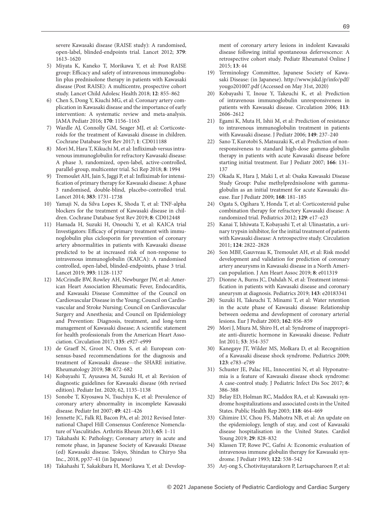[severe Kawasaki disease \(RAISE study\): A randomised,](http://dx.doi.org/10.1016/S0140-6736(11)61930-2)  [open-label, blinded-endpoints trial. Lancet 2012;](http://dx.doi.org/10.1016/S0140-6736(11)61930-2) **379**: [1613](http://dx.doi.org/10.1016/S0140-6736(11)61930-2)‒1620

- [5\) Miyata K, Kaneko T, Morikawa Y, et al: Post RAISE](http://dx.doi.org/10.1016/S2352-4642(18)30293-1)  group: Efficacy and safety of intravenous immunoglobu[lin plus prednisolone therapy in patients with Kawasaki](http://dx.doi.org/10.1016/S2352-4642(18)30293-1)  [disease \(Post RAISE\): A multicentre, prospective cohort](http://dx.doi.org/10.1016/S2352-4642(18)30293-1)  [study. Lancet Child Adolesc Health 2018;](http://dx.doi.org/10.1016/S2352-4642(18)30293-1) **12**: 855‒862
- [6\) Chen S, Dong Y, Kiuchi MG, et al: Coronary artery com](http://dx.doi.org/10.1001/jamapediatrics.2016.2055)[plication in Kawasaki disease and the importance of early](http://dx.doi.org/10.1001/jamapediatrics.2016.2055)  [intervention: A systematic review and meta-analysis.](http://dx.doi.org/10.1001/jamapediatrics.2016.2055)  [JAMA Pediatr 2016;](http://dx.doi.org/10.1001/jamapediatrics.2016.2055) **170**: 1156‒1163
- [7\) Wardle AJ, Connolly GM, Seager MJ, et al: Corticoste](http://dx.doi.org/10.1002/14651858.CD011188.pub2)[roids for the treatment of Kawasaki disease in children.](http://dx.doi.org/10.1002/14651858.CD011188.pub2)  [Cochrane Database Syst Rev 2017;](http://dx.doi.org/10.1002/14651858.CD011188.pub2) **1**: CD011188
- 8) Mori M, Hara T, Kikuchi M, et al: Infliximab versus intra[venous immunoglobulin for refractory Kawasaki disease:](http://dx.doi.org/10.1038/s41598-017-18387-7)  [A phase 3, randomized, open-label, active-controlled,](http://dx.doi.org/10.1038/s41598-017-18387-7)  [parallel-group, multicenter trial. Sci Rep 2018;](http://dx.doi.org/10.1038/s41598-017-18387-7) **8**: 1994
- 9) Tremoulet AH, Jain S, Jaggi P, et al: Infliximab for intensification of primary therapy for Kawasaki disease: A phase [3 randomised, double-blind, placebo-controlled trial.](http://dx.doi.org/10.1016/S0140-6736(13)62298-9)  [Lancet 2014;](http://dx.doi.org/10.1016/S0140-6736(13)62298-9) **383**: 1731‒1738
- 10) Yamaji N, da Silva Lopes K, Shoda T, et al: TNF-alpha blockers for the treatment of Kawasaki disease in children. Cochrane Database Syst Rev 2019; **8**: CD012448
- [11\) Hamada H, Suzuki H, Onouchi Y, et al: KAICA trial](http://dx.doi.org/10.1016/S0140-6736(18)32003-8)  Investigators: Efficacy of primary treatment with immu[noglobulin plus ciclosporin for prevention of coronary](http://dx.doi.org/10.1016/S0140-6736(18)32003-8)  [artery abnormalities in patients with Kawasaki disease](http://dx.doi.org/10.1016/S0140-6736(18)32003-8)  [predicted to be at increased risk of non-response to](http://dx.doi.org/10.1016/S0140-6736(18)32003-8)  [intravenous immunoglobulin \(KAICA\): A randomised](http://dx.doi.org/10.1016/S0140-6736(18)32003-8)  [controlled, open-label, blinded-endpoints, phase 3 trial.](http://dx.doi.org/10.1016/S0140-6736(18)32003-8)  [Lancet 2019;](http://dx.doi.org/10.1016/S0140-6736(18)32003-8) **393**: 1128‒1137
- [12\) McCrindle BW, Rowley AH, Newburger JW, et al: Amer](http://dx.doi.org/10.1161/CIR.0000000000000484)[ican Heart Association Rheumatic Fever, Endocarditis,](http://dx.doi.org/10.1161/CIR.0000000000000484)  [and Kawasaki Disease Committee of the Council on](http://dx.doi.org/10.1161/CIR.0000000000000484)  [Cardiovascular Disease in the Young; Council on Cardio](http://dx.doi.org/10.1161/CIR.0000000000000484)[vascular and Stroke Nursing; Council on Cardiovascular](http://dx.doi.org/10.1161/CIR.0000000000000484)  [Surgery and Anesthesia; and Council on Epidemiology](http://dx.doi.org/10.1161/CIR.0000000000000484)  [and Prevention: Diagnosis, treatment, and long-term](http://dx.doi.org/10.1161/CIR.0000000000000484)  management of Kawasaki disease; A scientific statement [for health professionals from the American Heart Asso](http://dx.doi.org/10.1161/CIR.0000000000000484)[ciation. Circulation 2017;](http://dx.doi.org/10.1161/CIR.0000000000000484) **135**: e927‒e999
- 13) de Graeff N, Groot N, Ozen S, et al: European con[sensus-based recommendations for the diagnosis and](http://dx.doi.org/10.1093/rheumatology/key344)  [treatment of Kawasaki disease](http://dx.doi.org/10.1093/rheumatology/key344)—the SHARE initiative. [Rheumatology 2019;](http://dx.doi.org/10.1093/rheumatology/key344) **58**: 672‒682
- 14) Kobayashi T, Ayusawa M, Suzuki H, et al: Revision of diagnostic guidelines for Kawasaki disease (6th revised edition). Pediatr Int. 2020; 62, 1135-1138
- [15\) Sonobe T, Kiyosawa N, Tsuchiya K, et al: Prevalence of](http://dx.doi.org/10.1111/j.1442-200X.2007.02396.x)  [coronary artery abnormality in incomplete Kawasaki](http://dx.doi.org/10.1111/j.1442-200X.2007.02396.x)  [disease. Pediatr Int 2007;](http://dx.doi.org/10.1111/j.1442-200X.2007.02396.x) **49**: 421‒426
- [16\) Jennette JC, Falk RJ, Bacon PA, et al: 2012 Revised Inter](http://dx.doi.org/10.1002/art.37715)[national Chapel Hill Consensus Conference Nomencla](http://dx.doi.org/10.1002/art.37715)[ture of Vasculitides. Arthritis Rheum 2013;](http://dx.doi.org/10.1002/art.37715) 65: 1-11
- 17) Takahashi K: Pathology; Coronary artery in acute and remote phase, in Japanese Society of Kawasaki Disease (ed) Kawasaki disease. Tokyo, Shindan to Chiryo Sha Inc., 2018, pp37‒41 (in Japanese)
- [18\) Takahashi T, Sakakibara H, Morikawa Y, et al: Develop-](http://dx.doi.org/10.1186/s12969-015-0042-8)

[ment of coronary artery lesions in indolent Kawasaki](http://dx.doi.org/10.1186/s12969-015-0042-8)  [disease following initial spontaneous defervescence: A](http://dx.doi.org/10.1186/s12969-015-0042-8)  [retrospective cohort study. Pediatr Rheumatol Online J](http://dx.doi.org/10.1186/s12969-015-0042-8)  [2015;](http://dx.doi.org/10.1186/s12969-015-0042-8) **13**: 44

- 19) Terminology Committee, Japanese Society of Kawasaki Disease: (in Japanese). http://www.jskd.jp/info/pdf/ yougo201007.pdf (Accessed on May 31st, 2020)
- [20\) Kobayashi T, Inoue Y, Takeuchi K, et al: Prediction](http://dx.doi.org/10.1161/CIRCULATIONAHA.105.592865)  [of intravenous immunoglobulin unresponsiveness in](http://dx.doi.org/10.1161/CIRCULATIONAHA.105.592865)  [patients with Kawasaki disease. Circulation 2006;](http://dx.doi.org/10.1161/CIRCULATIONAHA.105.592865) **113**: 2606‒[2612](http://dx.doi.org/10.1161/CIRCULATIONAHA.105.592865)
- [21\) Egami K, Muta H, Ishii M, et al: Prediction of resistance](http://dx.doi.org/10.1016/j.jpeds.2006.03.050)  [to intravenous immunoglobulin treatment in patients](http://dx.doi.org/10.1016/j.jpeds.2006.03.050)  [with Kawasaki disease. J Pediatr 2006;](http://dx.doi.org/10.1016/j.jpeds.2006.03.050) 149: 237-240
- [22\) Sano T, Kurotobi S, Matsuzaki K, et al: Prediction of non](http://dx.doi.org/10.1007/s00431-006-0223-z)[responsiveness to standard high-dose gamma-globulin](http://dx.doi.org/10.1007/s00431-006-0223-z)  [therapy in patients with acute Kawasaki disease before](http://dx.doi.org/10.1007/s00431-006-0223-z)  [starting initial treatment. Eur J Pediatr 2007;](http://dx.doi.org/10.1007/s00431-006-0223-z) 166: 131– [137](http://dx.doi.org/10.1007/s00431-006-0223-z)
- [23\) Okada K, Hara J, Maki I, et al: Osaka Kawasaki Disease](http://dx.doi.org/10.1007/s00431-008-0727-9)  [Study Group: Pulse methylprednisolone with gamma](http://dx.doi.org/10.1007/s00431-008-0727-9)[globulin as an initial treatment for acute Kawasaki dis](http://dx.doi.org/10.1007/s00431-008-0727-9)[ease. Eur J Pediatr 2009;](http://dx.doi.org/10.1007/s00431-008-0727-9) **168**: 181‒185
- [24\) Ogata S, Ogihara Y, Honda T, et al: Corticosteroid pulse](http://dx.doi.org/10.1542/peds.2011-0148)  [combination therapy for refractory Kawasaki disease: A](http://dx.doi.org/10.1542/peds.2011-0148)  [randomized trial. Pediatrics 2012;](http://dx.doi.org/10.1542/peds.2011-0148) **129**: e17‒e23
- [25\) Kanai T, Ishiwata T, Kobayashi T, et al: Ulinastatin, a uri](http://dx.doi.org/10.1161/CIRCULATIONAHA.111.028423)[nary trypsin inhibitor, for the initial treatment of patients](http://dx.doi.org/10.1161/CIRCULATIONAHA.111.028423)  [with Kawasaki disease: A retrospective study. Circulation](http://dx.doi.org/10.1161/CIRCULATIONAHA.111.028423)  2011; **124**[: 2822](http://dx.doi.org/10.1161/CIRCULATIONAHA.111.028423)‒2828
- [26\) Son MBF, Gauvreau K, Tremoulet AH, et al: Risk model](http://dx.doi.org/10.1161/JAHA.118.011319)  [development and validation for prediction of coronary](http://dx.doi.org/10.1161/JAHA.118.011319)  [artery aneurysms in Kawasaki disease in a North Ameri](http://dx.doi.org/10.1161/JAHA.118.011319)[can population. J Am Heart Assoc 2019;](http://dx.doi.org/10.1161/JAHA.118.011319) **8**: e011319
- [27\) Dionne A, Burns JC, Dahdah N, et al: Treatment intensi](http://dx.doi.org/10.1542/peds.2018-3341) fication in patients with Kawasaki disease and coronary [aneurysm at diagnosis. Pediatrics 2019;](http://dx.doi.org/10.1542/peds.2018-3341) **143**: e20183341
- [28\) Suzuki H, Takeuchi T, Minami T, et al: Water retention](http://dx.doi.org/10.1007/s00431-003-1326-4)  [in the acute phase of Kawasaki disease: Relationship](http://dx.doi.org/10.1007/s00431-003-1326-4)  [between oedema and development of coronary arterial](http://dx.doi.org/10.1007/s00431-003-1326-4)  [lesions. Eur J Pediatr 2003;](http://dx.doi.org/10.1007/s00431-003-1326-4) **162**: 856‒859
- [29\) Mori J, Miura M, Shiro H, et al: Syndrome of inappropri](http://dx.doi.org/10.1111/j.1442-200X.2010.03264.x)[ate anti-diuretic hormone in Kawasaki disease. Pediatr](http://dx.doi.org/10.1111/j.1442-200X.2010.03264.x)  [Int 2011;](http://dx.doi.org/10.1111/j.1442-200X.2010.03264.x) **53**: 354‒357
- [30\) Kanegaye JT, Wilder MS, Molkara D, et al: Recognition](http://dx.doi.org/10.1542/peds.2008-1871)  [of a Kawasaki disease shock syndrome. Pediatrics 2009;](http://dx.doi.org/10.1542/peds.2008-1871)  **123**[: e783](http://dx.doi.org/10.1542/peds.2008-1871)‒e789
- [31\) Schuster JE, Palac HL, Innocentini N, et al: Hyponatre](http://dx.doi.org/10.1093/jpids/piw081)[mia is a feature of Kawasaki disease shock syndrome:](http://dx.doi.org/10.1093/jpids/piw081)  [A case-control study. J Pediatric Infect Dis Soc 2017;](http://dx.doi.org/10.1093/jpids/piw081) **6**: [386](http://dx.doi.org/10.1093/jpids/piw081)‒388
- [32\) Belay ED, Holman RC, Maddox RA, et al: Kawasaki syn](http://dx.doi.org/10.1016/S0033-3549(04)50278-9)[drome hospitalizations and associated costs in the United](http://dx.doi.org/10.1016/S0033-3549(04)50278-9)  [States. Public Health Rep 2003;](http://dx.doi.org/10.1016/S0033-3549(04)50278-9) **118**: 464‒469
- [33\) Ghimire LV, Chou FS, Mahotra NB, et al: An update on](http://dx.doi.org/10.1017/S1047951119000982)  [the epidemiology, length of stay, and cost of Kawasaki](http://dx.doi.org/10.1017/S1047951119000982)  [disease hospitalisation in the United States. Cardiol](http://dx.doi.org/10.1017/S1047951119000982)  [Young 2019;](http://dx.doi.org/10.1017/S1047951119000982) **29**: 828‒832
- [34\) Klassen TP, Rowe PC, Gafni A: Economic evaluation of](http://dx.doi.org/10.1016/S0022-3476(05)83532-2)  [intravenous immune globulin therapy for Kawasaki syn](http://dx.doi.org/10.1016/S0022-3476(05)83532-2)[drome. J Pediatr 1993;](http://dx.doi.org/10.1016/S0022-3476(05)83532-2) **122**: 538‒542
- 35) Arj-ong S, Chotivitayatarakorn P, Lertsapcharoen P, et al: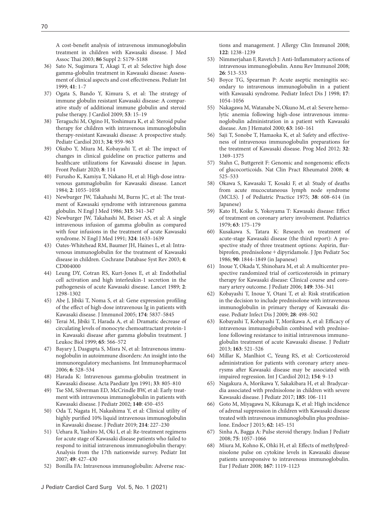A cost-benefit analysis of intravenous immunoglobulin treatment in children with Kawasaki disease. J Med Assoc Thai 2003; 86 Suppl 2: S179-S188

- [36\) Sato N, Sugimura T, Akagi T, et al: Selective high dose](http://dx.doi.org/10.1046/j.1442-200X.1999.t01-1-01014.x)  [gamma-globulin treatment in Kawasaki disease: Assess](http://dx.doi.org/10.1046/j.1442-200X.1999.t01-1-01014.x)ment of clinical aspects and cost effectiveness. Pediatr Int [1999;](http://dx.doi.org/10.1046/j.1442-200X.1999.t01-1-01014.x) **41**: 1‒7
- 37) Ogata S, Bando Y, Kimura S, et al: The strategy of [immune globulin resistant Kawasaki disease: A compar](http://dx.doi.org/10.1016/j.jjcc.2008.08.002)[ative study of additional immune globulin and steroid](http://dx.doi.org/10.1016/j.jjcc.2008.08.002)  [pulse therapy. J Cardiol 2009;](http://dx.doi.org/10.1016/j.jjcc.2008.08.002) **53**: 15‒19
- [38\) Teraguchi M, Ogino H, Yoshimura K, et al: Steroid pulse](http://dx.doi.org/10.1007/s00246-012-0589-9)  [therapy for children with intravenous immunoglobulin](http://dx.doi.org/10.1007/s00246-012-0589-9)  [therapy-resistant Kawasaki disease: A prospective study.](http://dx.doi.org/10.1007/s00246-012-0589-9)  [Pediatr Cardiol 2013;](http://dx.doi.org/10.1007/s00246-012-0589-9) **34**: 959‒963
- 39) Okubo Y, Miura M, Kobayashi T, et al: The impact of [changes in clinical guideline on practice patterns and](http://dx.doi.org/10.3389/fped.2020.00114)  [healthcare utilizations for Kawasaki disease in Japan.](http://dx.doi.org/10.3389/fped.2020.00114)  [Front Pediatr 2020;](http://dx.doi.org/10.3389/fped.2020.00114) **8**: 114
- [40\) Furusho K, Kamiya T, Nakano H, et al: High-dose intra](http://dx.doi.org/10.1016/S0140-6736(84)91504-6)[venous gammaglobulin for Kawasaki disease. Lancet](http://dx.doi.org/10.1016/S0140-6736(84)91504-6)  1984; **2**[: 1055](http://dx.doi.org/10.1016/S0140-6736(84)91504-6)‒1058
- 41) Newburger JW, Takahashi M, Burns JC, et al: The treat[ment of Kawasaki syndrome with intravenous gamma](http://dx.doi.org/10.1056/NEJM198608073150601)  [globulin. N Engl J Med 1986;](http://dx.doi.org/10.1056/NEJM198608073150601) **315**: 341‒347
- [42\) Newburger JW, Takahashi M, Beiser AS, et al: A single](http://dx.doi.org/10.1056/NEJM199106063242305)  [intravenous infusion of gamma globulin as compared](http://dx.doi.org/10.1056/NEJM199106063242305)  [with four infusions in the treatment of acute Kawasaki](http://dx.doi.org/10.1056/NEJM199106063242305)  [syndrome. N Engl J Med 1991;](http://dx.doi.org/10.1056/NEJM199106063242305) 324: 1633-1639
- [43\) Oates-Whitehead RM, Baumer JH, Haines L, et al: Intra](http://dx.doi.org/10.1002/14651858.CD004000)[venous immunoglobulin for the treatment of Kawasaki](http://dx.doi.org/10.1002/14651858.CD004000)  [disease in children. Cochrane Database Syst Rev 2003;](http://dx.doi.org/10.1002/14651858.CD004000) **4**: [CD004000](http://dx.doi.org/10.1002/14651858.CD004000)
- [44\) Leung DY, Cotran RS, Kurt-Jones E, et al: Endothelial](http://dx.doi.org/10.1016/S0140-6736(89)91910-7)  [cell activation and high interleukin-1 secretion in the](http://dx.doi.org/10.1016/S0140-6736(89)91910-7)  [pathogenesis of acute Kawasaki disease. Lancet 1989;](http://dx.doi.org/10.1016/S0140-6736(89)91910-7) **2**: [1298](http://dx.doi.org/10.1016/S0140-6736(89)91910-7)‒1302
- 45) Abe J, Jibiki T, Noma S, et al: Gene expression profiling of the effect of high-dose intravenous Ig in patients with [Kawasaki disease. J Immunol 2005;](http://dx.doi.org/10.4049/jimmunol.174.9.5837) **174**: 5837‒5845
- [46\) Terai M, Jibiki T, Harada A, et al: Dramatic decrease of](http://dx.doi.org/10.1002/jlb.65.5.566)  [circulating levels of monocyte chemoattractant protein-1](http://dx.doi.org/10.1002/jlb.65.5.566)  in Kawasaki disease after gamma globulin treatment. J [Leukoc Biol 1999;](http://dx.doi.org/10.1002/jlb.65.5.566) **65**: 566‒572
- [47\) Bayary J, Dasgupta S, Misra N, et al: Intravenous immu](http://dx.doi.org/10.1016/j.intimp.2005.11.013)[noglobulin in autoimmune disorders: An insight into the](http://dx.doi.org/10.1016/j.intimp.2005.11.013)  [immunoregulatory mechanisms. Int Immunopharmacol](http://dx.doi.org/10.1016/j.intimp.2005.11.013)  [2006;](http://dx.doi.org/10.1016/j.intimp.2005.11.013) **6**: 528‒534
- [48\) Harada K: Intravenous gamma-globulin treatment in](http://dx.doi.org/10.1111/j.1442-200X.1991.tb02612.x)  [Kawasaki disease. Acta Paediatr Jpn 1991;](http://dx.doi.org/10.1111/j.1442-200X.1991.tb02612.x) **33**: 805‒810
- [49\) Tse SM, Silverman ED, McCrindle BW, et al: Early treat](http://dx.doi.org/10.1067/mpd.2002.122469)[ment with intravenous immunoglobulin in patients with](http://dx.doi.org/10.1067/mpd.2002.122469)  [Kawasaki disease. J Pediatr 2002;](http://dx.doi.org/10.1067/mpd.2002.122469) **140**: 450‒455
- [50\) Oda T, Nagata H, Nakashima Y, et al: Clinical utility of](http://dx.doi.org/10.1016/j.jpeds.2019.06.018)  highly purified 10% liquid intravenous immunoglobulin [in Kawasaki disease. J Pediatr 2019;](http://dx.doi.org/10.1016/j.jpeds.2019.06.018) **214**: 227‒230
- [51\) Uehara R, Yashiro M, Oki I, et al: Re-treatment regimens](http://dx.doi.org/10.1111/j.1442-200X.2007.02389.x)  [for acute stage of Kawasaki disease patients who failed to](http://dx.doi.org/10.1111/j.1442-200X.2007.02389.x)  [respond to initial intravenous immunoglobulin therapy:](http://dx.doi.org/10.1111/j.1442-200X.2007.02389.x)  [Analysis from the 17th nationwide survey. Pediatr Int](http://dx.doi.org/10.1111/j.1442-200X.2007.02389.x)  [2007;](http://dx.doi.org/10.1111/j.1442-200X.2007.02389.x) **49**: 427‒430
- [52\) Bonilla FA: Intravenous immunoglobulin: Adverse reac-](http://dx.doi.org/10.1016/j.jaci.2008.08.033)

[tions and management. J Allergy Clin Immunol 2008;](http://dx.doi.org/10.1016/j.jaci.2008.08.033)  **122**[: 1238](http://dx.doi.org/10.1016/j.jaci.2008.08.033)‒1239

- 53) Nimmerjahan F, Ravetch J: Anti-Inflammatory actions of [intravenous immunoglobulin. Annu Rev Immunol 2008;](http://dx.doi.org/10.1146/annurev.immunol.26.021607.090232)  **26**[: 513](http://dx.doi.org/10.1146/annurev.immunol.26.021607.090232)‒533
- [54\) Boyce TG, Spearman P: Acute aseptic meningitis sec](http://dx.doi.org/10.1097/00006454-199811000-00023)[ondary to intravenous immunoglobulin in a patient](http://dx.doi.org/10.1097/00006454-199811000-00023)  [with Kawasaki syndrome. Pediatr Infect Dis J 1998;](http://dx.doi.org/10.1097/00006454-199811000-00023) **17**: 1054‒[1056](http://dx.doi.org/10.1097/00006454-199811000-00023)
- [55\) Nakagawa M, Watanabe N, Okuno M, et al: Severe hemo](http://dx.doi.org/10.1002/(SICI)1096-8652(200003)63:3%3C160::AID-AJH11%3E3.0.CO;2-4)[lytic anemia following high-dose intravenous immu](http://dx.doi.org/10.1002/(SICI)1096-8652(200003)63:3%3C160::AID-AJH11%3E3.0.CO;2-4)[noglobulin administration in a patient with Kawasaki](http://dx.doi.org/10.1002/(SICI)1096-8652(200003)63:3%3C160::AID-AJH11%3E3.0.CO;2-4)  [disease. Am J Hematol 2000;](http://dx.doi.org/10.1002/(SICI)1096-8652(200003)63:3%3C160::AID-AJH11%3E3.0.CO;2-4) **63**: 160‒161
- 56) Saji T, Sonobe T, Hamaoka K, et al: Safety and effectiveness of intravenous immunoglobulin preparations for the treatment of Kawasaki disease. Prog Med 2012; **32**: 1369‒1375
- 57) Stahn C, Buttgereit F: Genomic and nongenomic effects [of glucocorticoids. Nat Clin Pract Rheumatol 2008;](http://dx.doi.org/10.1038/ncprheum0898) **4**: [525](http://dx.doi.org/10.1038/ncprheum0898)‒533
- 58) Okawa S, Kawasaki T, Kosaki F, et al: Study of deaths from acute mucocutaneous lymph node syndrome (MCLS). J of Pediatric Practice 1975; **38**: 608‒614 (in Japanese)
- 59) Kato H, Koike S, Yokoyama T: Kawasaki disease: Effect of treatment on coronary artery involvement. Pediatrics 1979; **63**: 175‒179
- 60) Kusakawa S, Tatara K: Research on treatment of acute-stage Kawasaki disease (the third report): A prospective study of three treatment options: Aspirin, flurbiprofen, prednisolone+dipyridamole. J Jpn Pediatr Soc 1986; **90**: 1844‒1849 (in Japanese)
- [61\) Inoue Y, Okada Y, Shinohara M, et al: A multicenter pro](http://dx.doi.org/10.1016/j.jpeds.2006.05.025)[spective randomized trial of corticosteroids in primary](http://dx.doi.org/10.1016/j.jpeds.2006.05.025)  [therapy for Kawasaki disease: Clinical course and coro](http://dx.doi.org/10.1016/j.jpeds.2006.05.025)[nary artery outcome. J Pediatr 2006;](http://dx.doi.org/10.1016/j.jpeds.2006.05.025) **149**: 336‒341
- 62) Kobayashi T, Inoue Y, Otani T, et al: Risk stratification [in the decision to include prednisolone with intravenous](http://dx.doi.org/10.1097/INF.0b013e3181950b64)  [immunoglobulin in primary therapy of Kawasaki dis](http://dx.doi.org/10.1097/INF.0b013e3181950b64)[ease. Pediatr Infect Dis J 2009;](http://dx.doi.org/10.1097/INF.0b013e3181950b64) **28**: 498‒502
- 63) Kobayashi T, Kobayashi T, Morikawa A, et al: Efficacy of [intravenous immunoglobulin combined with predniso](http://dx.doi.org/10.1016/j.jpeds.2013.01.022)[lone following resistance to initial intravenous immuno](http://dx.doi.org/10.1016/j.jpeds.2013.01.022)[globulin treatment of acute Kawasaki disease. J Pediatr](http://dx.doi.org/10.1016/j.jpeds.2013.01.022)  [2013;](http://dx.doi.org/10.1016/j.jpeds.2013.01.022) **163**: 521‒526
- [64\) Millar K, Manlhiot C, Yeung RS, et al: Corticosteroid](http://dx.doi.org/10.1016/j.ijcard.2010.08.070)  [administration for patients with coronary artery aneu](http://dx.doi.org/10.1016/j.ijcard.2010.08.070)rysms after Kawasaki disease may be associated with [impaired regression. Int J Cardiol 2012;](http://dx.doi.org/10.1016/j.ijcard.2010.08.070) **154**: 9‒13
- [65\) Nagakura A, Morikawa Y, Sakakibara H, et al: Bradycar](http://dx.doi.org/10.1016/j.jpeds.2017.02.074)[dia associated with prednisolone in children with severe](http://dx.doi.org/10.1016/j.jpeds.2017.02.074)  [Kawasaki disease. J Pediatr 2017;](http://dx.doi.org/10.1016/j.jpeds.2017.02.074) **185**: 106‒111
- [66\) Goto M, Miyagawa N, Kikunaga K, et al: High incidence](http://dx.doi.org/10.1507/endocrj.EJ14-0385)  [of adrenal suppression in children with Kawasaki disease](http://dx.doi.org/10.1507/endocrj.EJ14-0385)  [treated with intravenous immunoglobulin plus predniso](http://dx.doi.org/10.1507/endocrj.EJ14-0385)[lone. Endocr J 2015;](http://dx.doi.org/10.1507/endocrj.EJ14-0385) **62**: 145-151
- [67\) Sinha A, Bagga A: Pulse steroid therapy. Indian J Pediatr](http://dx.doi.org/10.1007/s12098-008-0210-7)  2008; **75**[: 1057](http://dx.doi.org/10.1007/s12098-008-0210-7)‒1066
- 68) Miura M, Kohno K, Ohki H, et al: Effects of methylpred[nisolone pulse on cytokine levels in Kawasaki disease](http://dx.doi.org/10.1007/s00431-007-0642-5)  [patients unresponsive to intravenous immunoglobulin.](http://dx.doi.org/10.1007/s00431-007-0642-5)  [Eur J Pediatr 2008;](http://dx.doi.org/10.1007/s00431-007-0642-5) **167**: 1119‒1123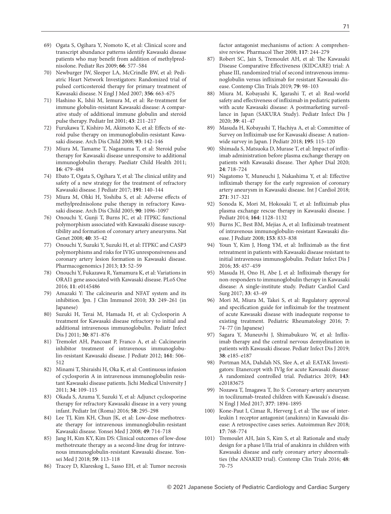- [69\) Ogata S, Ogihara Y, Nomoto K, et al: Clinical score and](http://dx.doi.org/10.1203/PDR.0b013e3181baa3c2)  [transcript abundance patterns identify Kawasaki disease](http://dx.doi.org/10.1203/PDR.0b013e3181baa3c2)  patients who may benefit from addition of methylpred[nisolone. Pediatr Res 2009;](http://dx.doi.org/10.1203/PDR.0b013e3181baa3c2) **66**: 577‒584
- [70\) Newburger JW, Sleeper LA, McCrindle BW, et al: Pedi](http://dx.doi.org/10.1056/NEJMoa061235)[atric Heart Network Investigators: Randomized trial of](http://dx.doi.org/10.1056/NEJMoa061235)  [pulsed corticosteroid therapy for primary treatment of](http://dx.doi.org/10.1056/NEJMoa061235)  [Kawasaki disease. N Engl J Med 2007;](http://dx.doi.org/10.1056/NEJMoa061235) **356**: 663‒675
- [71\) Hashino K, Ishii M, Iemura M, et al: Re-treatment for](http://dx.doi.org/10.1046/j.1442-200x.2001.01373.x)  [immune globulin-resistant Kawasaki disease: A compar](http://dx.doi.org/10.1046/j.1442-200x.2001.01373.x)[ative study of additional immune globulin and steroid](http://dx.doi.org/10.1046/j.1442-200x.2001.01373.x)  [pulse therapy. Pediatr Int 2001;](http://dx.doi.org/10.1046/j.1442-200x.2001.01373.x) **43**: 211‒217
- 72) Furukawa T, Kishiro M, Akimoto K, et al: Effects of ste[roid pulse therapy on immunoglobulin-resistant Kawa](http://dx.doi.org/10.1136/adc.2007.126144)[saki disease. Arch Dis Child 2008;](http://dx.doi.org/10.1136/adc.2007.126144) **93**: 142‒146
- [73\) Miura M, Tamame T, Naganuma T, et al: Steroid pulse](http://dx.doi.org/10.1093/pch/16.8.479)  [therapy for Kawasaki disease unresponsive to additional](http://dx.doi.org/10.1093/pch/16.8.479)  [immunoglobulin therapy. Paediatr Child Health 2011;](http://dx.doi.org/10.1093/pch/16.8.479)  **16**[: 479](http://dx.doi.org/10.1093/pch/16.8.479)‒484
- 74) Ebato T, Ogata S, Ogihara Y, et al: The clinical utility and [safety of a new strategy for the treatment of refractory](http://dx.doi.org/10.1016/j.jpeds.2017.08.076)  [Kawasaki disease. J Pediatr 2017;](http://dx.doi.org/10.1016/j.jpeds.2017.08.076) **191**: 140‒144
- 75) Miura M, Ohki H, Yoshiba S, et al: Adverse effects of [methylprednisolone pulse therapy in refractory Kawa](http://dx.doi.org/10.1136/adc.2004.062299)[saki disease. Arch Dis Child 2005;](http://dx.doi.org/10.1136/adc.2004.062299) **90**: 1096‒1097
- [76\) Onouchi Y, Gunji T, Burns JC, et al: ITPKC functional](http://dx.doi.org/10.1038/ng.2007.59)  [polymorphism associated with Kawasaki disease suscep](http://dx.doi.org/10.1038/ng.2007.59)[tibility and formation of coronary artery aneurysms. Nat](http://dx.doi.org/10.1038/ng.2007.59)  [Genet 2008;](http://dx.doi.org/10.1038/ng.2007.59) **40**: 35‒42
- [77\) Onouchi Y, Suzuki Y, Suzuki H, et al: ITPKC and CASP3](http://dx.doi.org/10.1038/tpj.2011.45)  [polymorphisms and risks for IVIG unresponsiveness and](http://dx.doi.org/10.1038/tpj.2011.45)  [coronary artery lesion formation in Kawasaki disease.](http://dx.doi.org/10.1038/tpj.2011.45)  [Pharmacogenomics J 2013;](http://dx.doi.org/10.1038/tpj.2011.45) **13**: 52‒59
- [78\) Onouchi Y, Fukazawa R, Yamamura K, et al: Variations in](http://dx.doi.org/10.1371/journal.pone.0145486)  [ORAI1 gene associated with Kawasaki disease. PLoS One](http://dx.doi.org/10.1371/journal.pone.0145486)  2016; **11**[: e0145486](http://dx.doi.org/10.1371/journal.pone.0145486)
- 79) Amazaki Y: The calcineurin and NFAT system and its [inhibition. Jpn. J Clin Immunol 2010;](http://dx.doi.org/10.2177/jsci.33.249) **33**: 249‒261 (in [Japanese\)](http://dx.doi.org/10.2177/jsci.33.249)
- [80\) Suzuki H, Terai M, Hamada H, et al: Cyclosporin A](http://dx.doi.org/10.1097/INF.0b013e318220c3cf)  [treatment for Kawasaki disease refractory to initial and](http://dx.doi.org/10.1097/INF.0b013e318220c3cf)  [additional intravenous immunoglobulin. Pediatr Infect](http://dx.doi.org/10.1097/INF.0b013e318220c3cf)  [Dis J 2011;](http://dx.doi.org/10.1097/INF.0b013e318220c3cf) **30**: 871‒876
- [81\) Tremolet AH, Pancoast P, Franco A, et al: Calcineurin](http://dx.doi.org/10.1016/j.jpeds.2012.02.048)  [inhibitor treatment of intravenous immunoglobu](http://dx.doi.org/10.1016/j.jpeds.2012.02.048)[lin-resistant Kawasaki disease. J Pediatr 2012;](http://dx.doi.org/10.1016/j.jpeds.2012.02.048) **161**: 506‒ [512](http://dx.doi.org/10.1016/j.jpeds.2012.02.048)
- 82) Minami T, Shiraishi H, Oka K, et al: Continuous infusion of cyclosporin A in intravenous immunoglobulin resistant Kawasaki disease patients. Jichi Medical University J 2011; **34**: 109‒115
- [83\) Okada S, Azuma Y, Suzuki Y, et al: Adjunct cyclosporine](http://dx.doi.org/10.1111/ped.12778)  [therapy for refractory Kawasaki disease in a very young](http://dx.doi.org/10.1111/ped.12778)  [infant. Pediatr Int \(Roma\) 2016;](http://dx.doi.org/10.1111/ped.12778) **58**: 295‒298
- [84\) Lee TJ, Kim KH, Chun JK, et al: Low-dose methotrex](http://dx.doi.org/10.3349/ymj.2008.49.5.714)[ate therapy for intravenous immunoglobulin-resistant](http://dx.doi.org/10.3349/ymj.2008.49.5.714)  [Kawasaki disease. Yonsei Med J 2008;](http://dx.doi.org/10.3349/ymj.2008.49.5.714) **49**: 714‒718
- [85\) Jang H, Kim KY, Kim DS: Clinical outcomes of low-dose](http://dx.doi.org/10.3349/ymj.2018.59.1.113)  [methotrexate therapy as a second-line drug for intrave](http://dx.doi.org/10.3349/ymj.2018.59.1.113)[nous immunoglobulin-resistant Kawasaki disease. Yon](http://dx.doi.org/10.3349/ymj.2018.59.1.113)[sei Med J 2018;](http://dx.doi.org/10.3349/ymj.2018.59.1.113) **59**: 113‒118
- [86\) Tracey D, Klareskog L, Sasso EH, et al: Tumor necrosis](http://dx.doi.org/10.1016/j.pharmthera.2007.10.001)

[factor antagonist mechanisms of action: A comprehen](http://dx.doi.org/10.1016/j.pharmthera.2007.10.001)sive review. Pharmacol Ther 2008; **117**: 244-279

- 87) Robert SC, Jain S, Tremoulet AH, et al: The Kawasaki Disease Comparative Effectiveness (KIDCARE) trial: A [phase III, randomized trial of second intravenous immu](http://dx.doi.org/10.1016/j.cct.2019.02.008)noglobulin versus infliximab for resistant Kawasaki dis[ease. Contemp Clin Trials 2019;](http://dx.doi.org/10.1016/j.cct.2019.02.008) **79**: 98-103
- [88\) Miura M, Kobayashi K, Igarashi T, et al: Real-world](http://dx.doi.org/10.1097/INF.0000000000002503)  safety and effectiveness of infliximab in pediatric patients [with acute Kawasaki disease: A postmarketing surveil](http://dx.doi.org/10.1097/INF.0000000000002503)[lance in Japan \(SAKURA Study\). Pediatr Infect Dis J](http://dx.doi.org/10.1097/INF.0000000000002503)  [2020;](http://dx.doi.org/10.1097/INF.0000000000002503) **39**: 41‒47
- [89\) Masuda H, Kobayashi T, Hachiya A, et al: Committee of](http://dx.doi.org/10.1016/j.jpeds.2017.10.013)  Survey on Infliximab use for Kawasaki disease: A nation[wide survey in Japan. J Pediatr 2018;](http://dx.doi.org/10.1016/j.jpeds.2017.10.013) **195**: 115‒120
- 90) Shimada S, Matsuoka D, Murase T, et al: Impact of inflix[imab administration before plasma exchange therapy on](http://dx.doi.org/10.1111/1744-9987.13486)  patients with Kawasaki disease. Ther Apher Dial 2020; **24**[: 718](http://dx.doi.org/10.1111/1744-9987.13486)‒724
- 91) Nagatomo Y, Muneuchi J, Nakashima Y, et al: Effective infliximab therapy for the early regression of coronary [artery aneurysm in Kawasaki disease. Int J Cardiol 2018;](http://dx.doi.org/10.1016/j.ijcard.2018.04.062)  **271**[: 317](http://dx.doi.org/10.1016/j.ijcard.2018.04.062)‒321
- 92) Sonoda K, Mori M, Hokosaki T, et al: Infliximab plus [plasma exchange rescue therapy in Kawasaki disease. J](http://dx.doi.org/10.1016/j.jpeds.2014.01.020)  [Pediatr 2014;](http://dx.doi.org/10.1016/j.jpeds.2014.01.020) **164**: 1128‒1132
- 93) Burns JC, Best BM, Mejias A, et al: Infliximab treatment [of intravenous immunoglobulin-resistant Kawasaki dis](http://dx.doi.org/10.1016/j.jpeds.2008.06.011)[ease. J Pediatr 2008;](http://dx.doi.org/10.1016/j.jpeds.2008.06.011) **153**: 833‒838
- 94) Youn Y, Kim J, Hong YM, et al: Infliximab as the first [retreatment in patients with Kawasaki disease resistant to](http://dx.doi.org/10.1097/INF.0000000000001039)  [initial intravenous immunoglobulin. Pediatr Infect Dis J](http://dx.doi.org/10.1097/INF.0000000000001039)  [2016;](http://dx.doi.org/10.1097/INF.0000000000001039) **35**: 457‒459
- 95) Masuda H, Ono H, Abe J, et al: Infliximab therapy for [non-responders to immunoglobulin therapy in Kawasaki](http://dx.doi.org/10.9794/jspccs.33.43)  [disease: A single-institute study. Pediatr Cardiol Card](http://dx.doi.org/10.9794/jspccs.33.43)  [Surg 2017;](http://dx.doi.org/10.9794/jspccs.33.43) **33**: 43‒49
- 96) Mori M, Miura M, Takei S, et al: Regulatory approval and specification guide for infliximab for the treatment of acute Kawasaki disease with inadequate response to existing treatment. Pediatric Rheumatology 2016; **7**: 74–77 (in Japanese)
- 97) Sagara Y, Muneuvhi J, Shimabukuro W, et al: Inflix[imab therapy and the central nervous demyelination in](http://dx.doi.org/10.1097/INF.0000000000002296)  [patients with Kawasaki disease. Pediatr Infect Dis J 2019;](http://dx.doi.org/10.1097/INF.0000000000002296)  **38**[: e185](http://dx.doi.org/10.1097/INF.0000000000002296)‒e187
- [98\) Portman MA, Dahdah NS, Slee A, et al: EATAK Investi](http://dx.doi.org/10.1542/peds.2018-3675)[gators: Etanercept with IVIg for acute Kawasaki disease:](http://dx.doi.org/10.1542/peds.2018-3675)  [A randomized controlled trial. Pediatrics 2019;](http://dx.doi.org/10.1542/peds.2018-3675) **143**: [e20183675](http://dx.doi.org/10.1542/peds.2018-3675)
- [99\) Nozawa T, Imagawa T, Ito S: Coronary-artery aneurysm](http://dx.doi.org/10.1056/NEJMc1709609)  [in tocilizumab-treated children with Kawasaki](http://dx.doi.org/10.1056/NEJMc1709609)'s disease. [N Engl J Med 2017;](http://dx.doi.org/10.1056/NEJMc1709609) **377**: 1894‒1895
- 100) Kone-Paut I, Cimaz R, Herverg J, et al: The use of inter[leukin 1 receptor antagonist \(anakinra\) in Kawasaki dis](http://dx.doi.org/10.1016/j.autrev.2018.01.024)[ease: A retrospective cases series. Autoimmun Rev 2018;](http://dx.doi.org/10.1016/j.autrev.2018.01.024)  **17**[: 768](http://dx.doi.org/10.1016/j.autrev.2018.01.024)‒774
- [101\) Tremoulet AH, Jain S, Kim S, et al: Rationale and study](http://dx.doi.org/10.1016/j.cct.2016.04.002)  [design for a phase I/IIa trial of anakinra in children with](http://dx.doi.org/10.1016/j.cct.2016.04.002)  [Kawasaki disease and early coronary artery abnormali](http://dx.doi.org/10.1016/j.cct.2016.04.002)[ties \(the ANAKID trial\). Contemp Clin Trials 2016;](http://dx.doi.org/10.1016/j.cct.2016.04.002) **48**: 70‒[75](http://dx.doi.org/10.1016/j.cct.2016.04.002)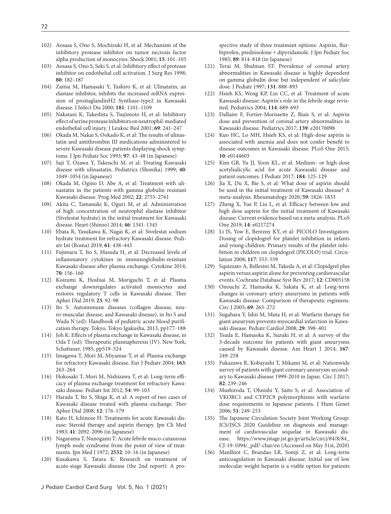- [102\) Aosasa S, Ono S, Mochizuki H, et al: Mechanism of the](http://dx.doi.org/10.1097/00024382-200115020-00004)  [inhibitory protease inhibitor on tumor necrosis factor](http://dx.doi.org/10.1097/00024382-200115020-00004)  [alpha production of monocytes. Shock 2001;](http://dx.doi.org/10.1097/00024382-200115020-00004) 15: 101-105
- 103) Aosasa S, Ono S, Seki S, et al: Inhibitory effect of protease [inhibitor on endothelial cell activation. J Surg Res 1998;](http://dx.doi.org/10.1006/jsre.1998.5474)  **80**[: 182](http://dx.doi.org/10.1006/jsre.1998.5474)‒187
- [104\) Zaitsu M, Hamasaki Y, Tashiro K, et al: Ulinatatin, an](http://dx.doi.org/10.1086/315332)  [elastase inhibitor, inhibits the increased mRNA expres](http://dx.doi.org/10.1086/315332)[sion of prostaglandinH2 Synthase-type2 in Kawasaki](http://dx.doi.org/10.1086/315332)  [disease. J Infect Dis 2000;](http://dx.doi.org/10.1086/315332) **181**: 1101‒1109
- 105) Nakatani K, Takeshita S, Tsujimoto H, et al: Inhibitory effect of serine protease inhibitors on neutrophil-mediated endothelial cell injury. J Leukoc Biol 2001; **69**: 241‒247
- 106) Okada M, Nakai S, Ookado K, et al: The results of ulinastatin and antithrombin III medications administered to severe Kawasaki disease patients displaying shock symptoms. J Jpn Pediatr Soc 1993; **97**: 43‒48 (in Japanese)
- 107) Saji T, Ozawa Y, Takeuchi M, et al: Treating Kawasaki disease with ulinastatin. Pediatrics (Shonika) 1999; **40**: 1049‒1054 (in Japanese)
- 108) Okada M, Ogino D, Abe A, et al: Treatment with ulinastatin in the patients with gamma globulin resistant Kawasaki disease. Prog Med 2002; **22**: 2755‒2761
- 109) Akita C, Tamanuki K, Oguri M, et al: Administration of high concentration of neutrophil elastase inhibitor (Sivelestat hydrate) in the initial treatment for Kawasaki disease. Heart (Shinzo) 2014; **46**: 1341‒1345
- [110\) Ebata R, Yasukawa K, Nagai K, et al: Sivelestat sodium](http://dx.doi.org/10.1111/ped.13851)  [hydrate treatment for refractory Kawasaki disease. Pedi](http://dx.doi.org/10.1111/ped.13851)[atr Int \(Roma\) 2019;](http://dx.doi.org/10.1111/ped.13851) **61**: 438‒443
- [111\) Fujimaru T, Ito S, Masuda H, et al: Decreased levels of](http://dx.doi.org/10.1016/j.cyto.2014.07.003)  inflammatory cytokines in immunoglobulin-resistant Kawasaki disease after plasma exchange. Cytokine 2014; **70**[: 156](http://dx.doi.org/10.1016/j.cyto.2014.07.003)‒160
- [112\) Koizumi K, Hoshiai M, Moriguchi T, et al: Plasma](http://dx.doi.org/10.1111/1744-9987.12754)  [exchange downregulates activated monocytes and](http://dx.doi.org/10.1111/1744-9987.12754)  restores regulatory T cells in Kawasaki disease. Ther [Apher Dial 2019;](http://dx.doi.org/10.1111/1744-9987.12754) **23**: 92‒98
- 113) Ito S: Autoimmune diseases (collagen disease, neuro-muscular disease, and Kawasaki disease), in Ito S and Wada N (ed): Handbook of pediatric acute blood purification therapy. Tokyo, Tokyo Igakusha, 2013, pp177-188
- 114) Joh K: Effects of plasma exchange in Kawasaki disease, in Oda T (ed): Therapeutic plasmapheresis (IV). New York, Schattauer, 1985, pp519-524
- [115\) Imagawa T, Mori M, Miyamae T, et al: Plasma exchange](http://dx.doi.org/10.1007/s00431-003-1267-y)  [for refractory Kawasaki disease. Eur J Pediatr 2004;](http://dx.doi.org/10.1007/s00431-003-1267-y) **163**: [263](http://dx.doi.org/10.1007/s00431-003-1267-y)‒264
- 116) Hokosaki T, Mori M, Nishizawa T, et al: Long-term effi[cacy of plasma exchange treatment for refractory Kawa](http://dx.doi.org/10.1111/j.1442-200X.2011.03487.x)[saki disease. Pediatr Int 2012;](http://dx.doi.org/10.1111/j.1442-200X.2011.03487.x) 54: 99-103
- [117\) Harada T, Ito S, Shiga K, et al: A report of two cases of](http://dx.doi.org/10.1111/j.1744-9987.2008.00566.x)  Kawasaki disease treated with plasma exchange. Ther [Apher Dial 2008;](http://dx.doi.org/10.1111/j.1744-9987.2008.00566.x) **12**: 176‒179
- 118) Kato H, Ichinose H: Treatments for acute Kawasaki disease: Steroid therapy and aspirin therapy. Jpn Cli Med 1983; **41**: 2092‒2096 (in Japanese)
- 119) Nagayama T, Nunogami T: Acute febrile muco-cutaneous lymph node syndrome from the point of view of treatments. Jpn Med J 1972; **2532**: 10‒16 (in Japanese)
- 120) Kusakawa S, Tatara K: Research on treatment of acute-stage Kawasaki disease (the 2nd report): A pro-

spective study of three treatment options: Aspirin, flurbiprofen, prednisolone+dipyridamole. J Jpn Pediatr Soc 1985; **89**: 814‒818 (in Japanese)

- [121\) Terai M, Shulman ST: Prevalence of coronal artery](http://dx.doi.org/10.1016/S0022-3476(97)70038-6)  [abnormalities in Kawasaki disease is highly dependent](http://dx.doi.org/10.1016/S0022-3476(97)70038-6)  [on gamma globulin dose but independent of salicylate](http://dx.doi.org/10.1016/S0022-3476(97)70038-6)  [dose. J Pediatr 1997;](http://dx.doi.org/10.1016/S0022-3476(97)70038-6) **131**: 888‒893
- [122\) Hsieh KS, Weng KP, Lin CC, et al: Treatment of acute](http://dx.doi.org/10.1542/peds.2004-1037)  Kawasaki disease: Aspirin'[s role in the febrile stage revis](http://dx.doi.org/10.1542/peds.2004-1037)[ited. Pediatrics 2004;](http://dx.doi.org/10.1542/peds.2004-1037) **114**: 689‒693
- [123\) Dallaire F, Fortier-Morissette Z, Biais S, et al: Aspirin](http://dx.doi.org/10.1542/peds.2017-0098)  [dose and prevention of coronal artery abnormalities in](http://dx.doi.org/10.1542/peds.2017-0098)  [Kawasaki disease. Pediatrics 2017;](http://dx.doi.org/10.1542/peds.2017-0098) **139**: e20170098
- [124\) Kuo HC, Lo MH, Hsieh KS, et al: High-dose aspirin is](http://dx.doi.org/10.1371/journal.pone.0144603)  associated with anemia and does not confer benefit to [disease outcomes in Kawasaki disease. PLoS One 2015;](http://dx.doi.org/10.1371/journal.pone.0144603)  **10**[: e0144603](http://dx.doi.org/10.1371/journal.pone.0144603)
- [125\) Kim GB, Yu JJ, Yoon KL, et al: Medium- or high-dose](http://dx.doi.org/10.1016/j.jpeds.2016.12.019)  [acetylsalicylic acid for acute Kawasaki disease and](http://dx.doi.org/10.1016/j.jpeds.2016.12.019)  [patient outcomes. J Pediatr 2017;](http://dx.doi.org/10.1016/j.jpeds.2016.12.019) **184**: 125‒129
- [126\) Jia X, Du X, Bie S, et al: What dose of aspirin should](http://dx.doi.org/10.1093/rheumatology/keaa050)  [be used in the initial treatment of Kawasaki disease? A](http://dx.doi.org/10.1093/rheumatology/keaa050)  [meta-analysis. Rheumatology 2020;](http://dx.doi.org/10.1093/rheumatology/keaa050) **59**: 1826‒1833
- 127) Zheng X, Yue P, Liu L, et al: Efficacy between low and [high dose aspirin for the initial treatment of Kawasaki](http://dx.doi.org/10.1371/journal.pone.0217274)  [disease: Current evidence based on a meta-analysis. PLoS](http://dx.doi.org/10.1371/journal.pone.0217274)  [One 2019;](http://dx.doi.org/10.1371/journal.pone.0217274) **14**: e0217274
- [128\) Li JS, Yow E, Berezny KY, et al: PICOLO Investigators:](http://dx.doi.org/10.1161/CIRCULATIONAHA.107.715821)  [Dosing of clopidogrel for platelet inhibition in infants](http://dx.doi.org/10.1161/CIRCULATIONAHA.107.715821)  [and young children. Primary results of the platelet inhi](http://dx.doi.org/10.1161/CIRCULATIONAHA.107.715821)[bition in children on clopidogrel \(PICOLO\) trial. Circu](http://dx.doi.org/10.1161/CIRCULATIONAHA.107.715821)[lation 2008;](http://dx.doi.org/10.1161/CIRCULATIONAHA.107.715821) **117**: 553‒559
- 129) Squizzato A, Bellesini M, Takeda A, et al: Clopidgrel plus aspirin versus aspirin alone for preventing cardiovascular events. Cochrane Database Syst Rev 2017; **12**: CD005158
- [130\) Onouchi Z, Hamaoka K, Sakata K, et al: Long-term](http://dx.doi.org/10.1253/circj.69.265)  [changes in coronary artery aneurysms in patients with](http://dx.doi.org/10.1253/circj.69.265)  [Kawasaki disease: Comparison of therapeutic regimens.](http://dx.doi.org/10.1253/circj.69.265)  [Circ J 2005;](http://dx.doi.org/10.1253/circj.69.265) **69**: 265‒272
- [131\) Sugahara Y, Ishii M, Muta H, et al: Warfarin therapy for](http://dx.doi.org/10.1007/s00246-007-9132-9)  [giant aneurysm prevents myocardial infarction in Kawa](http://dx.doi.org/10.1007/s00246-007-9132-9)[saki disease. Pediatr Cardiol 2008;](http://dx.doi.org/10.1007/s00246-007-9132-9) **29**: 398‒401
- [132\) Tsuda E, Hamaoka K, Suzuki H, et al: A survey of the](http://dx.doi.org/10.1016/j.ahj.2013.10.025)  [3-decade outcome for patients with giant aneurysms](http://dx.doi.org/10.1016/j.ahj.2013.10.025)  [caused by Kawasaki disease. Am Heart J 2014;](http://dx.doi.org/10.1016/j.ahj.2013.10.025) **167**: [249](http://dx.doi.org/10.1016/j.ahj.2013.10.025)‒258
- [133\) Fukazawa R, Kobayashi T, Mikami M, et al: Nationwide](http://dx.doi.org/10.1253/circj.CJ-17-0433)  [survey of patients with giant coronary aneurysm second](http://dx.doi.org/10.1253/circj.CJ-17-0433)[ary to Kawasaki disease 1999-2010 in Japan. Circ J 2017;](http://dx.doi.org/10.1253/circj.CJ-17-0433)  **82**[: 239](http://dx.doi.org/10.1253/circj.CJ-17-0433)‒246
- [134\) Mushiroda T, Ohnishi Y, Saito S, et al: Association of](http://dx.doi.org/10.1007/s10038-005-0354-5)  [VKORC1 and CYP2C9 polymorphisms with warfarin](http://dx.doi.org/10.1007/s10038-005-0354-5)  [dose requirements in Japanese patients. J Hum Genet](http://dx.doi.org/10.1007/s10038-005-0354-5)  [2006;](http://dx.doi.org/10.1007/s10038-005-0354-5) **51**: 249‒253
- 135) The Japanese Circulation Society Joint Working Group: JCS/JSCS 2020 Guideline on diagnosis and management of cardiovascular sequelae in Kawasaki disease. https://www.jstage.jst.go.jp/article/circj/84/8/84\_ CJ-19-1094/\_pdf/-char/en (Accessed on May 31st, 2020)
- [136\) Manlhiot C, Brandao LR, Somji Z, et al: Long-term](http://dx.doi.org/10.1007/s00246-010-9715-8)  [anticoagulation in Kawasaki disease: Initial use of low](http://dx.doi.org/10.1007/s00246-010-9715-8)  [molecular weight heparin is a viable option for patients](http://dx.doi.org/10.1007/s00246-010-9715-8)